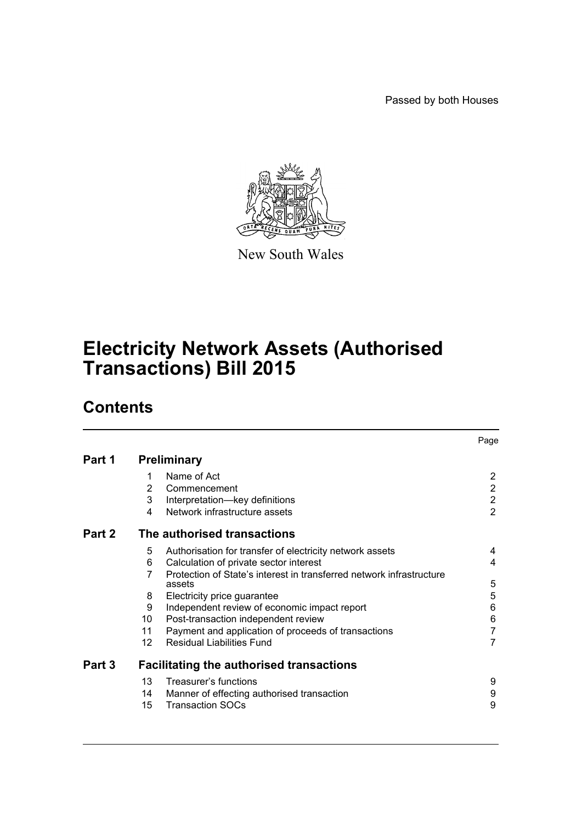Passed by both Houses



New South Wales

# **Electricity Network Assets (Authorised Transactions) Bill 2015**

# **Contents**

|        |                                                 |                                                                      | Page           |  |
|--------|-------------------------------------------------|----------------------------------------------------------------------|----------------|--|
| Part 1 | <b>Preliminary</b>                              |                                                                      |                |  |
|        | 1                                               | Name of Act                                                          | $\overline{2}$ |  |
|        | 2                                               | Commencement                                                         | $\overline{2}$ |  |
|        | 3                                               | Interpretation-key definitions                                       | $\overline{2}$ |  |
|        | 4                                               | Network infrastructure assets                                        | $\overline{2}$ |  |
| Part 2 | The authorised transactions                     |                                                                      |                |  |
|        | 5                                               | Authorisation for transfer of electricity network assets             | 4              |  |
|        | 6                                               | Calculation of private sector interest                               | 4              |  |
|        | 7                                               | Protection of State's interest in transferred network infrastructure |                |  |
|        |                                                 | assets                                                               | 5              |  |
|        | 8                                               | Electricity price guarantee                                          | 5              |  |
|        | 9                                               | Independent review of economic impact report                         | 6              |  |
|        | 10                                              | Post-transaction independent review                                  | 6              |  |
|        | 11                                              | Payment and application of proceeds of transactions                  | $\overline{7}$ |  |
|        | 12 <sup>2</sup>                                 | <b>Residual Liabilities Fund</b>                                     | $\overline{7}$ |  |
| Part 3 | <b>Facilitating the authorised transactions</b> |                                                                      |                |  |
|        | 13                                              | Treasurer's functions                                                | 9              |  |
|        | 14                                              | Manner of effecting authorised transaction                           | 9              |  |
|        | 15                                              | <b>Transaction SOCs</b>                                              | 9              |  |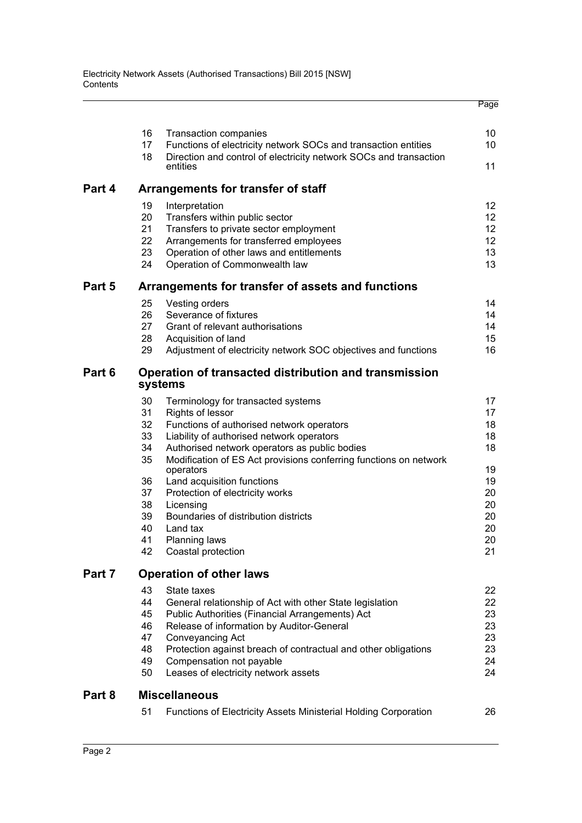|        |                                                                  |                                                                                                                                                                                                                                                                                                                                   | Page                                                                                 |  |  |
|--------|------------------------------------------------------------------|-----------------------------------------------------------------------------------------------------------------------------------------------------------------------------------------------------------------------------------------------------------------------------------------------------------------------------------|--------------------------------------------------------------------------------------|--|--|
|        | 16<br>17<br>18                                                   | <b>Transaction companies</b><br>Functions of electricity network SOCs and transaction entities<br>Direction and control of electricity network SOCs and transaction                                                                                                                                                               | 10<br>10                                                                             |  |  |
|        |                                                                  | entities                                                                                                                                                                                                                                                                                                                          | 11                                                                                   |  |  |
| Part 4 | Arrangements for transfer of staff                               |                                                                                                                                                                                                                                                                                                                                   |                                                                                      |  |  |
|        | 19<br>20<br>21<br>22<br>23<br>24                                 | Interpretation<br>Transfers within public sector<br>Transfers to private sector employment<br>Arrangements for transferred employees<br>Operation of other laws and entitlements<br>Operation of Commonwealth law                                                                                                                 | 12 <sup>°</sup><br>12 <sup>°</sup><br>12 <sup>°</sup><br>12 <sup>°</sup><br>13<br>13 |  |  |
| Part 5 | Arrangements for transfer of assets and functions                |                                                                                                                                                                                                                                                                                                                                   |                                                                                      |  |  |
|        | 25<br>26<br>27<br>28<br>29                                       | Vesting orders<br>Severance of fixtures<br>Grant of relevant authorisations<br>Acquisition of land<br>Adjustment of electricity network SOC objectives and functions                                                                                                                                                              | 14<br>14<br>14<br>15<br>16                                                           |  |  |
| Part 6 | Operation of transacted distribution and transmission<br>systems |                                                                                                                                                                                                                                                                                                                                   |                                                                                      |  |  |
|        | 30<br>31<br>32<br>33<br>34<br>35                                 | Terminology for transacted systems<br><b>Rights of lessor</b><br>Functions of authorised network operators<br>Liability of authorised network operators<br>Authorised network operators as public bodies<br>Modification of ES Act provisions conferring functions on network<br>operators                                        | 17<br>17<br>18<br>18<br>18<br>19                                                     |  |  |
|        | 36<br>37<br>38<br>39<br>40<br>41<br>42                           | Land acquisition functions<br>Protection of electricity works<br>Licensing<br>Boundaries of distribution districts<br>Land tax<br>Planning laws<br>Coastal protection                                                                                                                                                             | 19<br>20<br>20<br>20<br>20<br>20<br>21                                               |  |  |
| Part 7 | <b>Operation of other laws</b>                                   |                                                                                                                                                                                                                                                                                                                                   |                                                                                      |  |  |
|        | 43<br>44<br>45<br>46<br>47<br>48<br>49<br>50                     | State taxes<br>General relationship of Act with other State legislation<br>Public Authorities (Financial Arrangements) Act<br>Release of information by Auditor-General<br>Conveyancing Act<br>Protection against breach of contractual and other obligations<br>Compensation not payable<br>Leases of electricity network assets | 22<br>22<br>23<br>23<br>23<br>23<br>24<br>24                                         |  |  |
| Part 8 | <b>Miscellaneous</b>                                             |                                                                                                                                                                                                                                                                                                                                   |                                                                                      |  |  |
|        | 51                                                               | Functions of Electricity Assets Ministerial Holding Corporation                                                                                                                                                                                                                                                                   | 26                                                                                   |  |  |
|        |                                                                  |                                                                                                                                                                                                                                                                                                                                   |                                                                                      |  |  |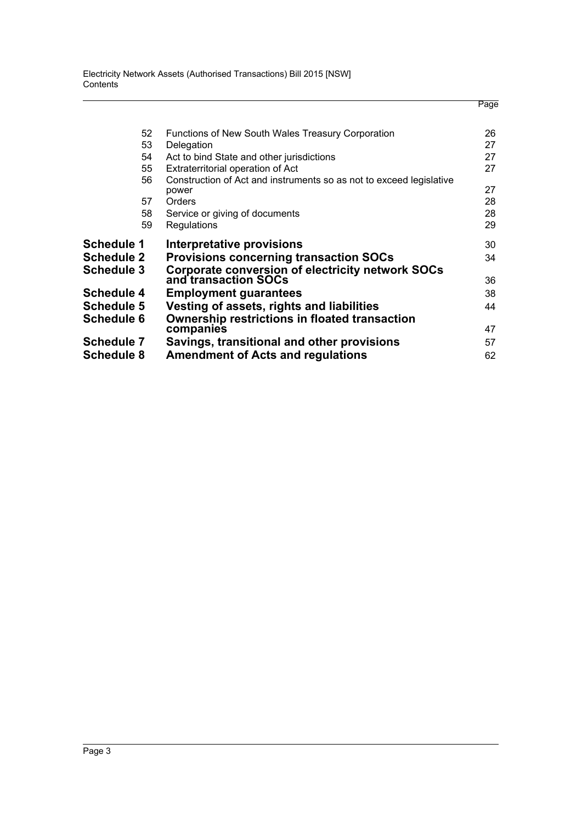Electricity Network Assets (Authorised Transactions) Bill 2015 [NSW] **Contents** 

|                   |                                                                                        | Page     |
|-------------------|----------------------------------------------------------------------------------------|----------|
| 52                | Functions of New South Wales Treasury Corporation                                      | 26       |
| 53                | Delegation                                                                             | 27       |
| 54                | Act to bind State and other jurisdictions                                              | 27       |
| 55                | Extraterritorial operation of Act                                                      | 27       |
| 56<br>57          | Construction of Act and instruments so as not to exceed legislative<br>power<br>Orders | 27<br>28 |
| 58                | Service or giving of documents                                                         | 28       |
| 59                | Regulations                                                                            | 29       |
| <b>Schedule 1</b> | Interpretative provisions                                                              | 30       |
| <b>Schedule 2</b> | <b>Provisions concerning transaction SOCs</b>                                          | 34       |
| <b>Schedule 3</b> | Corporate conversion of electricity network SOCs<br>and transaction SOCs               | 36       |
| <b>Schedule 4</b> | <b>Employment guarantees</b>                                                           | 38       |
| <b>Schedule 5</b> | Vesting of assets, rights and liabilities                                              | 44       |
| <b>Schedule 6</b> | <b>Ownership restrictions in floated transaction</b><br>companies                      | 47       |
| <b>Schedule 7</b> | Savings, transitional and other provisions                                             | 57       |
| <b>Schedule 8</b> | <b>Amendment of Acts and regulations</b>                                               | 62       |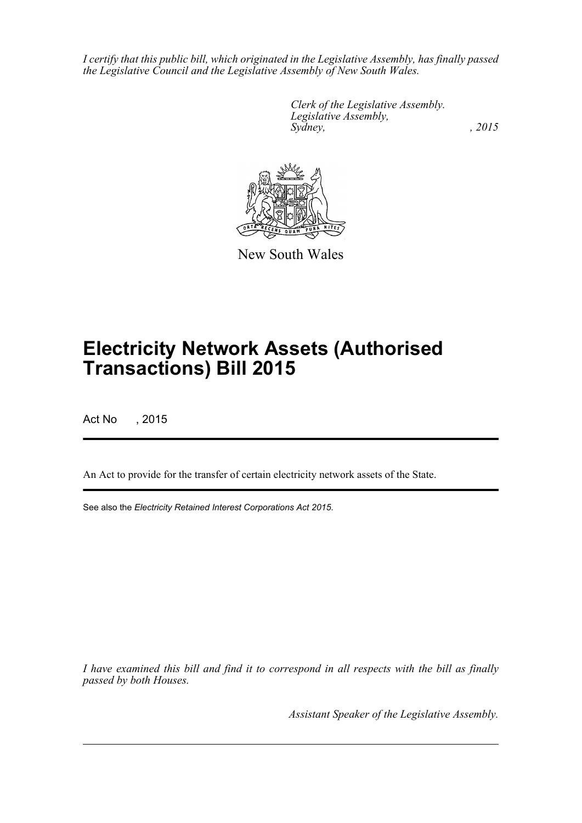*I certify that this public bill, which originated in the Legislative Assembly, has finally passed the Legislative Council and the Legislative Assembly of New South Wales.*

> *Clerk of the Legislative Assembly. Legislative Assembly, Sydney,* , 2015



New South Wales

# **Electricity Network Assets (Authorised Transactions) Bill 2015**

Act No , 2015

An Act to provide for the transfer of certain electricity network assets of the State.

See also the *Electricity Retained Interest Corporations Act 2015*.

*I have examined this bill and find it to correspond in all respects with the bill as finally passed by both Houses.*

*Assistant Speaker of the Legislative Assembly.*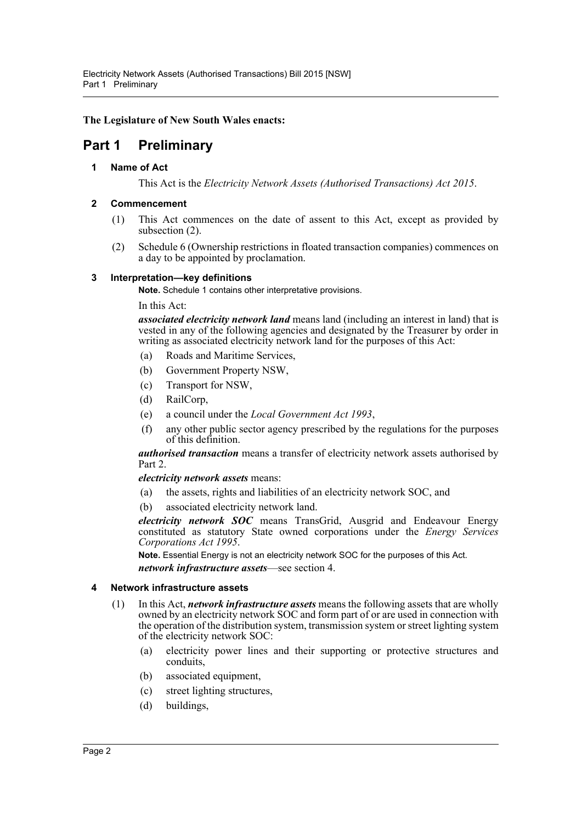**The Legislature of New South Wales enacts:**

# <span id="page-4-1"></span><span id="page-4-0"></span>**Part 1 Preliminary**

# **1 Name of Act**

This Act is the *Electricity Network Assets (Authorised Transactions) Act 2015*.

# <span id="page-4-2"></span>**2 Commencement**

- (1) This Act commences on the date of assent to this Act, except as provided by subsection (2).
- (2) Schedule 6 (Ownership restrictions in floated transaction companies) commences on a day to be appointed by proclamation.

# <span id="page-4-3"></span>**3 Interpretation—key definitions**

**Note.** Schedule 1 contains other interpretative provisions.

In this Act:

*associated electricity network land* means land (including an interest in land) that is vested in any of the following agencies and designated by the Treasurer by order in writing as associated electricity network land for the purposes of this Act:

- (a) Roads and Maritime Services,
- (b) Government Property NSW,
- (c) Transport for NSW,
- (d) RailCorp,
- (e) a council under the *Local Government Act 1993*,
- (f) any other public sector agency prescribed by the regulations for the purposes of this definition.

*authorised transaction* means a transfer of electricity network assets authorised by Part 2.

*electricity network assets* means:

- (a) the assets, rights and liabilities of an electricity network SOC, and
- (b) associated electricity network land.

*electricity network SOC* means TransGrid, Ausgrid and Endeavour Energy constituted as statutory State owned corporations under the *Energy Services Corporations Act 1995*.

**Note.** Essential Energy is not an electricity network SOC for the purposes of this Act. *network infrastructure assets*—see section 4.

# <span id="page-4-4"></span>**4 Network infrastructure assets**

- (1) In this Act, *network infrastructure assets* means the following assets that are wholly owned by an electricity network SOC and form part of or are used in connection with the operation of the distribution system, transmission system or street lighting system of the electricity network SOC:
	- (a) electricity power lines and their supporting or protective structures and conduits,
	- (b) associated equipment,
	- (c) street lighting structures,
	- (d) buildings,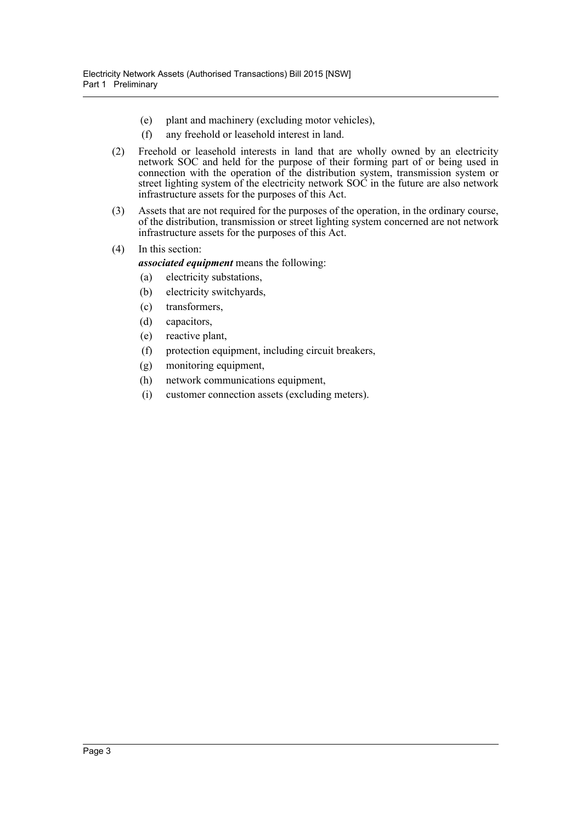- (e) plant and machinery (excluding motor vehicles),
- (f) any freehold or leasehold interest in land.
- (2) Freehold or leasehold interests in land that are wholly owned by an electricity network SOC and held for the purpose of their forming part of or being used in connection with the operation of the distribution system, transmission system or street lighting system of the electricity network SOC in the future are also network infrastructure assets for the purposes of this Act.
- (3) Assets that are not required for the purposes of the operation, in the ordinary course, of the distribution, transmission or street lighting system concerned are not network infrastructure assets for the purposes of this Act.
- (4) In this section:

*associated equipment* means the following:

- (a) electricity substations,
- (b) electricity switchyards,
- (c) transformers,
- (d) capacitors,
- (e) reactive plant,
- (f) protection equipment, including circuit breakers,
- (g) monitoring equipment,
- (h) network communications equipment,
- (i) customer connection assets (excluding meters).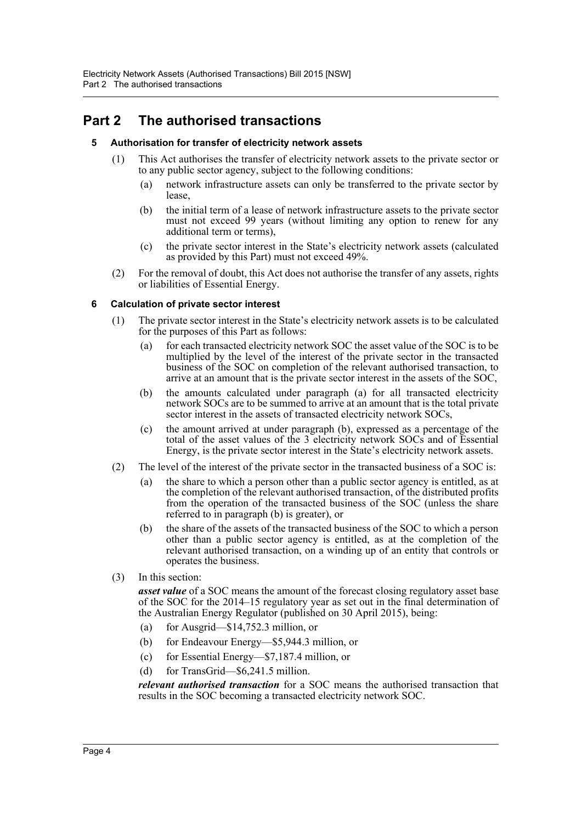# <span id="page-6-1"></span><span id="page-6-0"></span>**Part 2 The authorised transactions**

# **5 Authorisation for transfer of electricity network assets**

- (1) This Act authorises the transfer of electricity network assets to the private sector or to any public sector agency, subject to the following conditions:
	- (a) network infrastructure assets can only be transferred to the private sector by lease,
	- (b) the initial term of a lease of network infrastructure assets to the private sector must not exceed 99 years (without limiting any option to renew for any additional term or terms),
	- (c) the private sector interest in the State's electricity network assets (calculated as provided by this Part) must not exceed 49%.
- (2) For the removal of doubt, this Act does not authorise the transfer of any assets, rights or liabilities of Essential Energy.

# <span id="page-6-2"></span>**6 Calculation of private sector interest**

- (1) The private sector interest in the State's electricity network assets is to be calculated for the purposes of this Part as follows:
	- (a) for each transacted electricity network SOC the asset value of the SOC is to be multiplied by the level of the interest of the private sector in the transacted business of the SOC on completion of the relevant authorised transaction, to arrive at an amount that is the private sector interest in the assets of the SOC,
	- (b) the amounts calculated under paragraph (a) for all transacted electricity network SOCs are to be summed to arrive at an amount that is the total private sector interest in the assets of transacted electricity network SOCs,
	- (c) the amount arrived at under paragraph (b), expressed as a percentage of the total of the asset values of the 3 electricity network SOCs and of Essential Energy, is the private sector interest in the State's electricity network assets.
- (2) The level of the interest of the private sector in the transacted business of a SOC is:
	- (a) the share to which a person other than a public sector agency is entitled, as at the completion of the relevant authorised transaction, of the distributed profits from the operation of the transacted business of the SOC (unless the share referred to in paragraph (b) is greater), or
	- (b) the share of the assets of the transacted business of the SOC to which a person other than a public sector agency is entitled, as at the completion of the relevant authorised transaction, on a winding up of an entity that controls or operates the business.
- (3) In this section:

*asset value* of a SOC means the amount of the forecast closing regulatory asset base of the SOC for the 2014–15 regulatory year as set out in the final determination of the Australian Energy Regulator (published on 30 April 2015), being:

- (a) for Ausgrid—\$14,752.3 million, or
- (b) for Endeavour Energy—\$5,944.3 million, or
- (c) for Essential Energy—\$7,187.4 million, or
- (d) for TransGrid—\$6,241.5 million.

*relevant authorised transaction* for a SOC means the authorised transaction that results in the SOC becoming a transacted electricity network SOC.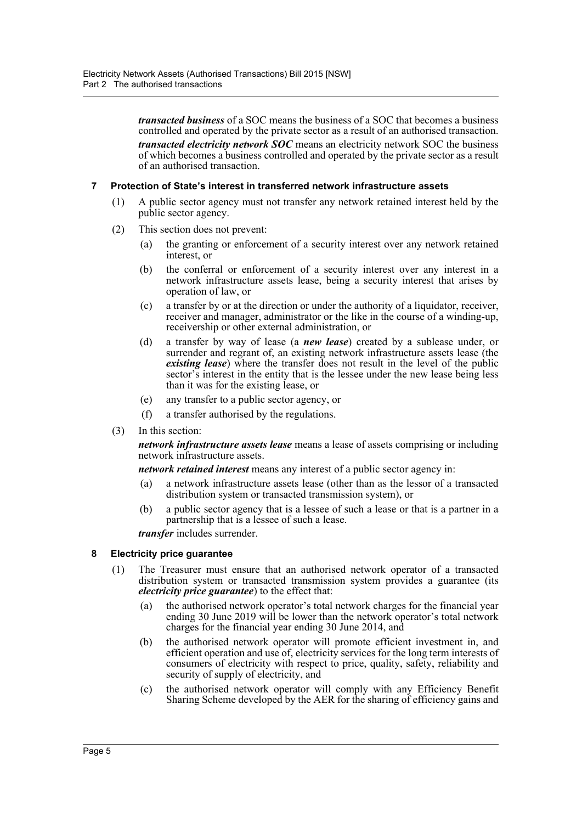*transacted business* of a SOC means the business of a SOC that becomes a business controlled and operated by the private sector as a result of an authorised transaction. *transacted electricity network SOC* means an electricity network SOC the business of which becomes a business controlled and operated by the private sector as a result of an authorised transaction.

### <span id="page-7-0"></span>**7 Protection of State's interest in transferred network infrastructure assets**

- (1) A public sector agency must not transfer any network retained interest held by the public sector agency.
- (2) This section does not prevent:
	- (a) the granting or enforcement of a security interest over any network retained interest, or
	- (b) the conferral or enforcement of a security interest over any interest in a network infrastructure assets lease, being a security interest that arises by operation of law, or
	- (c) a transfer by or at the direction or under the authority of a liquidator, receiver, receiver and manager, administrator or the like in the course of a winding-up, receivership or other external administration, or
	- (d) a transfer by way of lease (a *new lease*) created by a sublease under, or surrender and regrant of, an existing network infrastructure assets lease (the *existing lease*) where the transfer does not result in the level of the public sector's interest in the entity that is the lessee under the new lease being less than it was for the existing lease, or
	- (e) any transfer to a public sector agency, or
	- (f) a transfer authorised by the regulations.
- (3) In this section:

*network infrastructure assets lease* means a lease of assets comprising or including network infrastructure assets.

*network retained interest* means any interest of a public sector agency in:

- (a) a network infrastructure assets lease (other than as the lessor of a transacted distribution system or transacted transmission system), or
- (b) a public sector agency that is a lessee of such a lease or that is a partner in a partnership that is a lessee of such a lease.

*transfer* includes surrender.

#### <span id="page-7-1"></span>**8 Electricity price guarantee**

- (1) The Treasurer must ensure that an authorised network operator of a transacted distribution system or transacted transmission system provides a guarantee (its *electricity price guarantee*) to the effect that:
	- (a) the authorised network operator's total network charges for the financial year ending 30 June 2019 will be lower than the network operator's total network charges for the financial year ending 30 June 2014, and
	- (b) the authorised network operator will promote efficient investment in, and efficient operation and use of, electricity services for the long term interests of consumers of electricity with respect to price, quality, safety, reliability and security of supply of electricity, and
	- (c) the authorised network operator will comply with any Efficiency Benefit Sharing Scheme developed by the AER for the sharing of efficiency gains and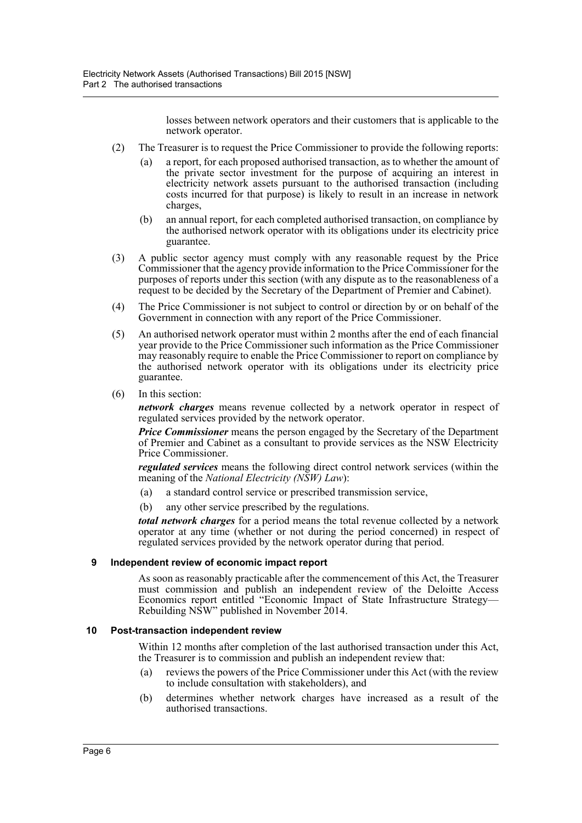losses between network operators and their customers that is applicable to the network operator.

- (2) The Treasurer is to request the Price Commissioner to provide the following reports:
	- (a) a report, for each proposed authorised transaction, as to whether the amount of the private sector investment for the purpose of acquiring an interest in electricity network assets pursuant to the authorised transaction (including costs incurred for that purpose) is likely to result in an increase in network charges,
	- (b) an annual report, for each completed authorised transaction, on compliance by the authorised network operator with its obligations under its electricity price guarantee.
- (3) A public sector agency must comply with any reasonable request by the Price Commissioner that the agency provide information to the Price Commissioner for the purposes of reports under this section (with any dispute as to the reasonableness of a request to be decided by the Secretary of the Department of Premier and Cabinet).
- (4) The Price Commissioner is not subject to control or direction by or on behalf of the Government in connection with any report of the Price Commissioner.
- (5) An authorised network operator must within 2 months after the end of each financial year provide to the Price Commissioner such information as the Price Commissioner may reasonably require to enable the Price Commissioner to report on compliance by the authorised network operator with its obligations under its electricity price guarantee.
- (6) In this section:

*network charges* means revenue collected by a network operator in respect of regulated services provided by the network operator.

*Price Commissioner* means the person engaged by the Secretary of the Department of Premier and Cabinet as a consultant to provide services as the NSW Electricity Price Commissioner.

*regulated services* means the following direct control network services (within the meaning of the *National Electricity (NSW) Law*):

- (a) a standard control service or prescribed transmission service,
- (b) any other service prescribed by the regulations.

*total network charges* for a period means the total revenue collected by a network operator at any time (whether or not during the period concerned) in respect of regulated services provided by the network operator during that period.

#### <span id="page-8-0"></span>**9 Independent review of economic impact report**

As soon as reasonably practicable after the commencement of this Act, the Treasurer must commission and publish an independent review of the Deloitte Access Economics report entitled "Economic Impact of State Infrastructure Strategy— Rebuilding NSW" published in November 2014.

#### <span id="page-8-1"></span>**10 Post-transaction independent review**

Within 12 months after completion of the last authorised transaction under this Act, the Treasurer is to commission and publish an independent review that:

- (a) reviews the powers of the Price Commissioner under this Act (with the review to include consultation with stakeholders), and
- (b) determines whether network charges have increased as a result of the authorised transactions.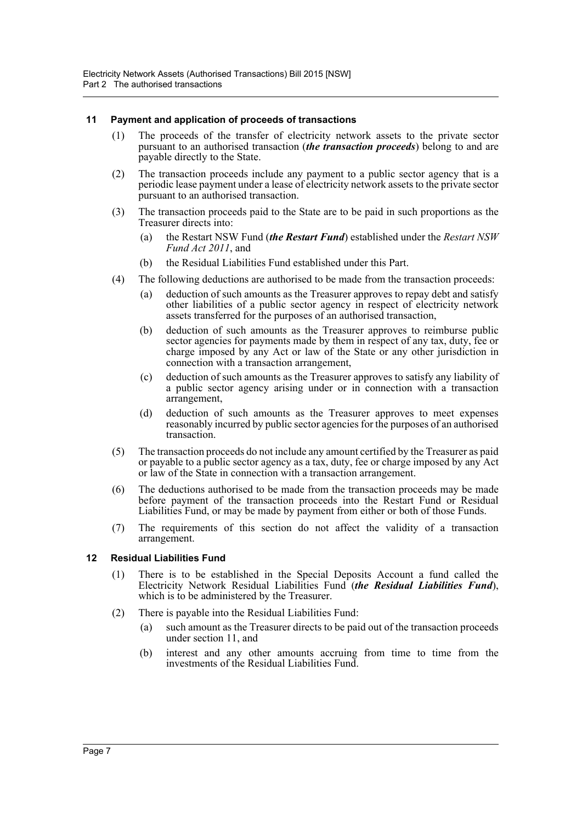### <span id="page-9-0"></span>**11 Payment and application of proceeds of transactions**

- (1) The proceeds of the transfer of electricity network assets to the private sector pursuant to an authorised transaction (*the transaction proceeds*) belong to and are payable directly to the State.
- (2) The transaction proceeds include any payment to a public sector agency that is a periodic lease payment under a lease of electricity network assets to the private sector pursuant to an authorised transaction.
- (3) The transaction proceeds paid to the State are to be paid in such proportions as the Treasurer directs into:
	- (a) the Restart NSW Fund (*the Restart Fund*) established under the *Restart NSW Fund Act 2011*, and
	- (b) the Residual Liabilities Fund established under this Part.
- (4) The following deductions are authorised to be made from the transaction proceeds:
	- (a) deduction of such amounts as the Treasurer approves to repay debt and satisfy other liabilities of a public sector agency in respect of electricity network assets transferred for the purposes of an authorised transaction,
	- (b) deduction of such amounts as the Treasurer approves to reimburse public sector agencies for payments made by them in respect of any tax, duty, fee or charge imposed by any Act or law of the State or any other jurisdiction in connection with a transaction arrangement,
	- (c) deduction of such amounts as the Treasurer approves to satisfy any liability of a public sector agency arising under or in connection with a transaction arrangement,
	- (d) deduction of such amounts as the Treasurer approves to meet expenses reasonably incurred by public sector agencies for the purposes of an authorised transaction.
- (5) The transaction proceeds do not include any amount certified by the Treasurer as paid or payable to a public sector agency as a tax, duty, fee or charge imposed by any Act or law of the State in connection with a transaction arrangement.
- (6) The deductions authorised to be made from the transaction proceeds may be made before payment of the transaction proceeds into the Restart Fund or Residual Liabilities Fund, or may be made by payment from either or both of those Funds.
- (7) The requirements of this section do not affect the validity of a transaction arrangement.

#### <span id="page-9-1"></span>**12 Residual Liabilities Fund**

- (1) There is to be established in the Special Deposits Account a fund called the Electricity Network Residual Liabilities Fund (*the Residual Liabilities Fund*), which is to be administered by the Treasurer.
- (2) There is payable into the Residual Liabilities Fund:
	- (a) such amount as the Treasurer directs to be paid out of the transaction proceeds under section 11, and
	- (b) interest and any other amounts accruing from time to time from the investments of the Residual Liabilities Fund.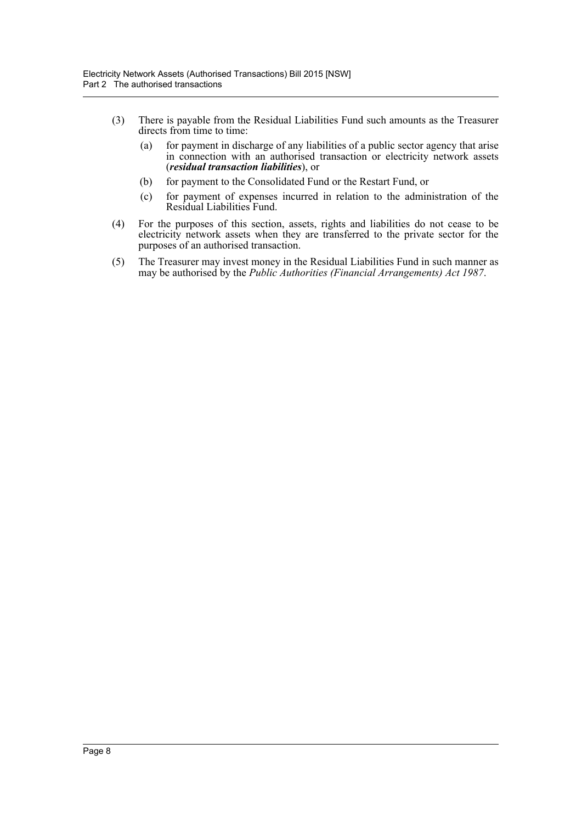- (3) There is payable from the Residual Liabilities Fund such amounts as the Treasurer directs from time to time:
	- (a) for payment in discharge of any liabilities of a public sector agency that arise in connection with an authorised transaction or electricity network assets (*residual transaction liabilities*), or
	- (b) for payment to the Consolidated Fund or the Restart Fund, or
	- (c) for payment of expenses incurred in relation to the administration of the Residual Liabilities Fund.
- (4) For the purposes of this section, assets, rights and liabilities do not cease to be electricity network assets when they are transferred to the private sector for the purposes of an authorised transaction.
- (5) The Treasurer may invest money in the Residual Liabilities Fund in such manner as may be authorised by the *Public Authorities (Financial Arrangements) Act 1987*.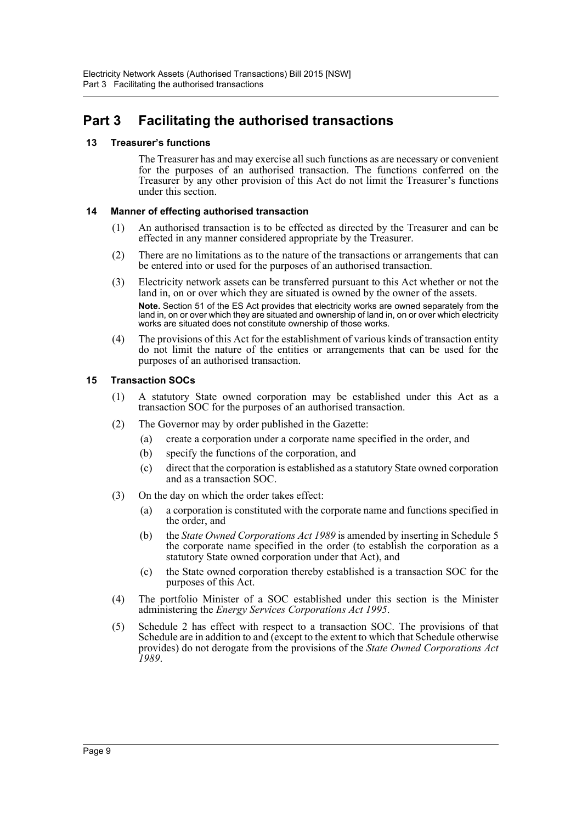# <span id="page-11-0"></span>**Part 3 Facilitating the authorised transactions**

# <span id="page-11-1"></span>**13 Treasurer's functions**

The Treasurer has and may exercise all such functions as are necessary or convenient for the purposes of an authorised transaction. The functions conferred on the Treasurer by any other provision of this Act do not limit the Treasurer's functions under this section.

# <span id="page-11-2"></span>**14 Manner of effecting authorised transaction**

- (1) An authorised transaction is to be effected as directed by the Treasurer and can be effected in any manner considered appropriate by the Treasurer.
- (2) There are no limitations as to the nature of the transactions or arrangements that can be entered into or used for the purposes of an authorised transaction.
- (3) Electricity network assets can be transferred pursuant to this Act whether or not the land in, on or over which they are situated is owned by the owner of the assets. **Note.** Section 51 of the ES Act provides that electricity works are owned separately from the land in, on or over which they are situated and ownership of land in, on or over which electricity works are situated does not constitute ownership of those works.
- (4) The provisions of this Act for the establishment of various kinds of transaction entity do not limit the nature of the entities or arrangements that can be used for the purposes of an authorised transaction.

# <span id="page-11-3"></span>**15 Transaction SOCs**

- (1) A statutory State owned corporation may be established under this Act as a transaction SOC for the purposes of an authorised transaction.
- (2) The Governor may by order published in the Gazette:
	- (a) create a corporation under a corporate name specified in the order, and
	- (b) specify the functions of the corporation, and
	- (c) direct that the corporation is established as a statutory State owned corporation and as a transaction SOC.
- (3) On the day on which the order takes effect:
	- (a) a corporation is constituted with the corporate name and functions specified in the order, and
	- (b) the *State Owned Corporations Act 1989* is amended by inserting in Schedule 5 the corporate name specified in the order (to establish the corporation as a statutory State owned corporation under that Act), and
	- (c) the State owned corporation thereby established is a transaction SOC for the purposes of this Act.
- (4) The portfolio Minister of a SOC established under this section is the Minister administering the *Energy Services Corporations Act 1995*.
- (5) Schedule 2 has effect with respect to a transaction SOC. The provisions of that Schedule are in addition to and (except to the extent to which that Schedule otherwise provides) do not derogate from the provisions of the *State Owned Corporations Act 1989*.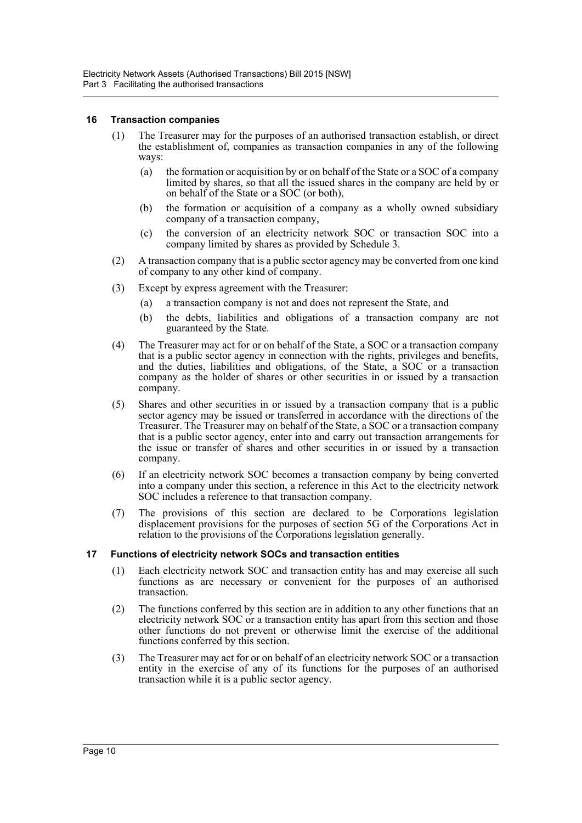#### <span id="page-12-0"></span>**16 Transaction companies**

- (1) The Treasurer may for the purposes of an authorised transaction establish, or direct the establishment of, companies as transaction companies in any of the following ways:
	- (a) the formation or acquisition by or on behalf of the State or a SOC of a company limited by shares, so that all the issued shares in the company are held by or on behalf of the State or a SOC (or both),
	- (b) the formation or acquisition of a company as a wholly owned subsidiary company of a transaction company,
	- (c) the conversion of an electricity network SOC or transaction SOC into a company limited by shares as provided by Schedule 3.
- (2) A transaction company that is a public sector agency may be converted from one kind of company to any other kind of company.
- (3) Except by express agreement with the Treasurer:
	- (a) a transaction company is not and does not represent the State, and
	- (b) the debts, liabilities and obligations of a transaction company are not guaranteed by the State.
- (4) The Treasurer may act for or on behalf of the State, a SOC or a transaction company that is a public sector agency in connection with the rights, privileges and benefits, and the duties, liabilities and obligations, of the State, a SOC or a transaction company as the holder of shares or other securities in or issued by a transaction company.
- (5) Shares and other securities in or issued by a transaction company that is a public sector agency may be issued or transferred in accordance with the directions of the Treasurer. The Treasurer may on behalf of the State, a SOC or a transaction company that is a public sector agency, enter into and carry out transaction arrangements for the issue or transfer of shares and other securities in or issued by a transaction company.
- (6) If an electricity network SOC becomes a transaction company by being converted into a company under this section, a reference in this Act to the electricity network SOC includes a reference to that transaction company.
- (7) The provisions of this section are declared to be Corporations legislation displacement provisions for the purposes of section 5G of the Corporations Act in relation to the provisions of the Corporations legislation generally.

#### <span id="page-12-1"></span>**17 Functions of electricity network SOCs and transaction entities**

- (1) Each electricity network SOC and transaction entity has and may exercise all such functions as are necessary or convenient for the purposes of an authorised transaction.
- (2) The functions conferred by this section are in addition to any other functions that an electricity network SOC or a transaction entity has apart from this section and those other functions do not prevent or otherwise limit the exercise of the additional functions conferred by this section.
- (3) The Treasurer may act for or on behalf of an electricity network SOC or a transaction entity in the exercise of any of its functions for the purposes of an authorised transaction while it is a public sector agency.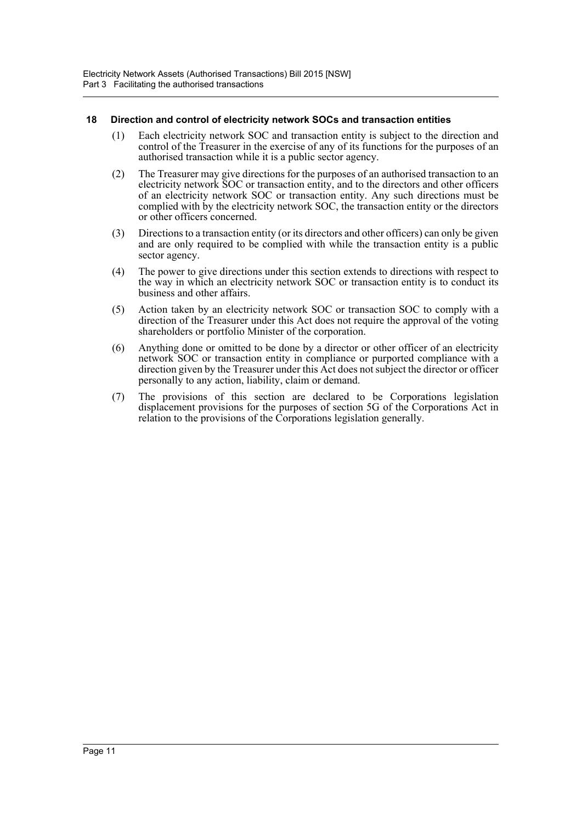### <span id="page-13-0"></span>**18 Direction and control of electricity network SOCs and transaction entities**

- (1) Each electricity network SOC and transaction entity is subject to the direction and control of the Treasurer in the exercise of any of its functions for the purposes of an authorised transaction while it is a public sector agency.
- (2) The Treasurer may give directions for the purposes of an authorised transaction to an electricity network SOC or transaction entity, and to the directors and other officers of an electricity network SOC or transaction entity. Any such directions must be complied with by the electricity network SOC, the transaction entity or the directors or other officers concerned.
- (3) Directions to a transaction entity (or its directors and other officers) can only be given and are only required to be complied with while the transaction entity is a public sector agency.
- (4) The power to give directions under this section extends to directions with respect to the way in which an electricity network SOC or transaction entity is to conduct its business and other affairs.
- (5) Action taken by an electricity network SOC or transaction SOC to comply with a direction of the Treasurer under this Act does not require the approval of the voting shareholders or portfolio Minister of the corporation.
- (6) Anything done or omitted to be done by a director or other officer of an electricity network SOC or transaction entity in compliance or purported compliance with a direction given by the Treasurer under this Act does not subject the director or officer personally to any action, liability, claim or demand.
- (7) The provisions of this section are declared to be Corporations legislation displacement provisions for the purposes of section 5G of the Corporations Act in relation to the provisions of the Corporations legislation generally.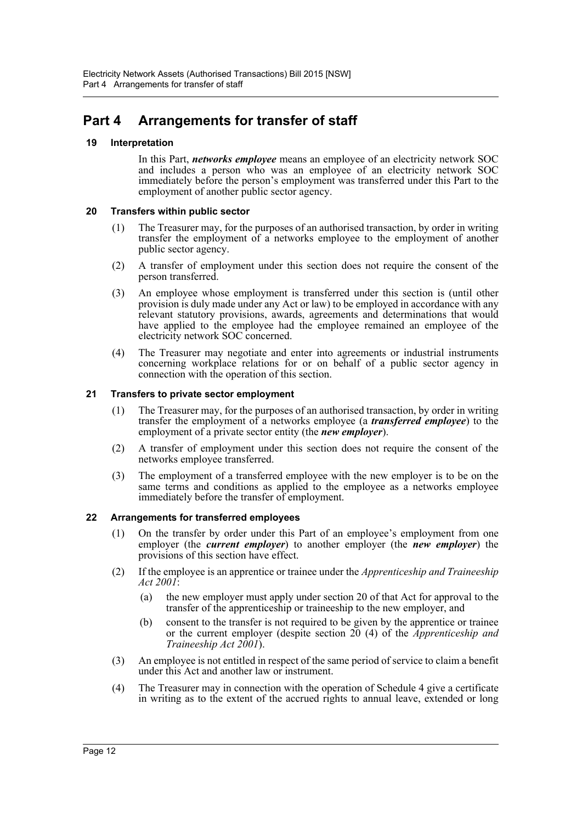# <span id="page-14-0"></span>**Part 4 Arrangements for transfer of staff**

# <span id="page-14-1"></span>**19 Interpretation**

In this Part, *networks employee* means an employee of an electricity network SOC and includes a person who was an employee of an electricity network SOC immediately before the person's employment was transferred under this Part to the employment of another public sector agency.

# <span id="page-14-2"></span>**20 Transfers within public sector**

- (1) The Treasurer may, for the purposes of an authorised transaction, by order in writing transfer the employment of a networks employee to the employment of another public sector agency.
- (2) A transfer of employment under this section does not require the consent of the person transferred.
- (3) An employee whose employment is transferred under this section is (until other provision is duly made under any Act or law) to be employed in accordance with any relevant statutory provisions, awards, agreements and determinations that would have applied to the employee had the employee remained an employee of the electricity network SOC concerned.
- (4) The Treasurer may negotiate and enter into agreements or industrial instruments concerning workplace relations for or on behalf of a public sector agency in connection with the operation of this section.

# <span id="page-14-3"></span>**21 Transfers to private sector employment**

- (1) The Treasurer may, for the purposes of an authorised transaction, by order in writing transfer the employment of a networks employee (a *transferred employee*) to the employment of a private sector entity (the *new employer*).
- (2) A transfer of employment under this section does not require the consent of the networks employee transferred.
- (3) The employment of a transferred employee with the new employer is to be on the same terms and conditions as applied to the employee as a networks employee immediately before the transfer of employment.

# <span id="page-14-4"></span>**22 Arrangements for transferred employees**

- (1) On the transfer by order under this Part of an employee's employment from one employer (the *current employer*) to another employer (the *new employer*) the provisions of this section have effect.
- (2) If the employee is an apprentice or trainee under the *Apprenticeship and Traineeship Act 2001*:
	- (a) the new employer must apply under section 20 of that Act for approval to the transfer of the apprenticeship or traineeship to the new employer, and
	- (b) consent to the transfer is not required to be given by the apprentice or trainee or the current employer (despite section 20 (4) of the *Apprenticeship and Traineeship Act 2001*).
- (3) An employee is not entitled in respect of the same period of service to claim a benefit under this Act and another law or instrument.
- (4) The Treasurer may in connection with the operation of Schedule 4 give a certificate in writing as to the extent of the accrued rights to annual leave, extended or long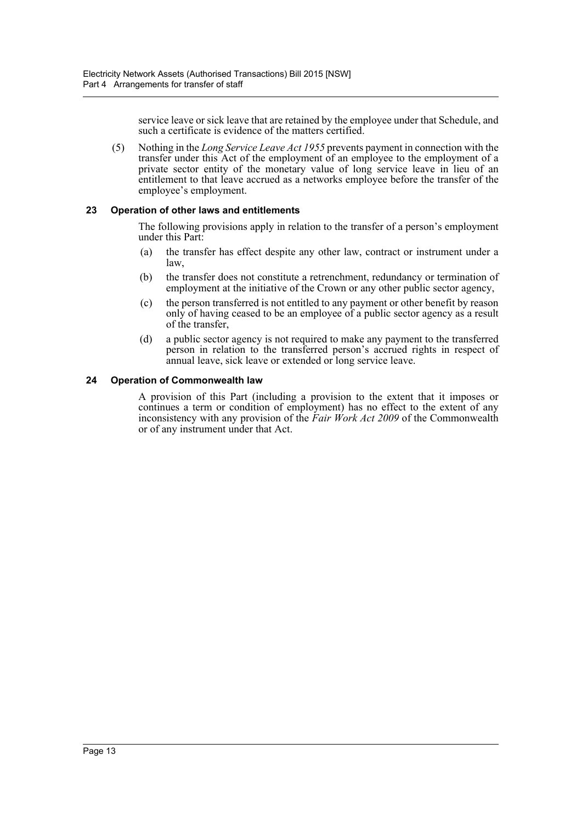service leave or sick leave that are retained by the employee under that Schedule, and such a certificate is evidence of the matters certified.

(5) Nothing in the *Long Service Leave Act 1955* prevents payment in connection with the transfer under this Act of the employment of an employee to the employment of a private sector entity of the monetary value of long service leave in lieu of an entitlement to that leave accrued as a networks employee before the transfer of the employee's employment.

# <span id="page-15-0"></span>**23 Operation of other laws and entitlements**

The following provisions apply in relation to the transfer of a person's employment under this Part:

- (a) the transfer has effect despite any other law, contract or instrument under a law,
- (b) the transfer does not constitute a retrenchment, redundancy or termination of employment at the initiative of the Crown or any other public sector agency,
- (c) the person transferred is not entitled to any payment or other benefit by reason only of having ceased to be an employee of a public sector agency as a result of the transfer,
- (d) a public sector agency is not required to make any payment to the transferred person in relation to the transferred person's accrued rights in respect of annual leave, sick leave or extended or long service leave.

#### <span id="page-15-1"></span>**24 Operation of Commonwealth law**

A provision of this Part (including a provision to the extent that it imposes or continues a term or condition of employment) has no effect to the extent of any inconsistency with any provision of the *Fair Work Act 2009* of the Commonwealth or of any instrument under that Act.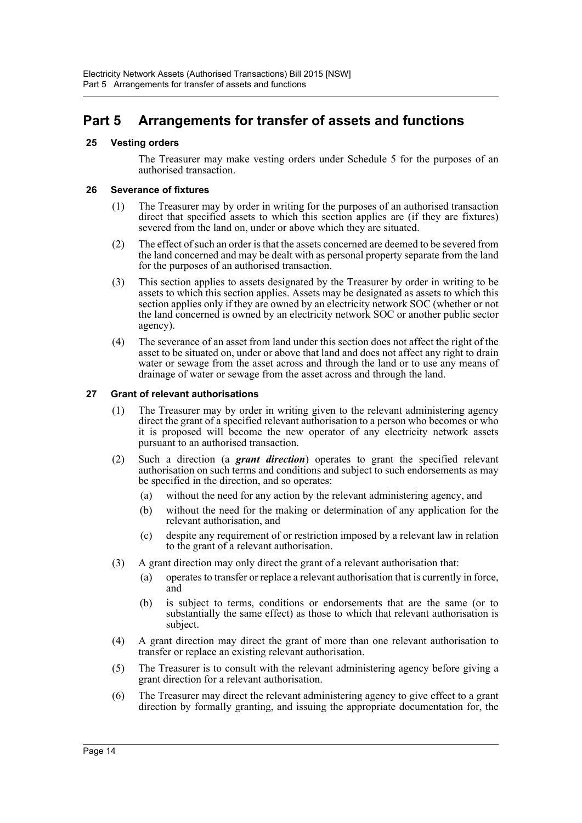# <span id="page-16-0"></span>**Part 5 Arrangements for transfer of assets and functions**

# <span id="page-16-1"></span>**25 Vesting orders**

The Treasurer may make vesting orders under Schedule 5 for the purposes of an authorised transaction.

#### <span id="page-16-2"></span>**26 Severance of fixtures**

- (1) The Treasurer may by order in writing for the purposes of an authorised transaction direct that specified assets to which this section applies are (if they are fixtures) severed from the land on, under or above which they are situated.
- (2) The effect of such an order is that the assets concerned are deemed to be severed from the land concerned and may be dealt with as personal property separate from the land for the purposes of an authorised transaction.
- (3) This section applies to assets designated by the Treasurer by order in writing to be assets to which this section applies. Assets may be designated as assets to which this section applies only if they are owned by an electricity network SOC (whether or not the land concerned is owned by an electricity network SOC or another public sector agency).
- (4) The severance of an asset from land under this section does not affect the right of the asset to be situated on, under or above that land and does not affect any right to drain water or sewage from the asset across and through the land or to use any means of drainage of water or sewage from the asset across and through the land.

#### <span id="page-16-3"></span>**27 Grant of relevant authorisations**

- (1) The Treasurer may by order in writing given to the relevant administering agency direct the grant of a specified relevant authorisation to a person who becomes or who it is proposed will become the new operator of any electricity network assets pursuant to an authorised transaction.
- (2) Such a direction (a *grant direction*) operates to grant the specified relevant authorisation on such terms and conditions and subject to such endorsements as may be specified in the direction, and so operates:
	- (a) without the need for any action by the relevant administering agency, and
	- (b) without the need for the making or determination of any application for the relevant authorisation, and
	- (c) despite any requirement of or restriction imposed by a relevant law in relation to the grant of a relevant authorisation.
- (3) A grant direction may only direct the grant of a relevant authorisation that:
	- (a) operates to transfer or replace a relevant authorisation that is currently in force, and
	- (b) is subject to terms, conditions or endorsements that are the same (or to substantially the same effect) as those to which that relevant authorisation is subject.
- (4) A grant direction may direct the grant of more than one relevant authorisation to transfer or replace an existing relevant authorisation.
- (5) The Treasurer is to consult with the relevant administering agency before giving a grant direction for a relevant authorisation.
- (6) The Treasurer may direct the relevant administering agency to give effect to a grant direction by formally granting, and issuing the appropriate documentation for, the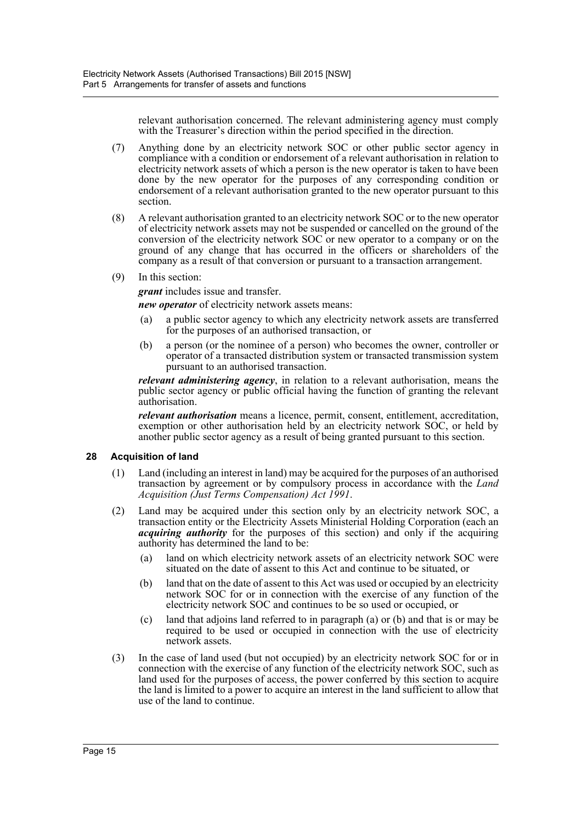relevant authorisation concerned. The relevant administering agency must comply with the Treasurer's direction within the period specified in the direction.

- (7) Anything done by an electricity network SOC or other public sector agency in compliance with a condition or endorsement of a relevant authorisation in relation to electricity network assets of which a person is the new operator is taken to have been done by the new operator for the purposes of any corresponding condition or endorsement of a relevant authorisation granted to the new operator pursuant to this section.
- (8) A relevant authorisation granted to an electricity network SOC or to the new operator of electricity network assets may not be suspended or cancelled on the ground of the conversion of the electricity network SOC or new operator to a company or on the ground of any change that has occurred in the officers or shareholders of the company as a result of that conversion or pursuant to a transaction arrangement.
- (9) In this section:

*grant* includes issue and transfer.

*new operator* of electricity network assets means:

- (a) a public sector agency to which any electricity network assets are transferred for the purposes of an authorised transaction, or
- (b) a person (or the nominee of a person) who becomes the owner, controller or operator of a transacted distribution system or transacted transmission system pursuant to an authorised transaction.

*relevant administering agency*, in relation to a relevant authorisation, means the public sector agency or public official having the function of granting the relevant authorisation.

*relevant authorisation* means a licence, permit, consent, entitlement, accreditation, exemption or other authorisation held by an electricity network SOC, or held by another public sector agency as a result of being granted pursuant to this section.

# <span id="page-17-0"></span>**28 Acquisition of land**

- (1) Land (including an interest in land) may be acquired for the purposes of an authorised transaction by agreement or by compulsory process in accordance with the *Land Acquisition (Just Terms Compensation) Act 1991*.
- (2) Land may be acquired under this section only by an electricity network SOC, a transaction entity or the Electricity Assets Ministerial Holding Corporation (each an *acquiring authority* for the purposes of this section) and only if the acquiring authority has determined the land to be:
	- (a) land on which electricity network assets of an electricity network SOC were situated on the date of assent to this Act and continue to be situated, or
	- (b) land that on the date of assent to this Act was used or occupied by an electricity network SOC for or in connection with the exercise of any function of the electricity network SOC and continues to be so used or occupied, or
	- (c) land that adjoins land referred to in paragraph (a) or (b) and that is or may be required to be used or occupied in connection with the use of electricity network assets.
- (3) In the case of land used (but not occupied) by an electricity network SOC for or in connection with the exercise of any function of the electricity network SOC, such as land used for the purposes of access, the power conferred by this section to acquire the land is limited to a power to acquire an interest in the land sufficient to allow that use of the land to continue.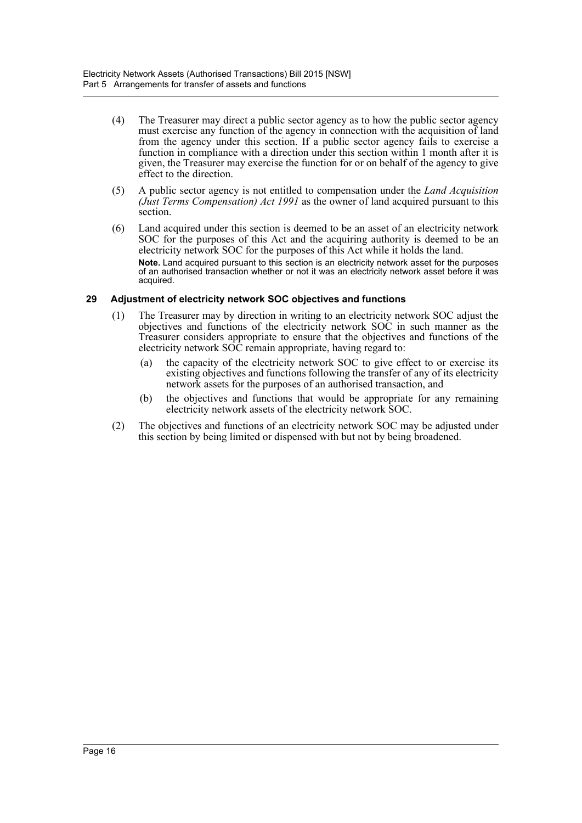- (4) The Treasurer may direct a public sector agency as to how the public sector agency must exercise any function of the agency in connection with the acquisition of land from the agency under this section. If a public sector agency fails to exercise a function in compliance with a direction under this section within 1 month after it is given, the Treasurer may exercise the function for or on behalf of the agency to give effect to the direction.
- (5) A public sector agency is not entitled to compensation under the *Land Acquisition (Just Terms Compensation) Act 1991* as the owner of land acquired pursuant to this section.
- (6) Land acquired under this section is deemed to be an asset of an electricity network SOC for the purposes of this Act and the acquiring authority is deemed to be an electricity network SOC for the purposes of this Act while it holds the land. **Note.** Land acquired pursuant to this section is an electricity network asset for the purposes of an authorised transaction whether or not it was an electricity network asset before it was acquired.

# <span id="page-18-0"></span>**29 Adjustment of electricity network SOC objectives and functions**

- (1) The Treasurer may by direction in writing to an electricity network SOC adjust the objectives and functions of the electricity network SOC in such manner as the Treasurer considers appropriate to ensure that the objectives and functions of the electricity network SOC remain appropriate, having regard to:
	- (a) the capacity of the electricity network SOC to give effect to or exercise its existing objectives and functions following the transfer of any of its electricity network assets for the purposes of an authorised transaction, and
	- (b) the objectives and functions that would be appropriate for any remaining electricity network assets of the electricity network SOC.
- (2) The objectives and functions of an electricity network SOC may be adjusted under this section by being limited or dispensed with but not by being broadened.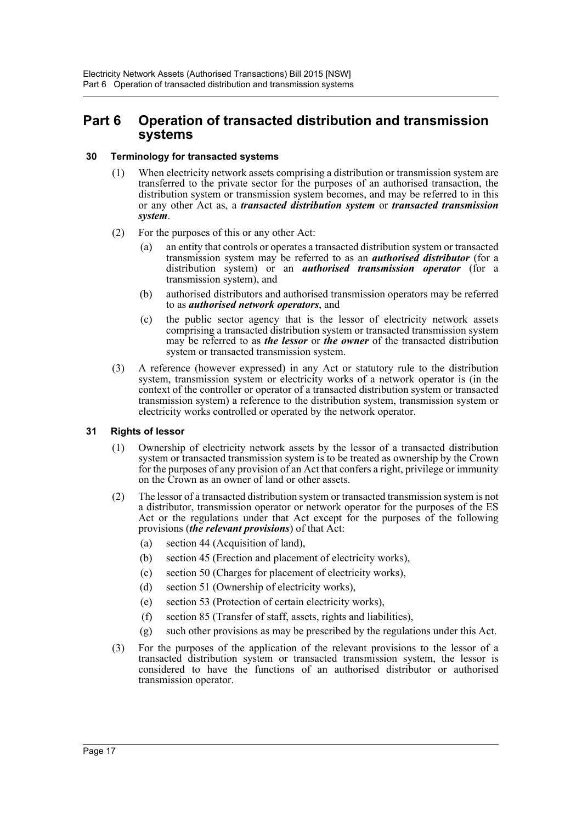# <span id="page-19-0"></span>**Part 6 Operation of transacted distribution and transmission systems**

# <span id="page-19-1"></span>**30 Terminology for transacted systems**

- (1) When electricity network assets comprising a distribution or transmission system are transferred to the private sector for the purposes of an authorised transaction, the distribution system or transmission system becomes, and may be referred to in this or any other Act as, a *transacted distribution system* or *transacted transmission system*.
- (2) For the purposes of this or any other Act:
	- (a) an entity that controls or operates a transacted distribution system or transacted transmission system may be referred to as an *authorised distributor* (for a distribution system) or an *authorised transmission operator* (for a transmission system), and
	- (b) authorised distributors and authorised transmission operators may be referred to as *authorised network operators*, and
	- (c) the public sector agency that is the lessor of electricity network assets comprising a transacted distribution system or transacted transmission system may be referred to as *the lessor* or *the owner* of the transacted distribution system or transacted transmission system.
- (3) A reference (however expressed) in any Act or statutory rule to the distribution system, transmission system or electricity works of a network operator is (in the context of the controller or operator of a transacted distribution system or transacted transmission system) a reference to the distribution system, transmission system or electricity works controlled or operated by the network operator.

# <span id="page-19-2"></span>**31 Rights of lessor**

- (1) Ownership of electricity network assets by the lessor of a transacted distribution system or transacted transmission system is to be treated as ownership by the Crown for the purposes of any provision of an Act that confers a right, privilege or immunity on the Crown as an owner of land or other assets.
- (2) The lessor of a transacted distribution system or transacted transmission system is not a distributor, transmission operator or network operator for the purposes of the ES Act or the regulations under that Act except for the purposes of the following provisions (*the relevant provisions*) of that Act:
	- (a) section 44 (Acquisition of land),
	- (b) section 45 (Erection and placement of electricity works),
	- (c) section 50 (Charges for placement of electricity works),
	- (d) section 51 (Ownership of electricity works),
	- (e) section 53 (Protection of certain electricity works),
	- (f) section 85 (Transfer of staff, assets, rights and liabilities),
	- (g) such other provisions as may be prescribed by the regulations under this Act.
- (3) For the purposes of the application of the relevant provisions to the lessor of a transacted distribution system or transacted transmission system, the lessor is considered to have the functions of an authorised distributor or authorised transmission operator.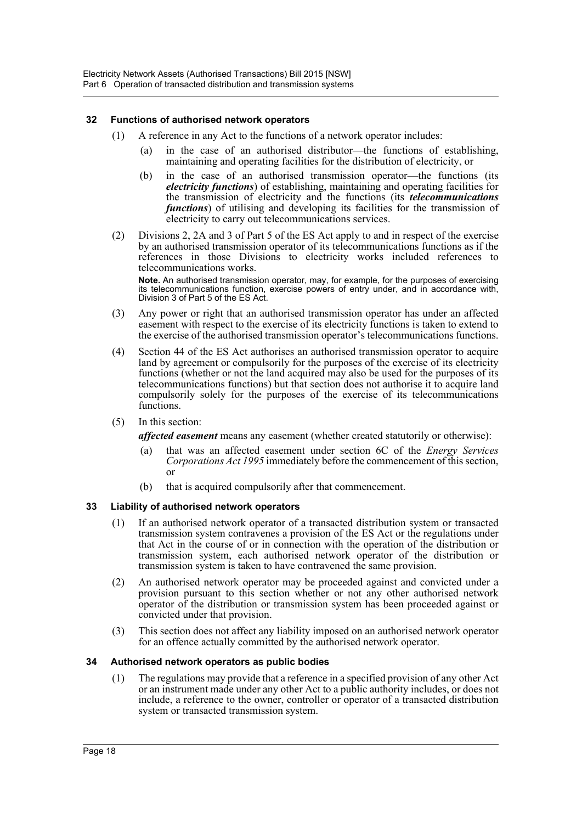# <span id="page-20-0"></span>**32 Functions of authorised network operators**

- (1) A reference in any Act to the functions of a network operator includes:
	- (a) in the case of an authorised distributor—the functions of establishing, maintaining and operating facilities for the distribution of electricity, or
	- (b) in the case of an authorised transmission operator—the functions (its *electricity functions*) of establishing, maintaining and operating facilities for the transmission of electricity and the functions (its *telecommunications functions*) of utilising and developing its facilities for the transmission of electricity to carry out telecommunications services.
- (2) Divisions 2, 2A and 3 of Part 5 of the ES Act apply to and in respect of the exercise by an authorised transmission operator of its telecommunications functions as if the references in those Divisions to electricity works included references to telecommunications works.

**Note.** An authorised transmission operator, may, for example, for the purposes of exercising its telecommunications function, exercise powers of entry under, and in accordance with, Division 3 of Part 5 of the ES Act.

- (3) Any power or right that an authorised transmission operator has under an affected easement with respect to the exercise of its electricity functions is taken to extend to the exercise of the authorised transmission operator's telecommunications functions.
- (4) Section 44 of the ES Act authorises an authorised transmission operator to acquire land by agreement or compulsorily for the purposes of the exercise of its electricity functions (whether or not the land acquired may also be used for the purposes of its telecommunications functions) but that section does not authorise it to acquire land compulsorily solely for the purposes of the exercise of its telecommunications functions.
- (5) In this section:

*affected easement* means any easement (whether created statutorily or otherwise):

- (a) that was an affected easement under section 6C of the *Energy Services Corporations Act 1995* immediately before the commencement of this section, or
- (b) that is acquired compulsorily after that commencement.

#### <span id="page-20-1"></span>**33 Liability of authorised network operators**

- (1) If an authorised network operator of a transacted distribution system or transacted transmission system contravenes a provision of the ES Act or the regulations under that Act in the course of or in connection with the operation of the distribution or transmission system, each authorised network operator of the distribution or transmission system is taken to have contravened the same provision.
- (2) An authorised network operator may be proceeded against and convicted under a provision pursuant to this section whether or not any other authorised network operator of the distribution or transmission system has been proceeded against or convicted under that provision.
- (3) This section does not affect any liability imposed on an authorised network operator for an offence actually committed by the authorised network operator.

#### <span id="page-20-2"></span>**34 Authorised network operators as public bodies**

(1) The regulations may provide that a reference in a specified provision of any other Act or an instrument made under any other Act to a public authority includes, or does not include, a reference to the owner, controller or operator of a transacted distribution system or transacted transmission system.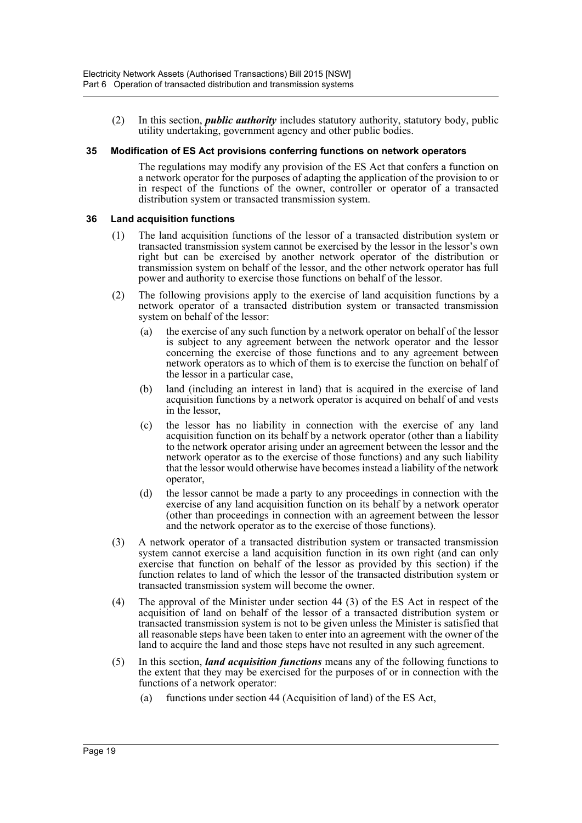(2) In this section, *public authority* includes statutory authority, statutory body, public utility undertaking, government agency and other public bodies.

#### <span id="page-21-0"></span>**35 Modification of ES Act provisions conferring functions on network operators**

The regulations may modify any provision of the ES Act that confers a function on a network operator for the purposes of adapting the application of the provision to or in respect of the functions of the owner, controller or operator of a transacted distribution system or transacted transmission system.

#### <span id="page-21-1"></span>**36 Land acquisition functions**

- (1) The land acquisition functions of the lessor of a transacted distribution system or transacted transmission system cannot be exercised by the lessor in the lessor's own right but can be exercised by another network operator of the distribution or transmission system on behalf of the lessor, and the other network operator has full power and authority to exercise those functions on behalf of the lessor.
- (2) The following provisions apply to the exercise of land acquisition functions by a network operator of a transacted distribution system or transacted transmission system on behalf of the lessor:
	- (a) the exercise of any such function by a network operator on behalf of the lessor is subject to any agreement between the network operator and the lessor concerning the exercise of those functions and to any agreement between network operators as to which of them is to exercise the function on behalf of the lessor in a particular case,
	- (b) land (including an interest in land) that is acquired in the exercise of land acquisition functions by a network operator is acquired on behalf of and vests in the lessor,
	- (c) the lessor has no liability in connection with the exercise of any land acquisition function on its behalf by a network operator (other than a liability to the network operator arising under an agreement between the lessor and the network operator as to the exercise of those functions) and any such liability that the lessor would otherwise have becomes instead a liability of the network operator,
	- (d) the lessor cannot be made a party to any proceedings in connection with the exercise of any land acquisition function on its behalf by a network operator (other than proceedings in connection with an agreement between the lessor and the network operator as to the exercise of those functions).
- (3) A network operator of a transacted distribution system or transacted transmission system cannot exercise a land acquisition function in its own right (and can only exercise that function on behalf of the lessor as provided by this section) if the function relates to land of which the lessor of the transacted distribution system or transacted transmission system will become the owner.
- (4) The approval of the Minister under section 44 (3) of the ES Act in respect of the acquisition of land on behalf of the lessor of a transacted distribution system or transacted transmission system is not to be given unless the Minister is satisfied that all reasonable steps have been taken to enter into an agreement with the owner of the land to acquire the land and those steps have not resulted in any such agreement.
- (5) In this section, *land acquisition functions* means any of the following functions to the extent that they may be exercised for the purposes of or in connection with the functions of a network operator:
	- (a) functions under section 44 (Acquisition of land) of the ES Act,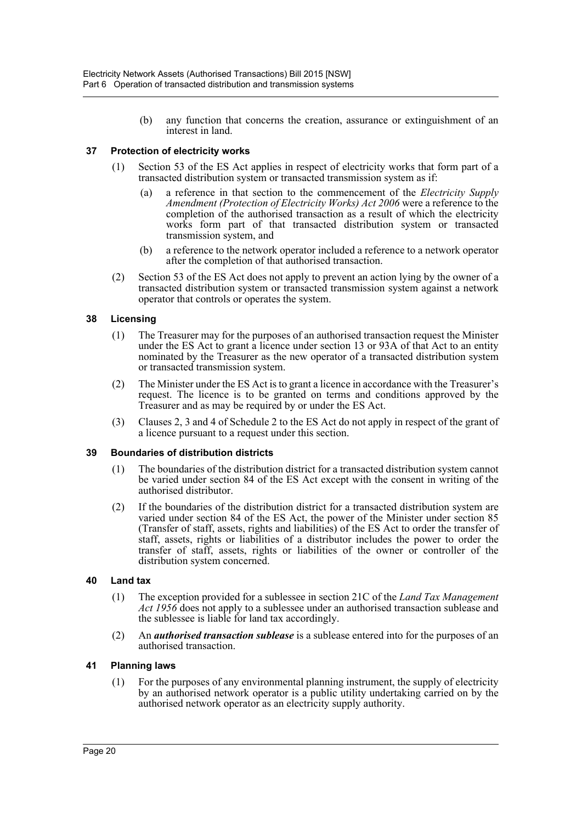(b) any function that concerns the creation, assurance or extinguishment of an interest in land.

# <span id="page-22-0"></span>**37 Protection of electricity works**

- (1) Section 53 of the ES Act applies in respect of electricity works that form part of a transacted distribution system or transacted transmission system as if:
	- (a) a reference in that section to the commencement of the *Electricity Supply Amendment (Protection of Electricity Works) Act 2006* were a reference to the completion of the authorised transaction as a result of which the electricity works form part of that transacted distribution system or transacted transmission system, and
	- (b) a reference to the network operator included a reference to a network operator after the completion of that authorised transaction.
- (2) Section 53 of the ES Act does not apply to prevent an action lying by the owner of a transacted distribution system or transacted transmission system against a network operator that controls or operates the system.

#### <span id="page-22-1"></span>**38 Licensing**

- (1) The Treasurer may for the purposes of an authorised transaction request the Minister under the ES Act to grant a licence under section 13 or 93A of that Act to an entity nominated by the Treasurer as the new operator of a transacted distribution system or transacted transmission system.
- (2) The Minister under the ES Act is to grant a licence in accordance with the Treasurer's request. The licence is to be granted on terms and conditions approved by the Treasurer and as may be required by or under the ES Act.
- (3) Clauses 2, 3 and 4 of Schedule 2 to the ES Act do not apply in respect of the grant of a licence pursuant to a request under this section.

#### <span id="page-22-2"></span>**39 Boundaries of distribution districts**

- (1) The boundaries of the distribution district for a transacted distribution system cannot be varied under section 84 of the ES Act except with the consent in writing of the authorised distributor.
- (2) If the boundaries of the distribution district for a transacted distribution system are varied under section 84 of the ES Act, the power of the Minister under section 85 (Transfer of staff, assets, rights and liabilities) of the ES Act to order the transfer of staff, assets, rights or liabilities of a distributor includes the power to order the transfer of staff, assets, rights or liabilities of the owner or controller of the distribution system concerned.

#### <span id="page-22-3"></span>**40 Land tax**

- (1) The exception provided for a sublessee in section 21C of the *Land Tax Management Act 1956* does not apply to a sublessee under an authorised transaction sublease and the sublessee is liable for land tax accordingly.
- (2) An *authorised transaction sublease* is a sublease entered into for the purposes of an authorised transaction.

#### <span id="page-22-4"></span>**41 Planning laws**

(1) For the purposes of any environmental planning instrument, the supply of electricity by an authorised network operator is a public utility undertaking carried on by the authorised network operator as an electricity supply authority.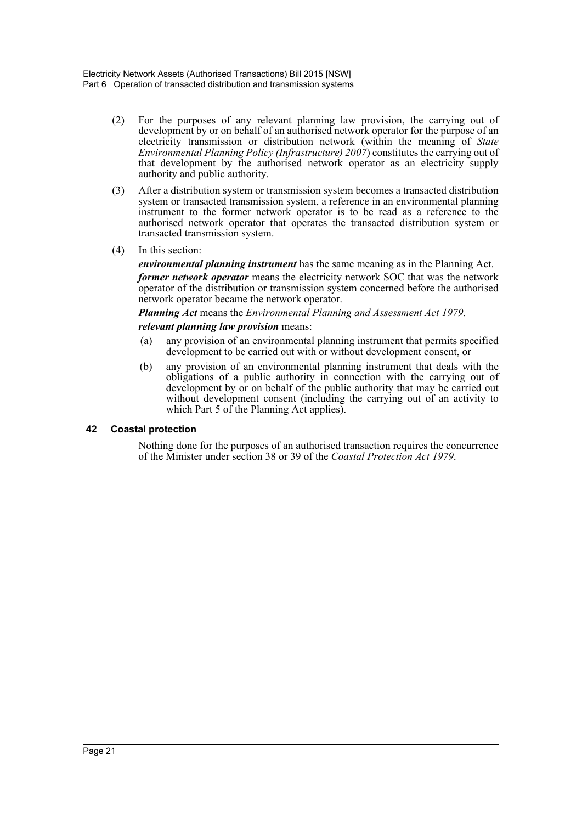- (2) For the purposes of any relevant planning law provision, the carrying out of development by or on behalf of an authorised network operator for the purpose of an electricity transmission or distribution network (within the meaning of *State Environmental Planning Policy (Infrastructure) 2007*) constitutes the carrying out of that development by the authorised network operator as an electricity supply authority and public authority.
- (3) After a distribution system or transmission system becomes a transacted distribution system or transacted transmission system, a reference in an environmental planning instrument to the former network operator is to be read as a reference to the authorised network operator that operates the transacted distribution system or transacted transmission system.
- (4) In this section:

*environmental planning instrument* has the same meaning as in the Planning Act. *former network operator* means the electricity network SOC that was the network operator of the distribution or transmission system concerned before the authorised network operator became the network operator.

*Planning Act* means the *Environmental Planning and Assessment Act 1979*.

# *relevant planning law provision* means:

- (a) any provision of an environmental planning instrument that permits specified development to be carried out with or without development consent, or
- (b) any provision of an environmental planning instrument that deals with the obligations of a public authority in connection with the carrying out of development by or on behalf of the public authority that may be carried out without development consent (including the carrying out of an activity to which Part 5 of the Planning Act applies).

#### <span id="page-23-0"></span>**42 Coastal protection**

Nothing done for the purposes of an authorised transaction requires the concurrence of the Minister under section 38 or 39 of the *Coastal Protection Act 1979*.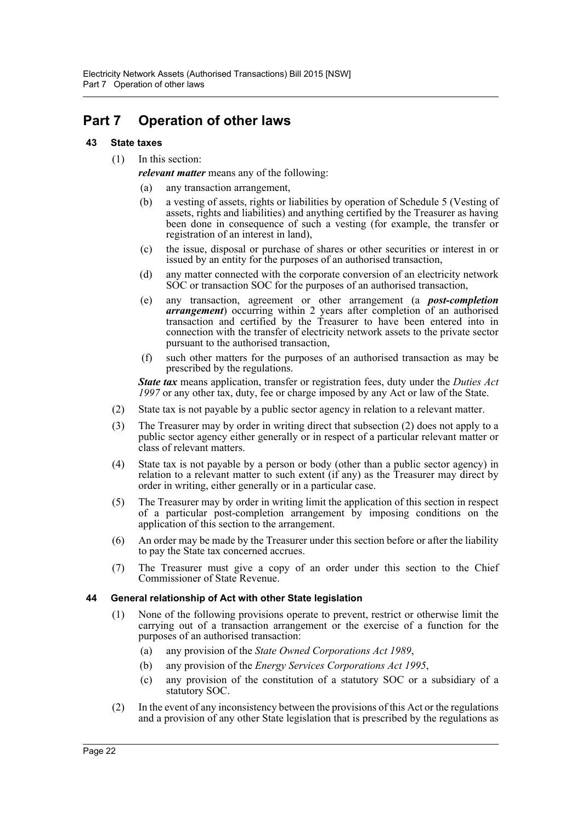# <span id="page-24-0"></span>**Part 7 Operation of other laws**

# <span id="page-24-1"></span>**43 State taxes**

(1) In this section:

*relevant matter* means any of the following:

- (a) any transaction arrangement,
- (b) a vesting of assets, rights or liabilities by operation of Schedule 5 (Vesting of assets, rights and liabilities) and anything certified by the Treasurer as having been done in consequence of such a vesting (for example, the transfer or registration of an interest in land),
- (c) the issue, disposal or purchase of shares or other securities or interest in or issued by an entity for the purposes of an authorised transaction,
- (d) any matter connected with the corporate conversion of an electricity network SOC or transaction SOC for the purposes of an authorised transaction,
- (e) any transaction, agreement or other arrangement (a *post-completion arrangement*) occurring within 2 years after completion of an authorised transaction and certified by the Treasurer to have been entered into in connection with the transfer of electricity network assets to the private sector pursuant to the authorised transaction,
- (f) such other matters for the purposes of an authorised transaction as may be prescribed by the regulations.

*State tax* means application, transfer or registration fees, duty under the *Duties Act 1997* or any other tax, duty, fee or charge imposed by any Act or law of the State.

- (2) State tax is not payable by a public sector agency in relation to a relevant matter.
- (3) The Treasurer may by order in writing direct that subsection (2) does not apply to a public sector agency either generally or in respect of a particular relevant matter or class of relevant matters.
- (4) State tax is not payable by a person or body (other than a public sector agency) in relation to a relevant matter to such extent (if any) as the Treasurer may direct by order in writing, either generally or in a particular case.
- (5) The Treasurer may by order in writing limit the application of this section in respect of a particular post-completion arrangement by imposing conditions on the application of this section to the arrangement.
- (6) An order may be made by the Treasurer under this section before or after the liability to pay the State tax concerned accrues.
- (7) The Treasurer must give a copy of an order under this section to the Chief Commissioner of State Revenue.

#### <span id="page-24-2"></span>**44 General relationship of Act with other State legislation**

- (1) None of the following provisions operate to prevent, restrict or otherwise limit the carrying out of a transaction arrangement or the exercise of a function for the purposes of an authorised transaction:
	- (a) any provision of the *State Owned Corporations Act 1989*,
	- (b) any provision of the *Energy Services Corporations Act 1995*,
	- (c) any provision of the constitution of a statutory SOC or a subsidiary of a statutory SOC.
- (2) In the event of any inconsistency between the provisions of this Act or the regulations and a provision of any other State legislation that is prescribed by the regulations as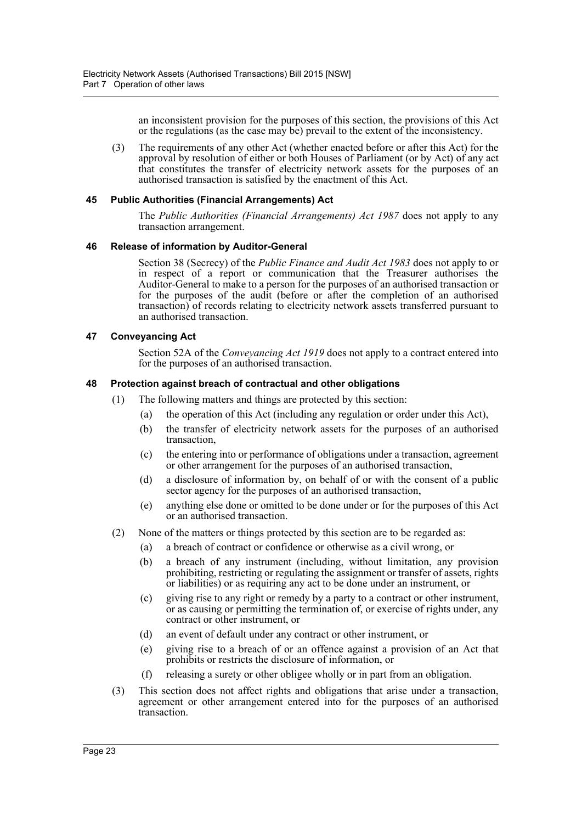an inconsistent provision for the purposes of this section, the provisions of this Act or the regulations (as the case may be) prevail to the extent of the inconsistency.

(3) The requirements of any other Act (whether enacted before or after this Act) for the approval by resolution of either or both Houses of Parliament (or by Act) of any act that constitutes the transfer of electricity network assets for the purposes of an authorised transaction is satisfied by the enactment of this Act.

#### <span id="page-25-0"></span>**45 Public Authorities (Financial Arrangements) Act**

The *Public Authorities (Financial Arrangements) Act 1987* does not apply to any transaction arrangement.

#### <span id="page-25-1"></span>**46 Release of information by Auditor-General**

Section 38 (Secrecy) of the *Public Finance and Audit Act 1983* does not apply to or in respect of a report or communication that the Treasurer authorises the Auditor-General to make to a person for the purposes of an authorised transaction or for the purposes of the audit (before or after the completion of an authorised transaction) of records relating to electricity network assets transferred pursuant to an authorised transaction.

#### <span id="page-25-2"></span>**47 Conveyancing Act**

Section 52A of the *Conveyancing Act 1919* does not apply to a contract entered into for the purposes of an authorised transaction.

#### <span id="page-25-3"></span>**48 Protection against breach of contractual and other obligations**

- (1) The following matters and things are protected by this section:
	- (a) the operation of this Act (including any regulation or order under this Act),
	- (b) the transfer of electricity network assets for the purposes of an authorised transaction,
	- (c) the entering into or performance of obligations under a transaction, agreement or other arrangement for the purposes of an authorised transaction,
	- (d) a disclosure of information by, on behalf of or with the consent of a public sector agency for the purposes of an authorised transaction,
	- (e) anything else done or omitted to be done under or for the purposes of this Act or an authorised transaction.
- (2) None of the matters or things protected by this section are to be regarded as:
	- (a) a breach of contract or confidence or otherwise as a civil wrong, or
	- (b) a breach of any instrument (including, without limitation, any provision prohibiting, restricting or regulating the assignment or transfer of assets, rights or liabilities) or as requiring any act to be done under an instrument, or
	- (c) giving rise to any right or remedy by a party to a contract or other instrument, or as causing or permitting the termination of, or exercise of rights under, any contract or other instrument, or
	- (d) an event of default under any contract or other instrument, or
	- (e) giving rise to a breach of or an offence against a provision of an Act that prohibits or restricts the disclosure of information, or
	- (f) releasing a surety or other obligee wholly or in part from an obligation.
- (3) This section does not affect rights and obligations that arise under a transaction, agreement or other arrangement entered into for the purposes of an authorised transaction.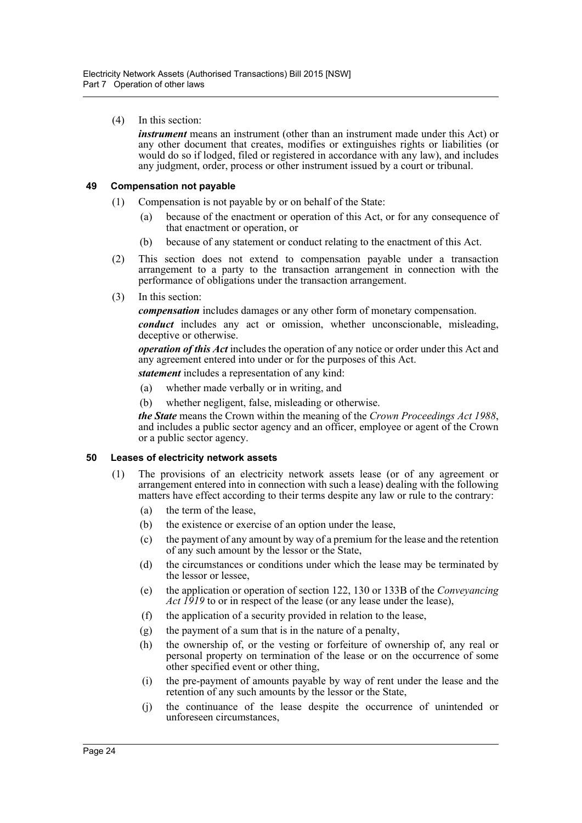(4) In this section:

*instrument* means an instrument (other than an instrument made under this Act) or any other document that creates, modifies or extinguishes rights or liabilities (or would do so if lodged, filed or registered in accordance with any law), and includes any judgment, order, process or other instrument issued by a court or tribunal.

# <span id="page-26-0"></span>**49 Compensation not payable**

- (1) Compensation is not payable by or on behalf of the State:
	- (a) because of the enactment or operation of this Act, or for any consequence of that enactment or operation, or
	- (b) because of any statement or conduct relating to the enactment of this Act.
- (2) This section does not extend to compensation payable under a transaction arrangement to a party to the transaction arrangement in connection with the performance of obligations under the transaction arrangement.
- (3) In this section:

*compensation* includes damages or any other form of monetary compensation.

*conduct* includes any act or omission, whether unconscionable, misleading, deceptive or otherwise.

*operation of this Act* includes the operation of any notice or order under this Act and any agreement entered into under or for the purposes of this Act.

*statement* includes a representation of any kind:

- (a) whether made verbally or in writing, and
- (b) whether negligent, false, misleading or otherwise.

*the State* means the Crown within the meaning of the *Crown Proceedings Act 1988*, and includes a public sector agency and an officer, employee or agent of the Crown or a public sector agency.

#### <span id="page-26-1"></span>**50 Leases of electricity network assets**

- (1) The provisions of an electricity network assets lease (or of any agreement or arrangement entered into in connection with such a lease) dealing with the following matters have effect according to their terms despite any law or rule to the contrary:
	- (a) the term of the lease,
	- (b) the existence or exercise of an option under the lease,
	- (c) the payment of any amount by way of a premium for the lease and the retention of any such amount by the lessor or the State,
	- (d) the circumstances or conditions under which the lease may be terminated by the lessor or lessee,
	- (e) the application or operation of section 122, 130 or 133B of the *Conveyancing Act 1919* to or in respect of the lease (or any lease under the lease),
	- (f) the application of a security provided in relation to the lease,
	- (g) the payment of a sum that is in the nature of a penalty,
	- (h) the ownership of, or the vesting or forfeiture of ownership of, any real or personal property on termination of the lease or on the occurrence of some other specified event or other thing,
	- (i) the pre-payment of amounts payable by way of rent under the lease and the retention of any such amounts by the lessor or the State,
	- (j) the continuance of the lease despite the occurrence of unintended or unforeseen circumstances,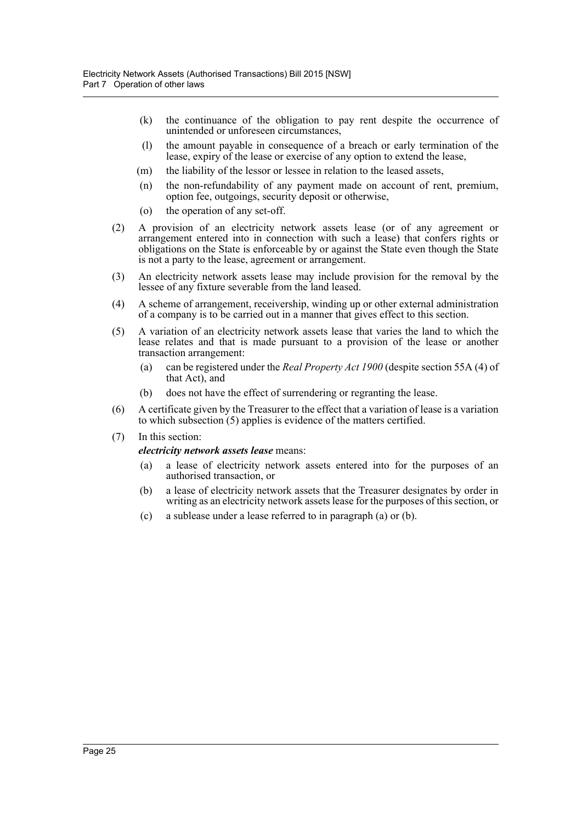- (k) the continuance of the obligation to pay rent despite the occurrence of unintended or unforeseen circumstances,
- (l) the amount payable in consequence of a breach or early termination of the lease, expiry of the lease or exercise of any option to extend the lease,
- (m) the liability of the lessor or lessee in relation to the leased assets,
- (n) the non-refundability of any payment made on account of rent, premium, option fee, outgoings, security deposit or otherwise,
- (o) the operation of any set-off.
- (2) A provision of an electricity network assets lease (or of any agreement or arrangement entered into in connection with such a lease) that confers rights or obligations on the State is enforceable by or against the State even though the State is not a party to the lease, agreement or arrangement.
- (3) An electricity network assets lease may include provision for the removal by the lessee of any fixture severable from the land leased.
- (4) A scheme of arrangement, receivership, winding up or other external administration of a company is to be carried out in a manner that gives effect to this section.
- (5) A variation of an electricity network assets lease that varies the land to which the lease relates and that is made pursuant to a provision of the lease or another transaction arrangement:
	- (a) can be registered under the *Real Property Act 1900* (despite section 55A (4) of that Act), and
	- (b) does not have the effect of surrendering or regranting the lease.
- (6) A certificate given by the Treasurer to the effect that a variation of lease is a variation to which subsection (5) applies is evidence of the matters certified.
- (7) In this section:

#### *electricity network assets lease* means:

- (a) a lease of electricity network assets entered into for the purposes of an authorised transaction, or
- (b) a lease of electricity network assets that the Treasurer designates by order in writing as an electricity network assets lease for the purposes of this section, or
- (c) a sublease under a lease referred to in paragraph (a) or (b).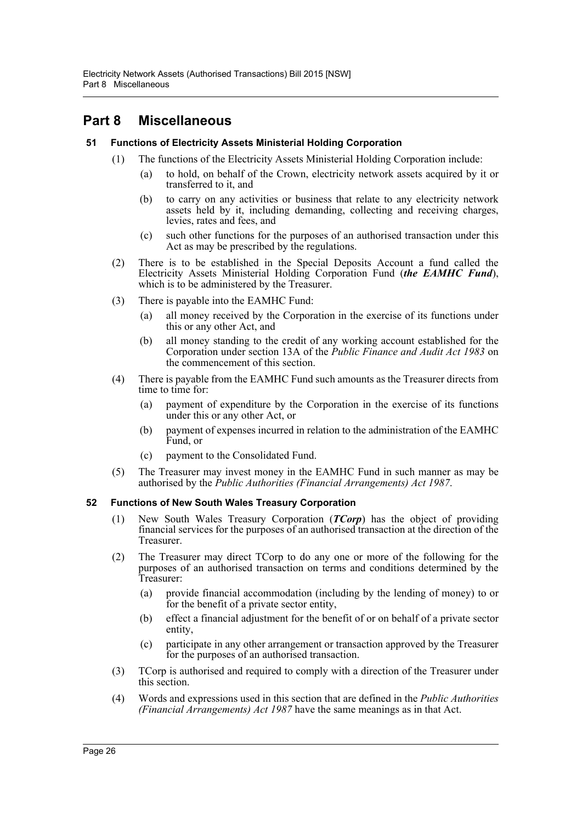# <span id="page-28-0"></span>**Part 8 Miscellaneous**

# <span id="page-28-1"></span>**51 Functions of Electricity Assets Ministerial Holding Corporation**

- (1) The functions of the Electricity Assets Ministerial Holding Corporation include:
	- (a) to hold, on behalf of the Crown, electricity network assets acquired by it or transferred to it, and
	- (b) to carry on any activities or business that relate to any electricity network assets held by it, including demanding, collecting and receiving charges, levies, rates and fees, and
	- (c) such other functions for the purposes of an authorised transaction under this Act as may be prescribed by the regulations.
- (2) There is to be established in the Special Deposits Account a fund called the Electricity Assets Ministerial Holding Corporation Fund (*the EAMHC Fund*), which is to be administered by the Treasurer.
- (3) There is payable into the EAMHC Fund:
	- (a) all money received by the Corporation in the exercise of its functions under this or any other Act, and
	- (b) all money standing to the credit of any working account established for the Corporation under section 13A of the *Public Finance and Audit Act 1983* on the commencement of this section.
- (4) There is payable from the EAMHC Fund such amounts as the Treasurer directs from time to time for:
	- (a) payment of expenditure by the Corporation in the exercise of its functions under this or any other Act, or
	- (b) payment of expenses incurred in relation to the administration of the EAMHC Fund, or
	- (c) payment to the Consolidated Fund.
- (5) The Treasurer may invest money in the EAMHC Fund in such manner as may be authorised by the *Public Authorities (Financial Arrangements) Act 1987*.

# <span id="page-28-2"></span>**52 Functions of New South Wales Treasury Corporation**

- (1) New South Wales Treasury Corporation (*TCorp*) has the object of providing financial services for the purposes of an authorised transaction at the direction of the Treasurer.
- (2) The Treasurer may direct TCorp to do any one or more of the following for the purposes of an authorised transaction on terms and conditions determined by the Treasurer:
	- (a) provide financial accommodation (including by the lending of money) to or for the benefit of a private sector entity,
	- (b) effect a financial adjustment for the benefit of or on behalf of a private sector entity,
	- (c) participate in any other arrangement or transaction approved by the Treasurer for the purposes of an authorised transaction.
- (3) TCorp is authorised and required to comply with a direction of the Treasurer under this section.
- (4) Words and expressions used in this section that are defined in the *Public Authorities (Financial Arrangements) Act 1987* have the same meanings as in that Act.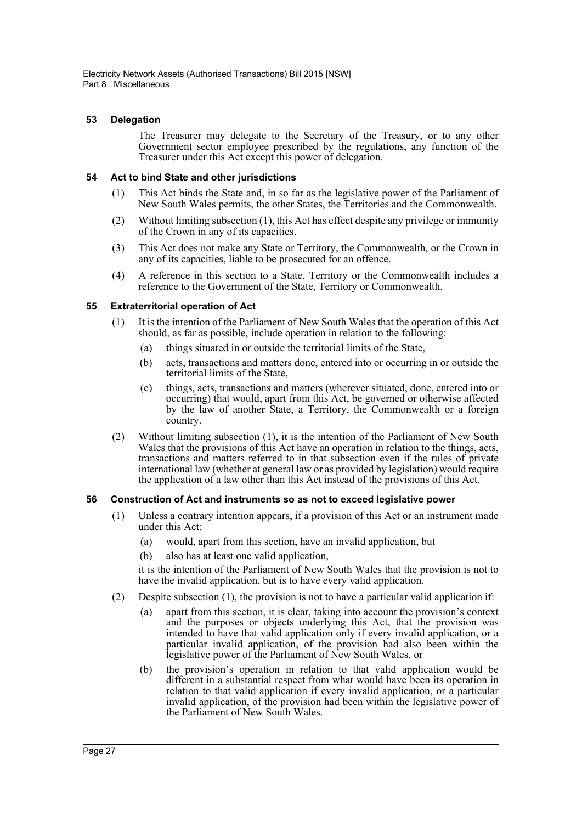### <span id="page-29-0"></span>**53 Delegation**

The Treasurer may delegate to the Secretary of the Treasury, or to any other Government sector employee prescribed by the regulations, any function of the Treasurer under this Act except this power of delegation.

### <span id="page-29-1"></span>**54 Act to bind State and other jurisdictions**

- (1) This Act binds the State and, in so far as the legislative power of the Parliament of New South Wales permits, the other States, the Territories and the Commonwealth.
- (2) Without limiting subsection (1), this Act has effect despite any privilege or immunity of the Crown in any of its capacities.
- (3) This Act does not make any State or Territory, the Commonwealth, or the Crown in any of its capacities, liable to be prosecuted for an offence.
- (4) A reference in this section to a State, Territory or the Commonwealth includes a reference to the Government of the State, Territory or Commonwealth.

# <span id="page-29-2"></span>**55 Extraterritorial operation of Act**

- (1) It is the intention of the Parliament of New South Wales that the operation of this Act should, as far as possible, include operation in relation to the following:
	- (a) things situated in or outside the territorial limits of the State,
	- (b) acts, transactions and matters done, entered into or occurring in or outside the territorial limits of the State,
	- (c) things, acts, transactions and matters (wherever situated, done, entered into or occurring) that would, apart from this Act, be governed or otherwise affected by the law of another State, a Territory, the Commonwealth or a foreign country.
- (2) Without limiting subsection (1), it is the intention of the Parliament of New South Wales that the provisions of this Act have an operation in relation to the things, acts, transactions and matters referred to in that subsection even if the rules of private international law (whether at general law or as provided by legislation) would require the application of a law other than this Act instead of the provisions of this Act.

#### <span id="page-29-3"></span>**56 Construction of Act and instruments so as not to exceed legislative power**

- (1) Unless a contrary intention appears, if a provision of this Act or an instrument made under this Act:
	- (a) would, apart from this section, have an invalid application, but
	- (b) also has at least one valid application,

it is the intention of the Parliament of New South Wales that the provision is not to have the invalid application, but is to have every valid application.

- (2) Despite subsection (1), the provision is not to have a particular valid application if:
	- (a) apart from this section, it is clear, taking into account the provision's context and the purposes or objects underlying this Act, that the provision was intended to have that valid application only if every invalid application, or a particular invalid application, of the provision had also been within the legislative power of the Parliament of New South Wales, or
	- (b) the provision's operation in relation to that valid application would be different in a substantial respect from what would have been its operation in relation to that valid application if every invalid application, or a particular invalid application, of the provision had been within the legislative power of the Parliament of New South Wales.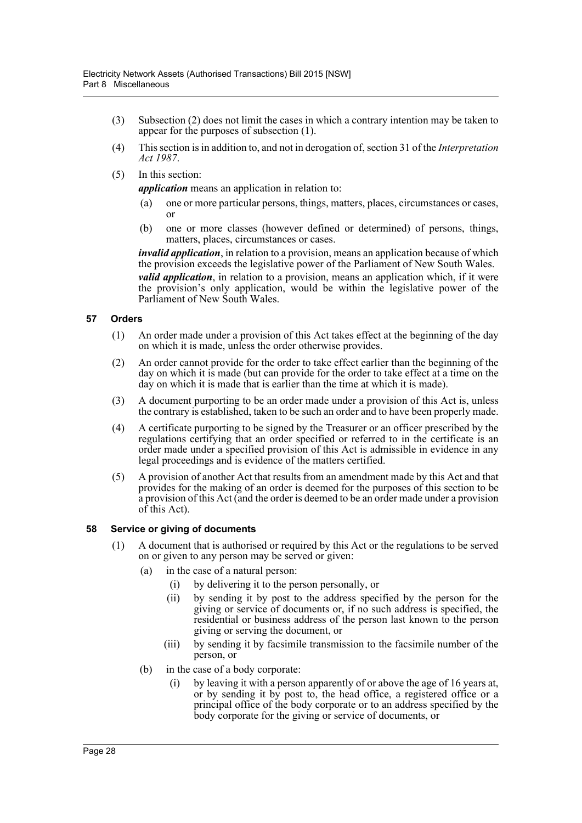- (3) Subsection (2) does not limit the cases in which a contrary intention may be taken to appear for the purposes of subsection (1).
- (4) This section is in addition to, and not in derogation of, section 31 of the *Interpretation Act 1987*.
- (5) In this section:

*application* means an application in relation to:

- (a) one or more particular persons, things, matters, places, circumstances or cases, or
- (b) one or more classes (however defined or determined) of persons, things, matters, places, circumstances or cases.

*invalid application*, in relation to a provision, means an application because of which the provision exceeds the legislative power of the Parliament of New South Wales. *valid application*, in relation to a provision, means an application which, if it were the provision's only application, would be within the legislative power of the Parliament of New South Wales.

# <span id="page-30-0"></span>**57 Orders**

- (1) An order made under a provision of this Act takes effect at the beginning of the day on which it is made, unless the order otherwise provides.
- (2) An order cannot provide for the order to take effect earlier than the beginning of the day on which it is made (but can provide for the order to take effect at a time on the day on which it is made that is earlier than the time at which it is made).
- (3) A document purporting to be an order made under a provision of this Act is, unless the contrary is established, taken to be such an order and to have been properly made.
- (4) A certificate purporting to be signed by the Treasurer or an officer prescribed by the regulations certifying that an order specified or referred to in the certificate is an order made under a specified provision of this Act is admissible in evidence in any legal proceedings and is evidence of the matters certified.
- (5) A provision of another Act that results from an amendment made by this Act and that provides for the making of an order is deemed for the purposes of this section to be a provision of this Act (and the order is deemed to be an order made under a provision of this Act).

#### <span id="page-30-1"></span>**58 Service or giving of documents**

- (1) A document that is authorised or required by this Act or the regulations to be served on or given to any person may be served or given:
	- (a) in the case of a natural person:
		- (i) by delivering it to the person personally, or
		- (ii) by sending it by post to the address specified by the person for the giving or service of documents or, if no such address is specified, the residential or business address of the person last known to the person giving or serving the document, or
		- (iii) by sending it by facsimile transmission to the facsimile number of the person, or
	- (b) in the case of a body corporate:
		- (i) by leaving it with a person apparently of or above the age of 16 years at, or by sending it by post to, the head office, a registered office or a principal office of the body corporate or to an address specified by the body corporate for the giving or service of documents, or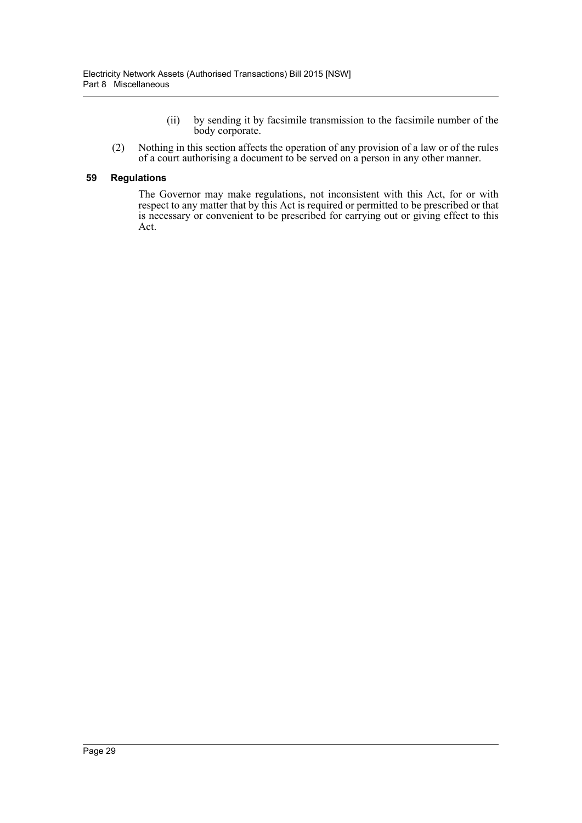- (ii) by sending it by facsimile transmission to the facsimile number of the body corporate.
- (2) Nothing in this section affects the operation of any provision of a law or of the rules of a court authorising a document to be served on a person in any other manner.

#### <span id="page-31-0"></span>**59 Regulations**

The Governor may make regulations, not inconsistent with this Act, for or with respect to any matter that by this Act is required or permitted to be prescribed or that is necessary or convenient to be prescribed for carrying out or giving effect to this Act.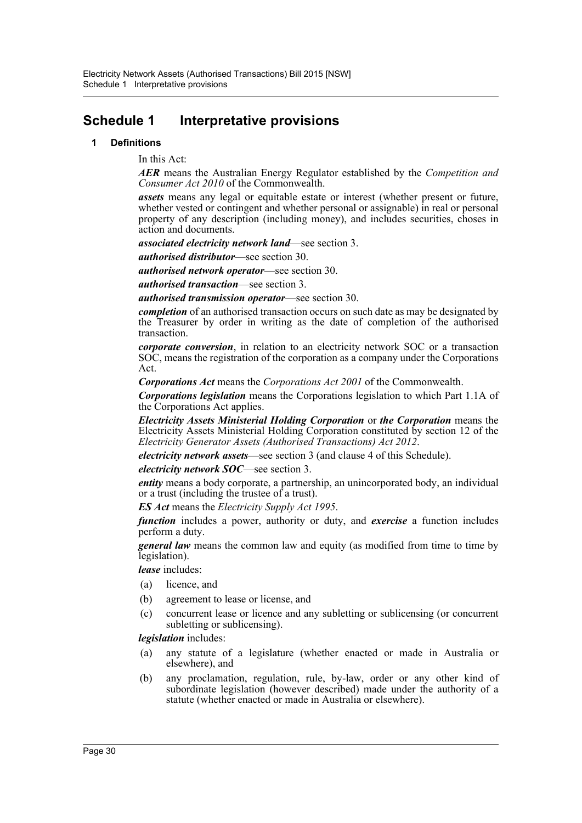# <span id="page-32-0"></span>**Schedule 1 Interpretative provisions**

#### **1 Definitions**

In this Act:

*AER* means the Australian Energy Regulator established by the *Competition and Consumer Act 2010* of the Commonwealth.

*assets* means any legal or equitable estate or interest (whether present or future, whether vested or contingent and whether personal or assignable) in real or personal property of any description (including money), and includes securities, choses in action and documents.

*associated electricity network land*—see section 3.

*authorised distributor*—see section 30.

*authorised network operator*—see section 30.

*authorised transaction*—see section 3.

*authorised transmission operator*—see section 30.

*completion* of an authorised transaction occurs on such date as may be designated by the Treasurer by order in writing as the date of completion of the authorised transaction.

*corporate conversion*, in relation to an electricity network SOC or a transaction SOC, means the registration of the corporation as a company under the Corporations Act.

*Corporations Act* means the *Corporations Act 2001* of the Commonwealth.

*Corporations legislation* means the Corporations legislation to which Part 1.1A of the Corporations Act applies.

*Electricity Assets Ministerial Holding Corporation* or *the Corporation* means the Electricity Assets Ministerial Holding Corporation constituted by section 12 of the *Electricity Generator Assets (Authorised Transactions) Act 2012*.

*electricity network assets*—see section 3 (and clause 4 of this Schedule).

*electricity network SOC*—see section 3.

*entity* means a body corporate, a partnership, an unincorporated body, an individual or a trust (including the trustee of a trust).

*ES Act* means the *Electricity Supply Act 1995*.

*function* includes a power, authority or duty, and *exercise* a function includes perform a duty.

*general law* means the common law and equity (as modified from time to time by legislation).

*lease* includes:

- (a) licence, and
- (b) agreement to lease or license, and
- (c) concurrent lease or licence and any subletting or sublicensing (or concurrent subletting or sublicensing).

*legislation* includes:

- (a) any statute of a legislature (whether enacted or made in Australia or elsewhere), and
- (b) any proclamation, regulation, rule, by-law, order or any other kind of subordinate legislation (however described) made under the authority of a statute (whether enacted or made in Australia or elsewhere).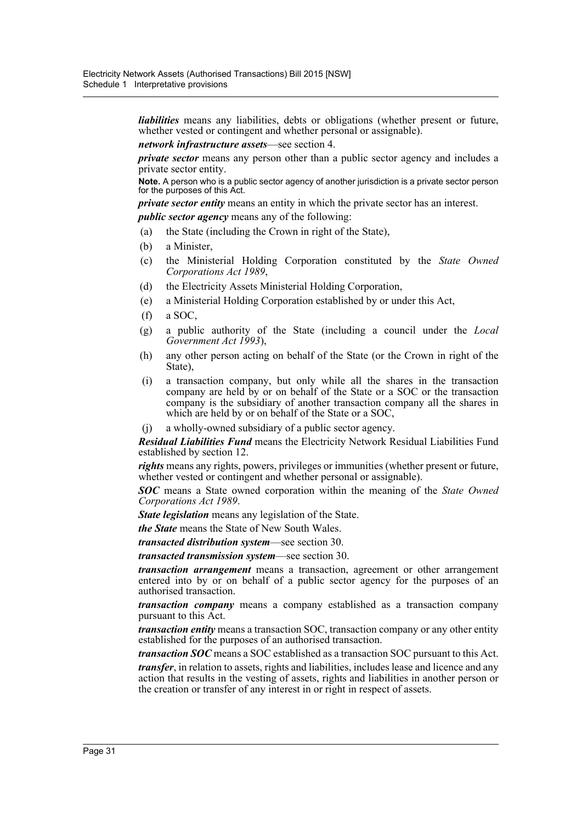*liabilities* means any liabilities, debts or obligations (whether present or future, whether vested or contingent and whether personal or assignable).

*network infrastructure assets*—see section 4.

*private sector* means any person other than a public sector agency and includes a private sector entity.

**Note.** A person who is a public sector agency of another jurisdiction is a private sector person for the purposes of this Act.

*private sector entity* means an entity in which the private sector has an interest.

*public sector agency* means any of the following:

- (a) the State (including the Crown in right of the State),
- (b) a Minister,
- (c) the Ministerial Holding Corporation constituted by the *State Owned Corporations Act 1989*,
- (d) the Electricity Assets Ministerial Holding Corporation,
- (e) a Ministerial Holding Corporation established by or under this Act,
- (f) a SOC,
- (g) a public authority of the State (including a council under the *Local Government Act 1993*),
- (h) any other person acting on behalf of the State (or the Crown in right of the State),
- (i) a transaction company, but only while all the shares in the transaction company are held by or on behalf of the State or a SOC or the transaction company is the subsidiary of another transaction company all the shares in which are held by or on behalf of the State or a SOC,

(j) a wholly-owned subsidiary of a public sector agency.

*Residual Liabilities Fund* means the Electricity Network Residual Liabilities Fund established by section 12.

*rights* means any rights, powers, privileges or immunities (whether present or future, whether vested or contingent and whether personal or assignable).

*SOC* means a State owned corporation within the meaning of the *State Owned Corporations Act 1989*.

*State legislation* means any legislation of the State.

*the State* means the State of New South Wales.

*transacted distribution system*—see section 30.

*transacted transmission system*—see section 30.

*transaction arrangement* means a transaction, agreement or other arrangement entered into by or on behalf of a public sector agency for the purposes of an authorised transaction.

*transaction company* means a company established as a transaction company pursuant to this Act.

*transaction entity* means a transaction SOC, transaction company or any other entity established for the purposes of an authorised transaction.

*transaction SOC* means a SOC established as a transaction SOC pursuant to this Act.

*transfer*, in relation to assets, rights and liabilities, includes lease and licence and any action that results in the vesting of assets, rights and liabilities in another person or the creation or transfer of any interest in or right in respect of assets.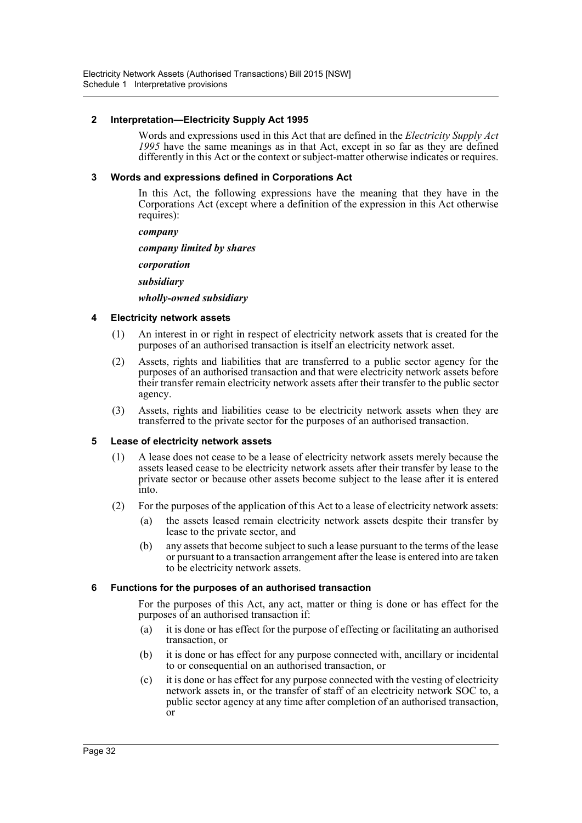### **2 Interpretation—Electricity Supply Act 1995**

Words and expressions used in this Act that are defined in the *Electricity Supply Act 1995* have the same meanings as in that Act, except in so far as they are defined differently in this Act or the context or subject-matter otherwise indicates or requires.

### **3 Words and expressions defined in Corporations Act**

In this Act, the following expressions have the meaning that they have in the Corporations Act (except where a definition of the expression in this Act otherwise requires):

*company*

*company limited by shares*

*corporation*

*subsidiary*

#### *wholly-owned subsidiary*

#### **4 Electricity network assets**

- (1) An interest in or right in respect of electricity network assets that is created for the purposes of an authorised transaction is itself an electricity network asset.
- (2) Assets, rights and liabilities that are transferred to a public sector agency for the purposes of an authorised transaction and that were electricity network assets before their transfer remain electricity network assets after their transfer to the public sector agency.
- (3) Assets, rights and liabilities cease to be electricity network assets when they are transferred to the private sector for the purposes of an authorised transaction.

#### **5 Lease of electricity network assets**

- (1) A lease does not cease to be a lease of electricity network assets merely because the assets leased cease to be electricity network assets after their transfer by lease to the private sector or because other assets become subject to the lease after it is entered into.
- (2) For the purposes of the application of this Act to a lease of electricity network assets:
	- (a) the assets leased remain electricity network assets despite their transfer by lease to the private sector, and
	- (b) any assets that become subject to such a lease pursuant to the terms of the lease or pursuant to a transaction arrangement after the lease is entered into are taken to be electricity network assets.

#### **6 Functions for the purposes of an authorised transaction**

For the purposes of this Act, any act, matter or thing is done or has effect for the purposes of an authorised transaction if:

- (a) it is done or has effect for the purpose of effecting or facilitating an authorised transaction, or
- (b) it is done or has effect for any purpose connected with, ancillary or incidental to or consequential on an authorised transaction, or
- (c) it is done or has effect for any purpose connected with the vesting of electricity network assets in, or the transfer of staff of an electricity network SOC to, a public sector agency at any time after completion of an authorised transaction, or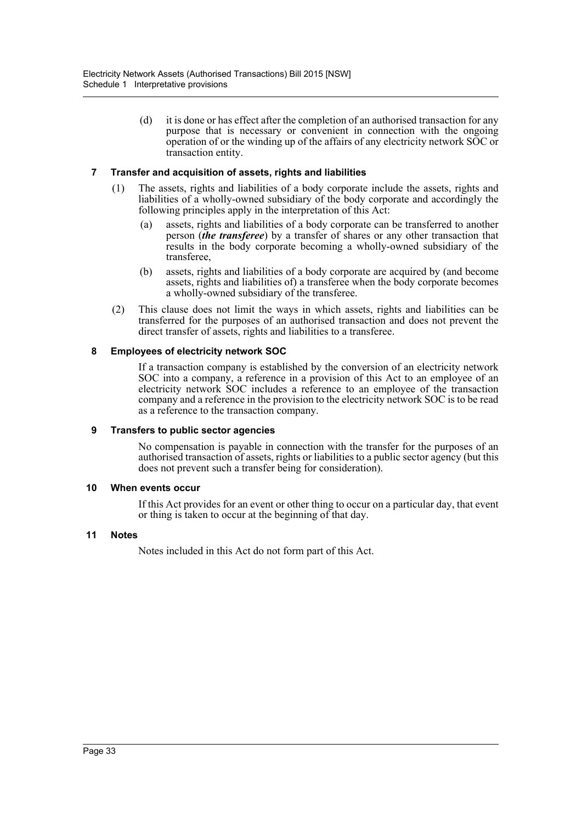(d) it is done or has effect after the completion of an authorised transaction for any purpose that is necessary or convenient in connection with the ongoing operation of or the winding up of the affairs of any electricity network SOC or transaction entity.

# **7 Transfer and acquisition of assets, rights and liabilities**

- (1) The assets, rights and liabilities of a body corporate include the assets, rights and liabilities of a wholly-owned subsidiary of the body corporate and accordingly the following principles apply in the interpretation of this Act:
	- (a) assets, rights and liabilities of a body corporate can be transferred to another person (*the transferee*) by a transfer of shares or any other transaction that results in the body corporate becoming a wholly-owned subsidiary of the transferee,
	- (b) assets, rights and liabilities of a body corporate are acquired by (and become assets, rights and liabilities of) a transferee when the body corporate becomes a wholly-owned subsidiary of the transferee.
- (2) This clause does not limit the ways in which assets, rights and liabilities can be transferred for the purposes of an authorised transaction and does not prevent the direct transfer of assets, rights and liabilities to a transferee.

# **8 Employees of electricity network SOC**

If a transaction company is established by the conversion of an electricity network SOC into a company, a reference in a provision of this Act to an employee of an electricity network SOC includes a reference to an employee of the transaction company and a reference in the provision to the electricity network SOC is to be read as a reference to the transaction company.

#### **9 Transfers to public sector agencies**

No compensation is payable in connection with the transfer for the purposes of an authorised transaction of assets, rights or liabilities to a public sector agency (but this does not prevent such a transfer being for consideration).

#### **10 When events occur**

If this Act provides for an event or other thing to occur on a particular day, that event or thing is taken to occur at the beginning of that day.

#### **11 Notes**

Notes included in this Act do not form part of this Act.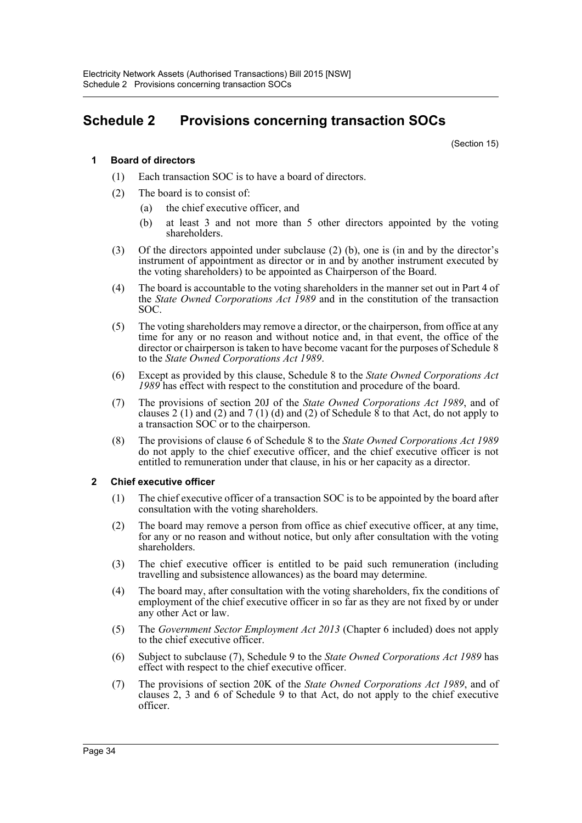# **Schedule 2 Provisions concerning transaction SOCs**

(Section 15)

# **1 Board of directors**

- (1) Each transaction SOC is to have a board of directors.
- (2) The board is to consist of:
	- (a) the chief executive officer, and
	- (b) at least 3 and not more than 5 other directors appointed by the voting shareholders.
- (3) Of the directors appointed under subclause (2) (b), one is (in and by the director's instrument of appointment as director or in and by another instrument executed by the voting shareholders) to be appointed as Chairperson of the Board.
- (4) The board is accountable to the voting shareholders in the manner set out in Part 4 of the *State Owned Corporations Act 1989* and in the constitution of the transaction SOC.
- (5) The voting shareholders may remove a director, or the chairperson, from office at any time for any or no reason and without notice and, in that event, the office of the director or chairperson is taken to have become vacant for the purposes of Schedule 8 to the *State Owned Corporations Act 1989*.
- (6) Except as provided by this clause, Schedule 8 to the *State Owned Corporations Act 1989* has effect with respect to the constitution and procedure of the board.
- (7) The provisions of section 20J of the *State Owned Corporations Act 1989*, and of clauses 2 (1) and (2) and 7 (1) (d) and (2) of Schedule 8 to that Act, do not apply to a transaction SOC or to the chairperson.
- (8) The provisions of clause 6 of Schedule 8 to the *State Owned Corporations Act 1989* do not apply to the chief executive officer, and the chief executive officer is not entitled to remuneration under that clause, in his or her capacity as a director.

## **2 Chief executive officer**

- (1) The chief executive officer of a transaction SOC is to be appointed by the board after consultation with the voting shareholders.
- (2) The board may remove a person from office as chief executive officer, at any time, for any or no reason and without notice, but only after consultation with the voting shareholders.
- (3) The chief executive officer is entitled to be paid such remuneration (including travelling and subsistence allowances) as the board may determine.
- (4) The board may, after consultation with the voting shareholders, fix the conditions of employment of the chief executive officer in so far as they are not fixed by or under any other Act or law.
- (5) The *Government Sector Employment Act 2013* (Chapter 6 included) does not apply to the chief executive officer.
- (6) Subject to subclause (7), Schedule 9 to the *State Owned Corporations Act 1989* has effect with respect to the chief executive officer.
- (7) The provisions of section 20K of the *State Owned Corporations Act 1989*, and of clauses 2, 3 and 6 of Schedule 9 to that Act, do not apply to the chief executive officer.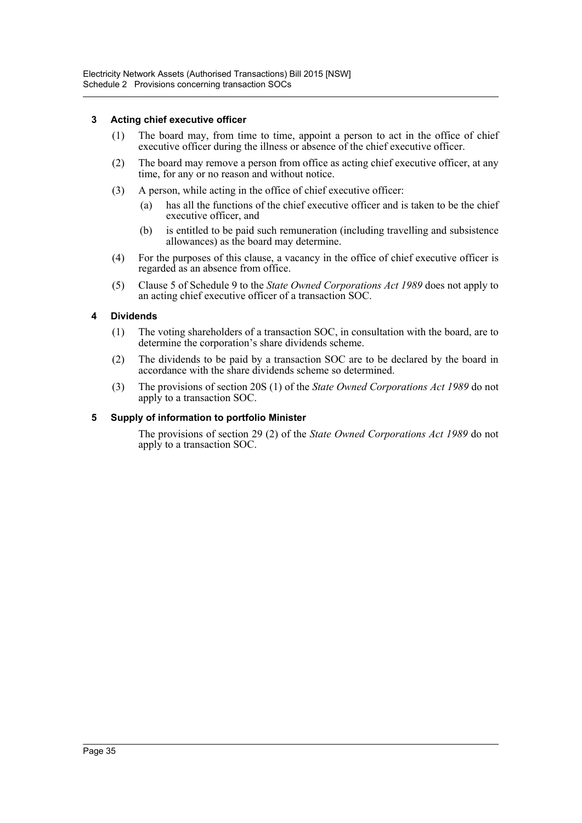# **3 Acting chief executive officer**

- (1) The board may, from time to time, appoint a person to act in the office of chief executive officer during the illness or absence of the chief executive officer.
- (2) The board may remove a person from office as acting chief executive officer, at any time, for any or no reason and without notice.
- (3) A person, while acting in the office of chief executive officer:
	- (a) has all the functions of the chief executive officer and is taken to be the chief executive officer, and
	- (b) is entitled to be paid such remuneration (including travelling and subsistence allowances) as the board may determine.
- (4) For the purposes of this clause, a vacancy in the office of chief executive officer is regarded as an absence from office.
- (5) Clause 5 of Schedule 9 to the *State Owned Corporations Act 1989* does not apply to an acting chief executive officer of a transaction SOC.

## **4 Dividends**

- (1) The voting shareholders of a transaction SOC, in consultation with the board, are to determine the corporation's share dividends scheme.
- (2) The dividends to be paid by a transaction SOC are to be declared by the board in accordance with the share dividends scheme so determined.
- (3) The provisions of section 20S (1) of the *State Owned Corporations Act 1989* do not apply to a transaction SOC.

## **5 Supply of information to portfolio Minister**

The provisions of section 29 (2) of the *State Owned Corporations Act 1989* do not apply to a transaction SOC.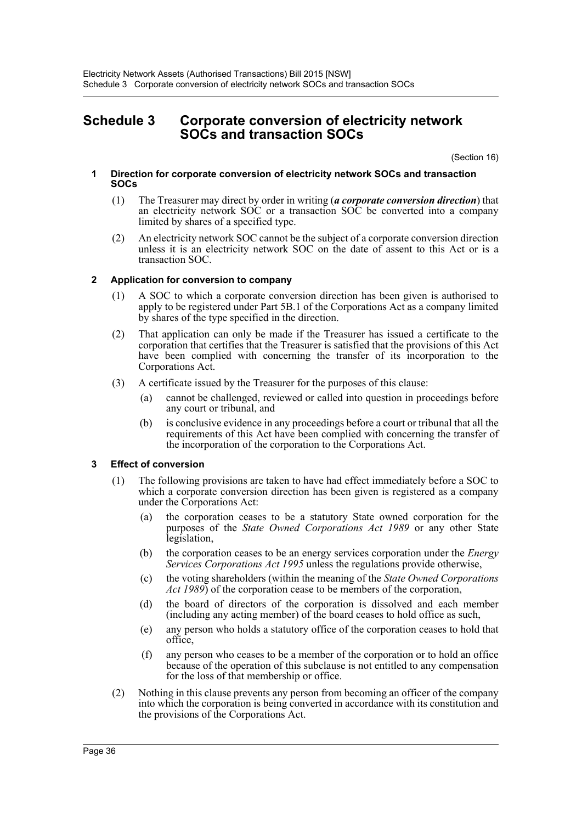# **Schedule 3 Corporate conversion of electricity network SOCs and transaction SOCs**

(Section 16)

- **1 Direction for corporate conversion of electricity network SOCs and transaction SOCs**
	- (1) The Treasurer may direct by order in writing (*a corporate conversion direction*) that an electricity network SOC or a transaction SOC be converted into a company limited by shares of a specified type.
	- (2) An electricity network SOC cannot be the subject of a corporate conversion direction unless it is an electricity network SOC on the date of assent to this Act or is a transaction SOC.

## **2 Application for conversion to company**

- (1) A SOC to which a corporate conversion direction has been given is authorised to apply to be registered under Part 5B.1 of the Corporations Act as a company limited by shares of the type specified in the direction.
- (2) That application can only be made if the Treasurer has issued a certificate to the corporation that certifies that the Treasurer is satisfied that the provisions of this Act have been complied with concerning the transfer of its incorporation to the Corporations Act.
- (3) A certificate issued by the Treasurer for the purposes of this clause:
	- (a) cannot be challenged, reviewed or called into question in proceedings before any court or tribunal, and
	- (b) is conclusive evidence in any proceedings before a court or tribunal that all the requirements of this Act have been complied with concerning the transfer of the incorporation of the corporation to the Corporations Act.

# **3 Effect of conversion**

- (1) The following provisions are taken to have had effect immediately before a SOC to which a corporate conversion direction has been given is registered as a company under the Corporations Act:
	- (a) the corporation ceases to be a statutory State owned corporation for the purposes of the *State Owned Corporations Act 1989* or any other State legislation,
	- (b) the corporation ceases to be an energy services corporation under the *Energy Services Corporations Act 1995* unless the regulations provide otherwise,
	- (c) the voting shareholders (within the meaning of the *State Owned Corporations Act 1989*) of the corporation cease to be members of the corporation,
	- (d) the board of directors of the corporation is dissolved and each member (including any acting member) of the board ceases to hold office as such,
	- (e) any person who holds a statutory office of the corporation ceases to hold that office,
	- (f) any person who ceases to be a member of the corporation or to hold an office because of the operation of this subclause is not entitled to any compensation for the loss of that membership or office.
- (2) Nothing in this clause prevents any person from becoming an officer of the company into which the corporation is being converted in accordance with its constitution and the provisions of the Corporations Act.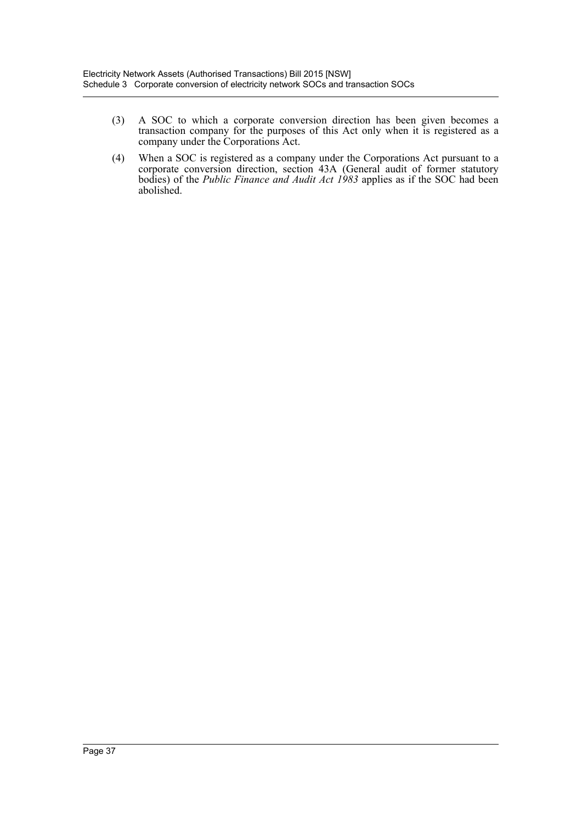- (3) A SOC to which a corporate conversion direction has been given becomes a transaction company for the purposes of this Act only when it is registered as a company under the Corporations Act.
- (4) When a SOC is registered as a company under the Corporations Act pursuant to a corporate conversion direction, section 43A (General audit of former statutory bodies) of the *Public Finance and Audit Act 1983* applies as if the SOC had been abolished.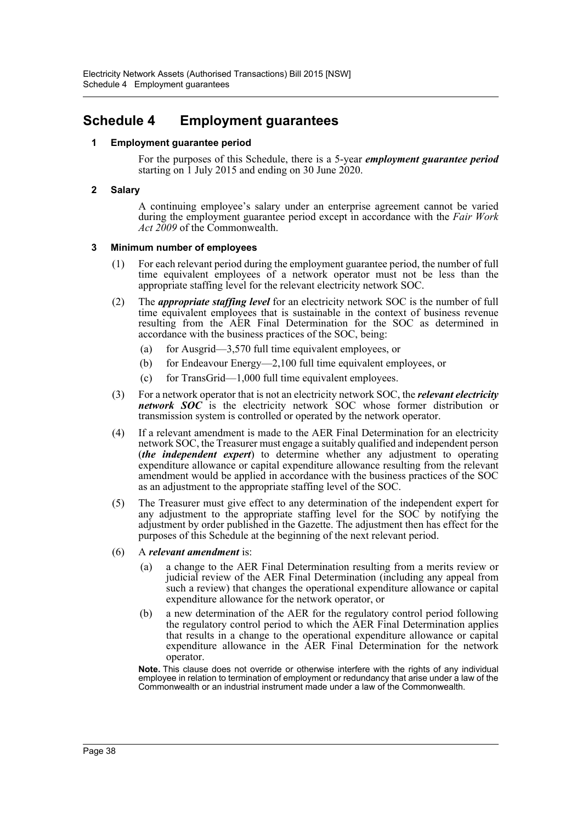# **Schedule 4 Employment guarantees**

# **1 Employment guarantee period**

For the purposes of this Schedule, there is a 5-year *employment guarantee period* starting on 1 July 2015 and ending on 30 June 2020.

## **2 Salary**

A continuing employee's salary under an enterprise agreement cannot be varied during the employment guarantee period except in accordance with the *Fair Work Act 2009* of the Commonwealth.

## **3 Minimum number of employees**

- (1) For each relevant period during the employment guarantee period, the number of full time equivalent employees of a network operator must not be less than the appropriate staffing level for the relevant electricity network SOC.
- (2) The *appropriate staffing level* for an electricity network SOC is the number of full time equivalent employees that is sustainable in the context of business revenue resulting from the AER Final Determination for the SOC as determined in accordance with the business practices of the SOC, being:
	- (a) for Ausgrid—3,570 full time equivalent employees, or
	- (b) for Endeavour Energy—2,100 full time equivalent employees, or
	- (c) for TransGrid—1,000 full time equivalent employees.
- (3) For a network operator that is not an electricity network SOC, the *relevant electricity network SOC* is the electricity network SOC whose former distribution or transmission system is controlled or operated by the network operator.
- (4) If a relevant amendment is made to the AER Final Determination for an electricity network SOC, the Treasurer must engage a suitably qualified and independent person (*the independent expert*) to determine whether any adjustment to operating expenditure allowance or capital expenditure allowance resulting from the relevant amendment would be applied in accordance with the business practices of the SOC as an adjustment to the appropriate staffing level of the SOC.
- (5) The Treasurer must give effect to any determination of the independent expert for any adjustment to the appropriate staffing level for the SOC by notifying the adjustment by order published in the Gazette. The adjustment then has effect for the purposes of this Schedule at the beginning of the next relevant period.
- (6) A *relevant amendment* is:
	- (a) a change to the AER Final Determination resulting from a merits review or judicial review of the AER Final Determination (including any appeal from such a review) that changes the operational expenditure allowance or capital expenditure allowance for the network operator, or
	- (b) a new determination of the AER for the regulatory control period following the regulatory control period to which the AER Final Determination applies that results in a change to the operational expenditure allowance or capital expenditure allowance in the AER Final Determination for the network operator.

**Note.** This clause does not override or otherwise interfere with the rights of any individual employee in relation to termination of employment or redundancy that arise under a law of the Commonwealth or an industrial instrument made under a law of the Commonwealth.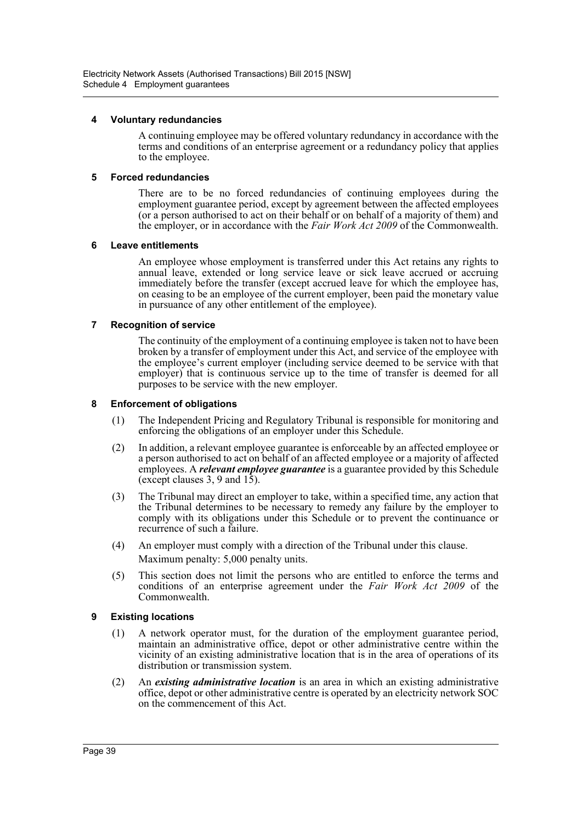## **4 Voluntary redundancies**

A continuing employee may be offered voluntary redundancy in accordance with the terms and conditions of an enterprise agreement or a redundancy policy that applies to the employee.

# **5 Forced redundancies**

There are to be no forced redundancies of continuing employees during the employment guarantee period, except by agreement between the affected employees (or a person authorised to act on their behalf or on behalf of a majority of them) and the employer, or in accordance with the *Fair Work Act 2009* of the Commonwealth.

# **6 Leave entitlements**

An employee whose employment is transferred under this Act retains any rights to annual leave, extended or long service leave or sick leave accrued or accruing immediately before the transfer (except accrued leave for which the employee has, on ceasing to be an employee of the current employer, been paid the monetary value in pursuance of any other entitlement of the employee).

# **7 Recognition of service**

The continuity of the employment of a continuing employee is taken not to have been broken by a transfer of employment under this Act, and service of the employee with the employee's current employer (including service deemed to be service with that employer) that is continuous service up to the time of transfer is deemed for all purposes to be service with the new employer.

# **8 Enforcement of obligations**

- (1) The Independent Pricing and Regulatory Tribunal is responsible for monitoring and enforcing the obligations of an employer under this Schedule.
- (2) In addition, a relevant employee guarantee is enforceable by an affected employee or a person authorised to act on behalf of an affected employee or a majority of affected employees. A *relevant employee guarantee* is a guarantee provided by this Schedule (except clauses  $3, 9$  and  $15$ ).
- (3) The Tribunal may direct an employer to take, within a specified time, any action that the Tribunal determines to be necessary to remedy any failure by the employer to comply with its obligations under this Schedule or to prevent the continuance or recurrence of such a failure.
- (4) An employer must comply with a direction of the Tribunal under this clause. Maximum penalty: 5,000 penalty units.
- (5) This section does not limit the persons who are entitled to enforce the terms and conditions of an enterprise agreement under the *Fair Work Act 2009* of the Commonwealth.

# **9 Existing locations**

- (1) A network operator must, for the duration of the employment guarantee period, maintain an administrative office, depot or other administrative centre within the vicinity of an existing administrative location that is in the area of operations of its distribution or transmission system.
- (2) An *existing administrative location* is an area in which an existing administrative office, depot or other administrative centre is operated by an electricity network SOC on the commencement of this Act.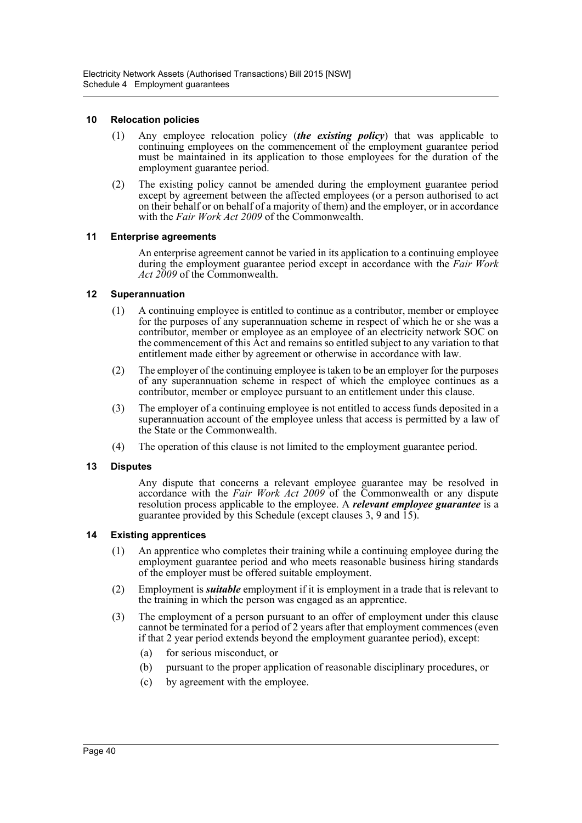## **10 Relocation policies**

- (1) Any employee relocation policy (*the existing policy*) that was applicable to continuing employees on the commencement of the employment guarantee period must be maintained in its application to those employees for the duration of the employment guarantee period.
- (2) The existing policy cannot be amended during the employment guarantee period except by agreement between the affected employees (or a person authorised to act on their behalf or on behalf of a majority of them) and the employer, or in accordance with the *Fair Work Act 2009* of the Commonwealth.

## **11 Enterprise agreements**

An enterprise agreement cannot be varied in its application to a continuing employee during the employment guarantee period except in accordance with the *Fair Work Act 2009* of the Commonwealth.

# **12 Superannuation**

- (1) A continuing employee is entitled to continue as a contributor, member or employee for the purposes of any superannuation scheme in respect of which he or she was a contributor, member or employee as an employee of an electricity network SOC on the commencement of this Act and remains so entitled subject to any variation to that entitlement made either by agreement or otherwise in accordance with law.
- (2) The employer of the continuing employee is taken to be an employer for the purposes of any superannuation scheme in respect of which the employee continues as a contributor, member or employee pursuant to an entitlement under this clause.
- (3) The employer of a continuing employee is not entitled to access funds deposited in a superannuation account of the employee unless that access is permitted by a law of the State or the Commonwealth.
- (4) The operation of this clause is not limited to the employment guarantee period.

## **13 Disputes**

Any dispute that concerns a relevant employee guarantee may be resolved in accordance with the *Fair Work Act 2009* of the Commonwealth or any dispute resolution process applicable to the employee. A *relevant employee guarantee* is a guarantee provided by this Schedule (except clauses 3, 9 and 15).

## **14 Existing apprentices**

- (1) An apprentice who completes their training while a continuing employee during the employment guarantee period and who meets reasonable business hiring standards of the employer must be offered suitable employment.
- (2) Employment is *suitable* employment if it is employment in a trade that is relevant to the training in which the person was engaged as an apprentice.
- (3) The employment of a person pursuant to an offer of employment under this clause cannot be terminated for a period of 2 years after that employment commences (even if that 2 year period extends beyond the employment guarantee period), except:
	- (a) for serious misconduct, or
	- (b) pursuant to the proper application of reasonable disciplinary procedures, or
	- (c) by agreement with the employee.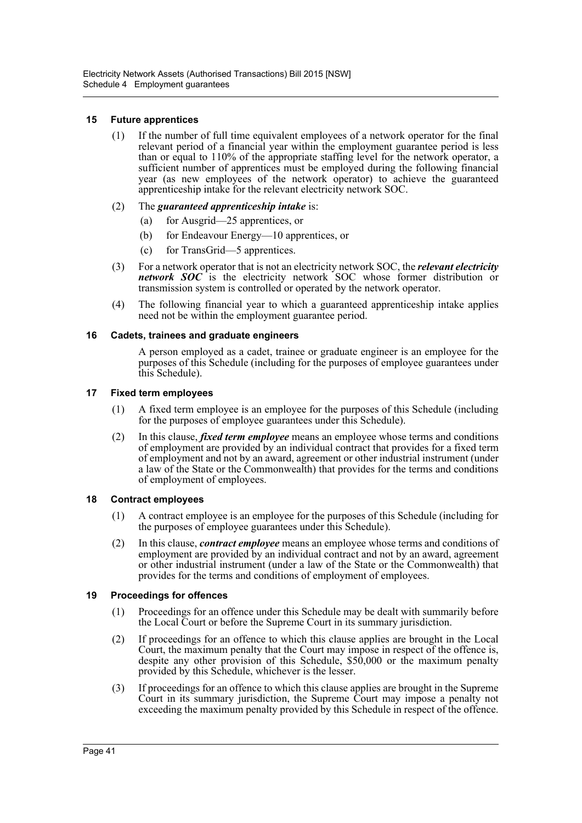# **15 Future apprentices**

- (1) If the number of full time equivalent employees of a network operator for the final relevant period of a financial year within the employment guarantee period is less than or equal to 110% of the appropriate staffing level for the network operator, a sufficient number of apprentices must be employed during the following financial year (as new employees of the network operator) to achieve the guaranteed apprenticeship intake for the relevant electricity network SOC.
- (2) The *guaranteed apprenticeship intake* is:
	- (a) for Ausgrid—25 apprentices, or
	- (b) for Endeavour Energy—10 apprentices, or
	- (c) for TransGrid—5 apprentices.
- (3) For a network operator that is not an electricity network SOC, the *relevant electricity network SOC* is the electricity network SOC whose former distribution or transmission system is controlled or operated by the network operator.
- (4) The following financial year to which a guaranteed apprenticeship intake applies need not be within the employment guarantee period.

## **16 Cadets, trainees and graduate engineers**

A person employed as a cadet, trainee or graduate engineer is an employee for the purposes of this Schedule (including for the purposes of employee guarantees under this Schedule).

## **17 Fixed term employees**

- (1) A fixed term employee is an employee for the purposes of this Schedule (including for the purposes of employee guarantees under this Schedule).
- (2) In this clause, *fixed term employee* means an employee whose terms and conditions of employment are provided by an individual contract that provides for a fixed term of employment and not by an award, agreement or other industrial instrument (under a law of the State or the Commonwealth) that provides for the terms and conditions of employment of employees.

## **18 Contract employees**

- (1) A contract employee is an employee for the purposes of this Schedule (including for the purposes of employee guarantees under this Schedule).
- (2) In this clause, *contract employee* means an employee whose terms and conditions of employment are provided by an individual contract and not by an award, agreement or other industrial instrument (under a law of the State or the Commonwealth) that provides for the terms and conditions of employment of employees.

# **19 Proceedings for offences**

- (1) Proceedings for an offence under this Schedule may be dealt with summarily before the Local Court or before the Supreme Court in its summary jurisdiction.
- (2) If proceedings for an offence to which this clause applies are brought in the Local Court, the maximum penalty that the Court may impose in respect of the offence is, despite any other provision of this Schedule, \$50,000 or the maximum penalty provided by this Schedule, whichever is the lesser.
- (3) If proceedings for an offence to which this clause applies are brought in the Supreme Court in its summary jurisdiction, the Supreme Court may impose a penalty not exceeding the maximum penalty provided by this Schedule in respect of the offence.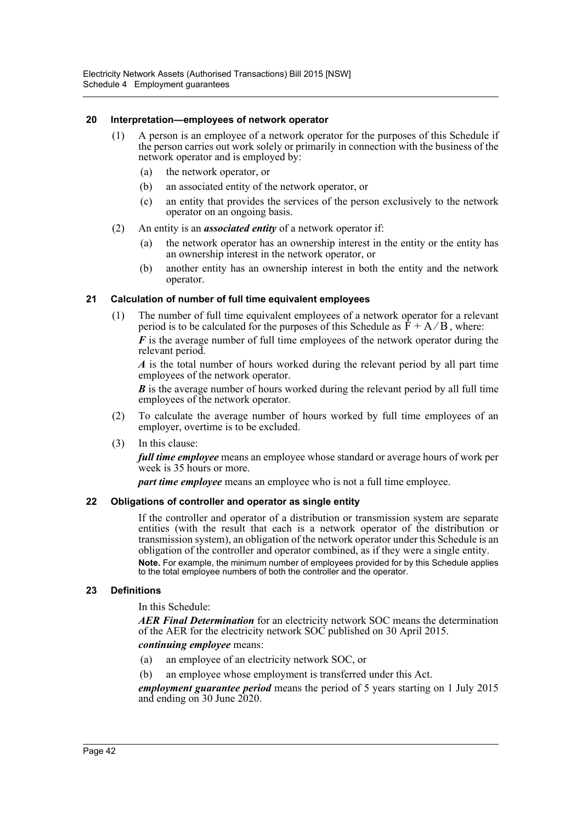## **20 Interpretation—employees of network operator**

- (1) A person is an employee of a network operator for the purposes of this Schedule if the person carries out work solely or primarily in connection with the business of the network operator and is employed by:
	- (a) the network operator, or
	- (b) an associated entity of the network operator, or
	- (c) an entity that provides the services of the person exclusively to the network operator on an ongoing basis.
- (2) An entity is an *associated entity* of a network operator if:
	- (a) the network operator has an ownership interest in the entity or the entity has an ownership interest in the network operator, or
	- (b) another entity has an ownership interest in both the entity and the network operator.

## **21 Calculation of number of full time equivalent employees**

(1) The number of full time equivalent employees of a network operator for a relevant period is to be calculated for the purposes of this Schedule as  $\hat{F} + A/B$ , where:

*F* is the average number of full time employees of the network operator during the relevant period.

*A* is the total number of hours worked during the relevant period by all part time employees of the network operator.

*B* is the average number of hours worked during the relevant period by all full time employees of the network operator.

- (2) To calculate the average number of hours worked by full time employees of an employer, overtime is to be excluded.
- (3) In this clause:

*full time employee* means an employee whose standard or average hours of work per week is 35 hours or more.

*part time employee* means an employee who is not a full time employee.

## **22 Obligations of controller and operator as single entity**

If the controller and operator of a distribution or transmission system are separate entities (with the result that each is a network operator of the distribution or transmission system), an obligation of the network operator under this Schedule is an obligation of the controller and operator combined, as if they were a single entity. **Note.** For example, the minimum number of employees provided for by this Schedule applies to the total employee numbers of both the controller and the operator.

## **23 Definitions**

In this Schedule:

*AER Final Determination* for an electricity network SOC means the determination of the AER for the electricity network SOC published on 30 April 2015.

#### *continuing employee* means:

- (a) an employee of an electricity network SOC, or
- (b) an employee whose employment is transferred under this Act.

*employment guarantee period* means the period of 5 years starting on 1 July 2015 and ending on 30 June 2020.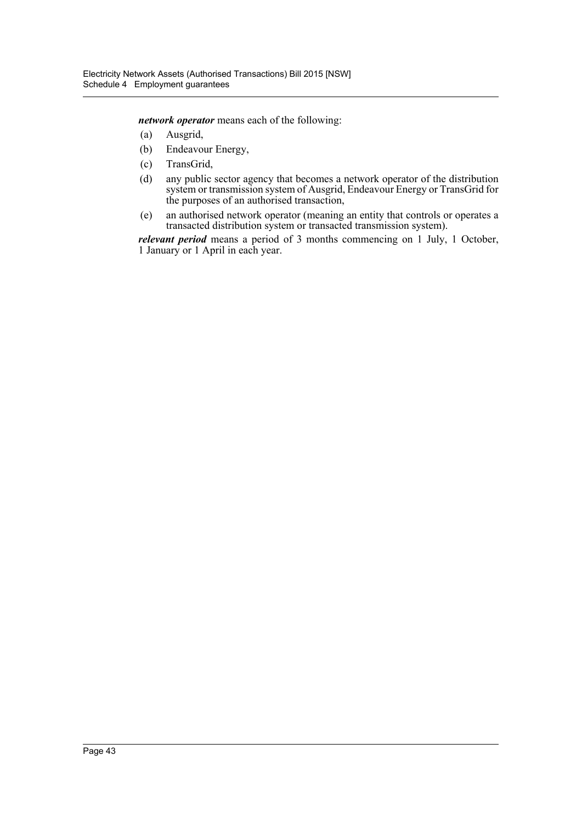*network operator* means each of the following:

- (a) Ausgrid,
- (b) Endeavour Energy,
- (c) TransGrid,
- (d) any public sector agency that becomes a network operator of the distribution system or transmission system of Ausgrid, Endeavour Energy or TransGrid for the purposes of an authorised transaction,
- (e) an authorised network operator (meaning an entity that controls or operates a transacted distribution system or transacted transmission system).

*relevant period* means a period of 3 months commencing on 1 July, 1 October, 1 January or 1 April in each year.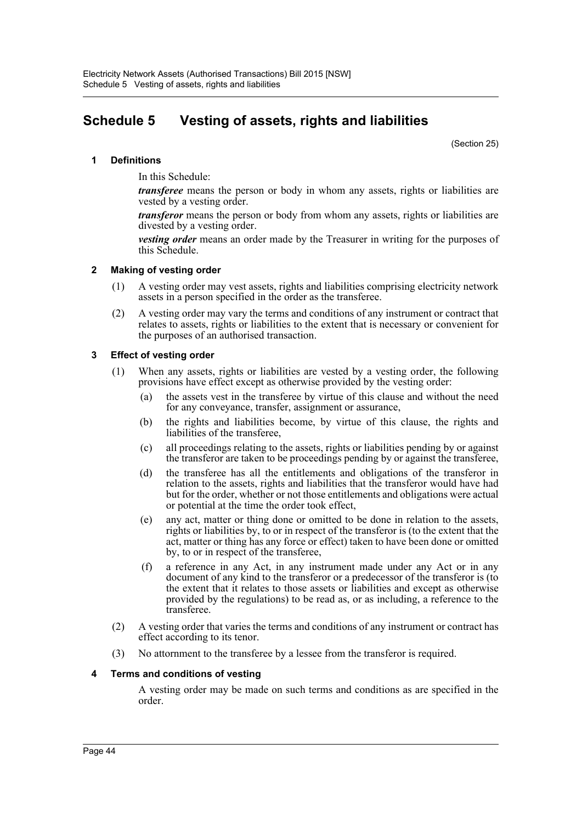# **Schedule 5 Vesting of assets, rights and liabilities**

(Section 25)

# **1 Definitions**

In this Schedule:

*transferee* means the person or body in whom any assets, rights or liabilities are vested by a vesting order.

*transferor* means the person or body from whom any assets, rights or liabilities are divested by a vesting order.

*vesting order* means an order made by the Treasurer in writing for the purposes of this Schedule.

## **2 Making of vesting order**

- (1) A vesting order may vest assets, rights and liabilities comprising electricity network assets in a person specified in the order as the transferee.
- (2) A vesting order may vary the terms and conditions of any instrument or contract that relates to assets, rights or liabilities to the extent that is necessary or convenient for the purposes of an authorised transaction.

# **3 Effect of vesting order**

- (1) When any assets, rights or liabilities are vested by a vesting order, the following provisions have effect except as otherwise provided by the vesting order:
	- (a) the assets vest in the transferee by virtue of this clause and without the need for any conveyance, transfer, assignment or assurance,
	- (b) the rights and liabilities become, by virtue of this clause, the rights and liabilities of the transferee,
	- (c) all proceedings relating to the assets, rights or liabilities pending by or against the transferor are taken to be proceedings pending by or against the transferee,
	- (d) the transferee has all the entitlements and obligations of the transferor in relation to the assets, rights and liabilities that the transferor would have had but for the order, whether or not those entitlements and obligations were actual or potential at the time the order took effect,
	- (e) any act, matter or thing done or omitted to be done in relation to the assets, rights or liabilities by, to or in respect of the transferor is (to the extent that the act, matter or thing has any force or effect) taken to have been done or omitted by, to or in respect of the transferee,
	- (f) a reference in any Act, in any instrument made under any Act or in any document of any kind to the transferor or a predecessor of the transferor is (to the extent that it relates to those assets or liabilities and except as otherwise provided by the regulations) to be read as, or as including, a reference to the transferee.
- (2) A vesting order that varies the terms and conditions of any instrument or contract has effect according to its tenor.
- (3) No attornment to the transferee by a lessee from the transferor is required.

## **4 Terms and conditions of vesting**

A vesting order may be made on such terms and conditions as are specified in the order.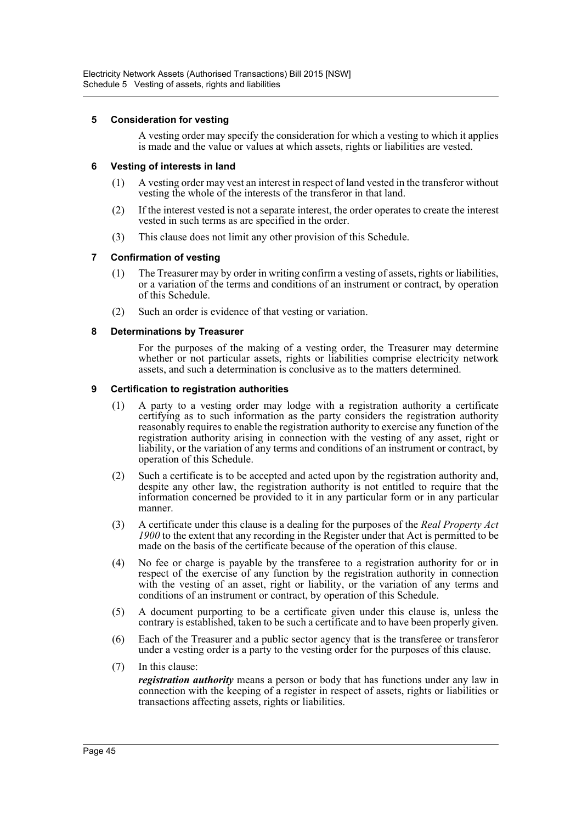# **5 Consideration for vesting**

A vesting order may specify the consideration for which a vesting to which it applies is made and the value or values at which assets, rights or liabilities are vested.

# **6 Vesting of interests in land**

- (1) A vesting order may vest an interest in respect of land vested in the transferor without vesting the whole of the interests of the transferor in that land.
- (2) If the interest vested is not a separate interest, the order operates to create the interest vested in such terms as are specified in the order.
- (3) This clause does not limit any other provision of this Schedule.

## **7 Confirmation of vesting**

- (1) The Treasurer may by order in writing confirm a vesting of assets, rights or liabilities, or a variation of the terms and conditions of an instrument or contract, by operation of this Schedule.
- (2) Such an order is evidence of that vesting or variation.

# **8 Determinations by Treasurer**

For the purposes of the making of a vesting order, the Treasurer may determine whether or not particular assets, rights or liabilities comprise electricity network assets, and such a determination is conclusive as to the matters determined.

## **9 Certification to registration authorities**

- (1) A party to a vesting order may lodge with a registration authority a certificate certifying as to such information as the party considers the registration authority reasonably requires to enable the registration authority to exercise any function of the registration authority arising in connection with the vesting of any asset, right or liability, or the variation of any terms and conditions of an instrument or contract, by operation of this Schedule.
- (2) Such a certificate is to be accepted and acted upon by the registration authority and, despite any other law, the registration authority is not entitled to require that the information concerned be provided to it in any particular form or in any particular manner.
- (3) A certificate under this clause is a dealing for the purposes of the *Real Property Act 1900* to the extent that any recording in the Register under that Act is permitted to be made on the basis of the certificate because of the operation of this clause.
- (4) No fee or charge is payable by the transferee to a registration authority for or in respect of the exercise of any function by the registration authority in connection with the vesting of an asset, right or liability, or the variation of any terms and conditions of an instrument or contract, by operation of this Schedule.
- (5) A document purporting to be a certificate given under this clause is, unless the contrary is established, taken to be such a certificate and to have been properly given.
- (6) Each of the Treasurer and a public sector agency that is the transferee or transferor under a vesting order is a party to the vesting order for the purposes of this clause.
- (7) In this clause:

*registration authority* means a person or body that has functions under any law in connection with the keeping of a register in respect of assets, rights or liabilities or transactions affecting assets, rights or liabilities.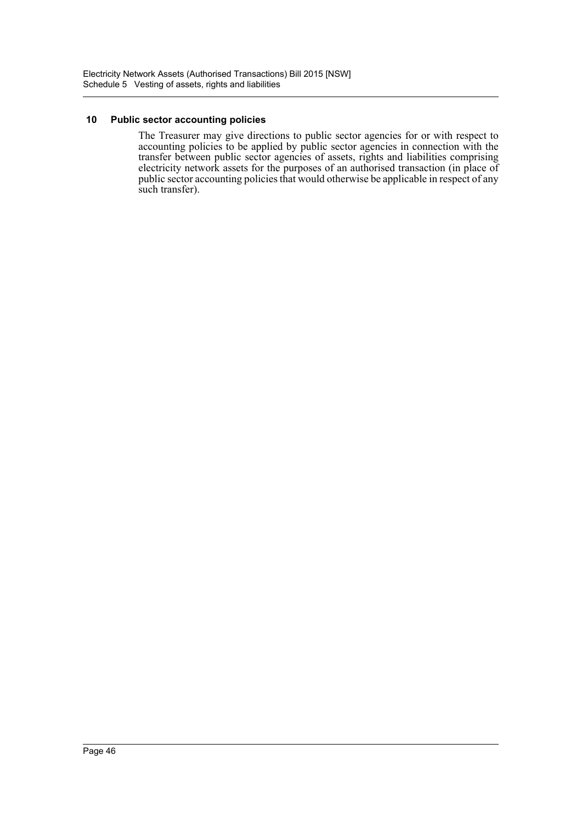# **10 Public sector accounting policies**

The Treasurer may give directions to public sector agencies for or with respect to accounting policies to be applied by public sector agencies in connection with the transfer between public sector agencies of assets, rights and liabilities comprising electricity network assets for the purposes of an authorised transaction (in place of public sector accounting policies that would otherwise be applicable in respect of any such transfer).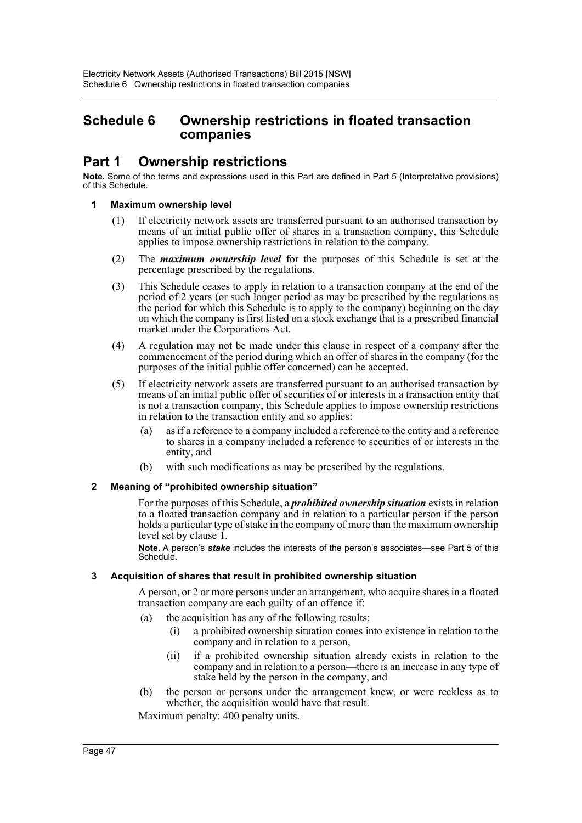# **Schedule 6 Ownership restrictions in floated transaction companies**

# **Part 1 Ownership restrictions**

**Note.** Some of the terms and expressions used in this Part are defined in Part 5 (Interpretative provisions) of this Schedule.

# **1 Maximum ownership level**

- (1) If electricity network assets are transferred pursuant to an authorised transaction by means of an initial public offer of shares in a transaction company, this Schedule applies to impose ownership restrictions in relation to the company.
- (2) The *maximum ownership level* for the purposes of this Schedule is set at the percentage prescribed by the regulations.
- (3) This Schedule ceases to apply in relation to a transaction company at the end of the period of 2 years (or such longer period as may be prescribed by the regulations as the period for which this Schedule is to apply to the company) beginning on the day on which the company is first listed on a stock exchange that is a prescribed financial market under the Corporations Act.
- (4) A regulation may not be made under this clause in respect of a company after the commencement of the period during which an offer of shares in the company (for the purposes of the initial public offer concerned) can be accepted.
- (5) If electricity network assets are transferred pursuant to an authorised transaction by means of an initial public offer of securities of or interests in a transaction entity that is not a transaction company, this Schedule applies to impose ownership restrictions in relation to the transaction entity and so applies:
	- (a) as if a reference to a company included a reference to the entity and a reference to shares in a company included a reference to securities of or interests in the entity, and
	- (b) with such modifications as may be prescribed by the regulations.

# **2 Meaning of "prohibited ownership situation"**

For the purposes of this Schedule, a *prohibited ownership situation* exists in relation to a floated transaction company and in relation to a particular person if the person holds a particular type of stake in the company of more than the maximum ownership level set by clause 1.

**Note.** A person's *stake* includes the interests of the person's associates—see Part 5 of this Schedule.

## **3 Acquisition of shares that result in prohibited ownership situation**

A person, or 2 or more persons under an arrangement, who acquire shares in a floated transaction company are each guilty of an offence if:

- (a) the acquisition has any of the following results:
	- (i) a prohibited ownership situation comes into existence in relation to the company and in relation to a person,
	- (ii) if a prohibited ownership situation already exists in relation to the company and in relation to a person—there is an increase in any type of stake held by the person in the company, and
- (b) the person or persons under the arrangement knew, or were reckless as to whether, the acquisition would have that result.

Maximum penalty: 400 penalty units.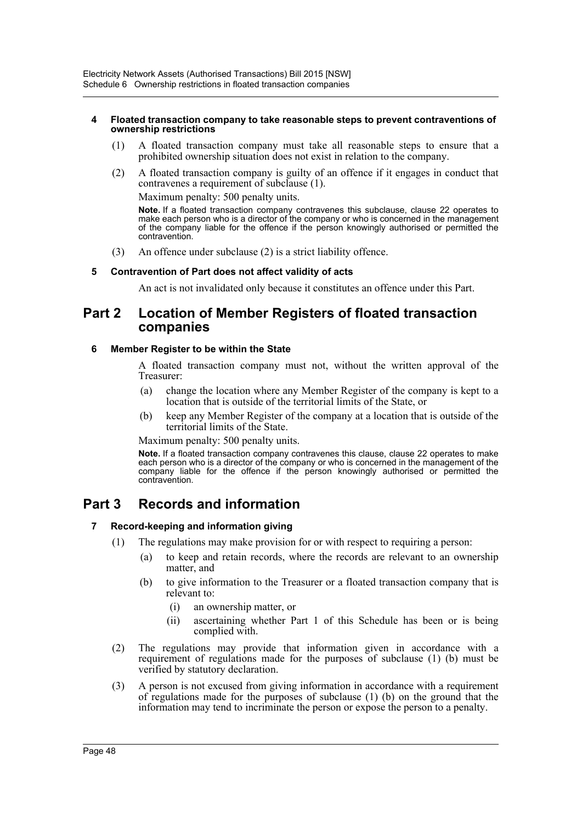#### **4 Floated transaction company to take reasonable steps to prevent contraventions of ownership restrictions**

- (1) A floated transaction company must take all reasonable steps to ensure that a prohibited ownership situation does not exist in relation to the company.
- (2) A floated transaction company is guilty of an offence if it engages in conduct that contravenes a requirement of subclause (1).

Maximum penalty: 500 penalty units.

**Note.** If a floated transaction company contravenes this subclause, clause 22 operates to make each person who is a director of the company or who is concerned in the management of the company liable for the offence if the person knowingly authorised or permitted the contravention.

(3) An offence under subclause (2) is a strict liability offence.

# **5 Contravention of Part does not affect validity of acts**

An act is not invalidated only because it constitutes an offence under this Part.

# **Part 2 Location of Member Registers of floated transaction companies**

## **6 Member Register to be within the State**

A floated transaction company must not, without the written approval of the Treasurer:

- (a) change the location where any Member Register of the company is kept to a location that is outside of the territorial limits of the State, or
- (b) keep any Member Register of the company at a location that is outside of the territorial limits of the State.

Maximum penalty: 500 penalty units.

**Note.** If a floated transaction company contravenes this clause, clause 22 operates to make each person who is a director of the company or who is concerned in the management of the company liable for the offence if the person knowingly authorised or permitted the contravention.

# **Part 3 Records and information**

## **7 Record-keeping and information giving**

- (1) The regulations may make provision for or with respect to requiring a person:
	- (a) to keep and retain records, where the records are relevant to an ownership matter, and
	- (b) to give information to the Treasurer or a floated transaction company that is relevant to:
		- (i) an ownership matter, or
		- (ii) ascertaining whether Part 1 of this Schedule has been or is being complied with.
- (2) The regulations may provide that information given in accordance with a requirement of regulations made for the purposes of subclause (1) (b) must be verified by statutory declaration.
- (3) A person is not excused from giving information in accordance with a requirement of regulations made for the purposes of subclause (1) (b) on the ground that the information may tend to incriminate the person or expose the person to a penalty.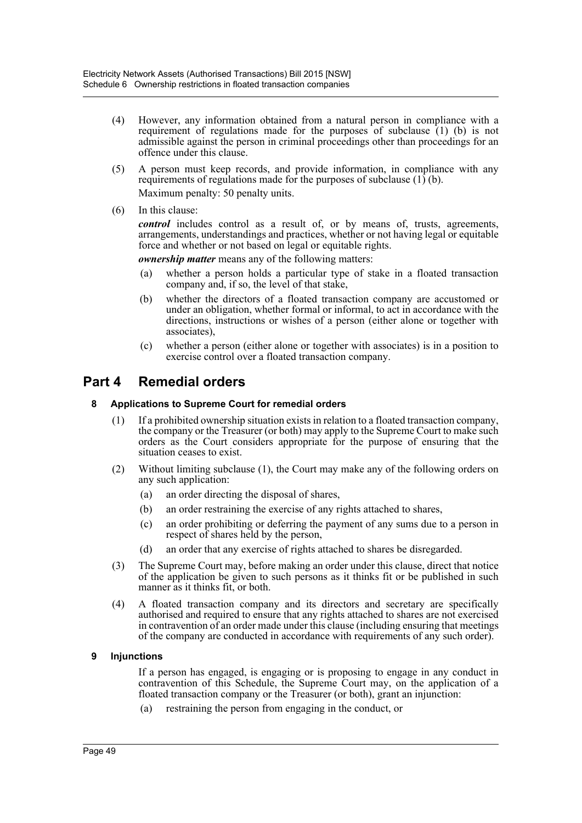- (4) However, any information obtained from a natural person in compliance with a requirement of regulations made for the purposes of subclause  $(1)$  (b) is not admissible against the person in criminal proceedings other than proceedings for an offence under this clause.
- (5) A person must keep records, and provide information, in compliance with any requirements of regulations made for the purposes of subclause (1) (b). Maximum penalty: 50 penalty units.
- (6) In this clause:

*control* includes control as a result of, or by means of, trusts, agreements, arrangements, understandings and practices, whether or not having legal or equitable force and whether or not based on legal or equitable rights.

*ownership matter* means any of the following matters:

- (a) whether a person holds a particular type of stake in a floated transaction company and, if so, the level of that stake,
- (b) whether the directors of a floated transaction company are accustomed or under an obligation, whether formal or informal, to act in accordance with the directions, instructions or wishes of a person (either alone or together with associates),
- (c) whether a person (either alone or together with associates) is in a position to exercise control over a floated transaction company.

# **Part 4 Remedial orders**

# **8 Applications to Supreme Court for remedial orders**

- (1) If a prohibited ownership situation exists in relation to a floated transaction company, the company or the Treasurer (or both) may apply to the Supreme Court to make such orders as the Court considers appropriate for the purpose of ensuring that the situation ceases to exist.
- (2) Without limiting subclause (1), the Court may make any of the following orders on any such application:
	- (a) an order directing the disposal of shares,
	- (b) an order restraining the exercise of any rights attached to shares,
	- (c) an order prohibiting or deferring the payment of any sums due to a person in respect of shares held by the person,
	- (d) an order that any exercise of rights attached to shares be disregarded.
- (3) The Supreme Court may, before making an order under this clause, direct that notice of the application be given to such persons as it thinks fit or be published in such manner as it thinks fit, or both.
- (4) A floated transaction company and its directors and secretary are specifically authorised and required to ensure that any rights attached to shares are not exercised in contravention of an order made under this clause (including ensuring that meetings of the company are conducted in accordance with requirements of any such order).

# **9 Injunctions**

If a person has engaged, is engaging or is proposing to engage in any conduct in contravention of this Schedule, the Supreme Court may, on the application of a floated transaction company or the Treasurer (or both), grant an injunction:

(a) restraining the person from engaging in the conduct, or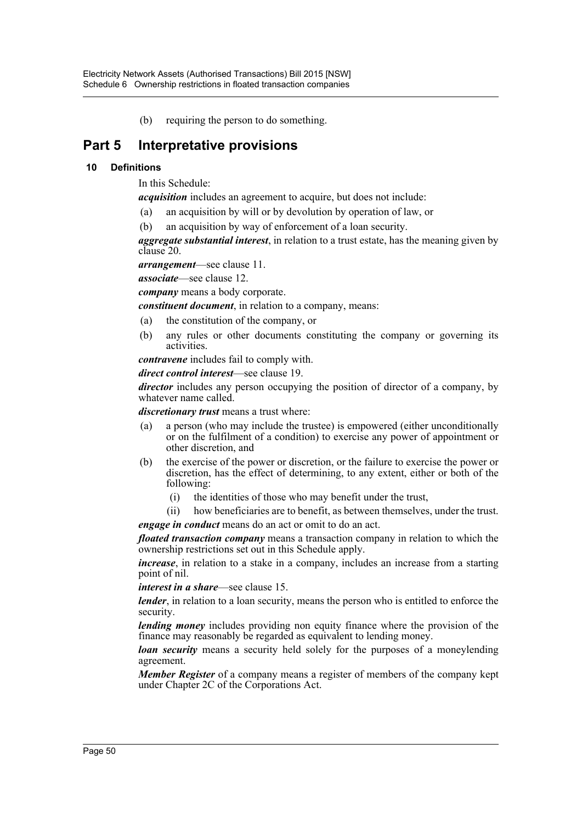(b) requiring the person to do something.

# **Part 5 Interpretative provisions**

# **10 Definitions**

In this Schedule:

*acquisition* includes an agreement to acquire, but does not include:

- (a) an acquisition by will or by devolution by operation of law, or
- (b) an acquisition by way of enforcement of a loan security.

*aggregate substantial interest*, in relation to a trust estate, has the meaning given by clause 20.

*arrangement*—see clause 11.

*associate*—see clause 12.

*company* means a body corporate.

*constituent document*, in relation to a company, means:

- (a) the constitution of the company, or
- (b) any rules or other documents constituting the company or governing its activities.

*contravene* includes fail to comply with.

*direct control interest*—see clause 19.

*director* includes any person occupying the position of director of a company, by whatever name called.

*discretionary trust* means a trust where:

- (a) a person (who may include the trustee) is empowered (either unconditionally or on the fulfilment of a condition) to exercise any power of appointment or other discretion, and
- (b) the exercise of the power or discretion, or the failure to exercise the power or discretion, has the effect of determining, to any extent, either or both of the following:
	- (i) the identities of those who may benefit under the trust,
- (ii) how beneficiaries are to benefit, as between themselves, under the trust. *engage in conduct* means do an act or omit to do an act.

*floated transaction company* means a transaction company in relation to which the ownership restrictions set out in this Schedule apply.

*increase*, in relation to a stake in a company, includes an increase from a starting point of nil.

*interest in a share*—see clause 15.

*lender*, in relation to a loan security, means the person who is entitled to enforce the security.

*lending money* includes providing non equity finance where the provision of the finance may reasonably be regarded as equivalent to lending money.

*loan security* means a security held solely for the purposes of a moneylending agreement.

*Member Register* of a company means a register of members of the company kept under Chapter 2C of the Corporations Act.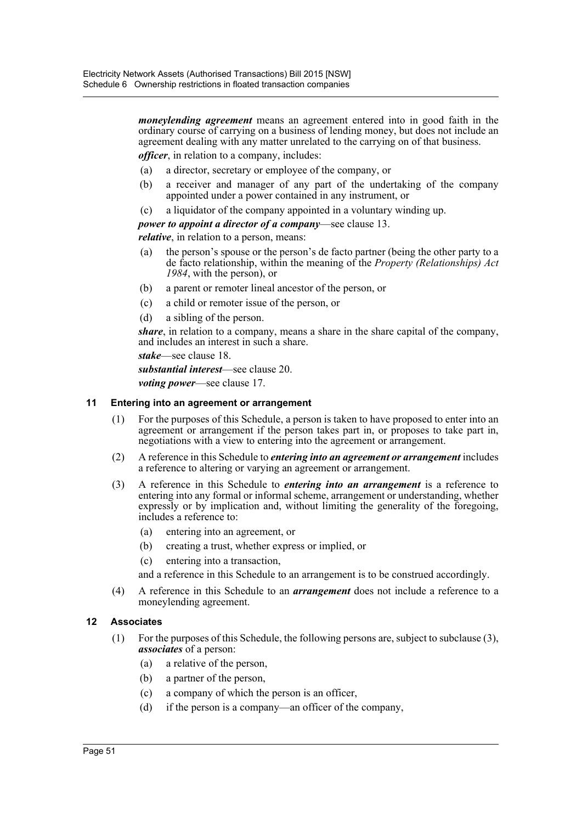*moneylending agreement* means an agreement entered into in good faith in the ordinary course of carrying on a business of lending money, but does not include an agreement dealing with any matter unrelated to the carrying on of that business.

*officer*, in relation to a company, includes:

- (a) a director, secretary or employee of the company, or
- (b) a receiver and manager of any part of the undertaking of the company appointed under a power contained in any instrument, or
- (c) a liquidator of the company appointed in a voluntary winding up.

*power to appoint a director of a company*—see clause 13.

*relative*, in relation to a person, means:

- (a) the person's spouse or the person's de facto partner (being the other party to a de facto relationship, within the meaning of the *Property (Relationships) Act 1984*, with the person), or
- (b) a parent or remoter lineal ancestor of the person, or
- (c) a child or remoter issue of the person, or
- (d) a sibling of the person.

*share*, in relation to a company, means a share in the share capital of the company, and includes an interest in such a share.

*stake*—see clause 18.

*substantial interest*—see clause 20.

*voting power*—see clause 17.

#### **11 Entering into an agreement or arrangement**

- (1) For the purposes of this Schedule, a person is taken to have proposed to enter into an agreement or arrangement if the person takes part in, or proposes to take part in, negotiations with a view to entering into the agreement or arrangement.
- (2) A reference in this Schedule to *entering into an agreement or arrangement* includes a reference to altering or varying an agreement or arrangement.
- (3) A reference in this Schedule to *entering into an arrangement* is a reference to entering into any formal or informal scheme, arrangement or understanding, whether expressly or by implication and, without limiting the generality of the foregoing, includes a reference to:
	- (a) entering into an agreement, or
	- (b) creating a trust, whether express or implied, or
	- (c) entering into a transaction,

and a reference in this Schedule to an arrangement is to be construed accordingly.

(4) A reference in this Schedule to an *arrangement* does not include a reference to a moneylending agreement.

## **12 Associates**

- (1) For the purposes of this Schedule, the following persons are, subject to subclause (3), *associates* of a person:
	- (a) a relative of the person,
	- (b) a partner of the person,
	- (c) a company of which the person is an officer,
	- (d) if the person is a company—an officer of the company,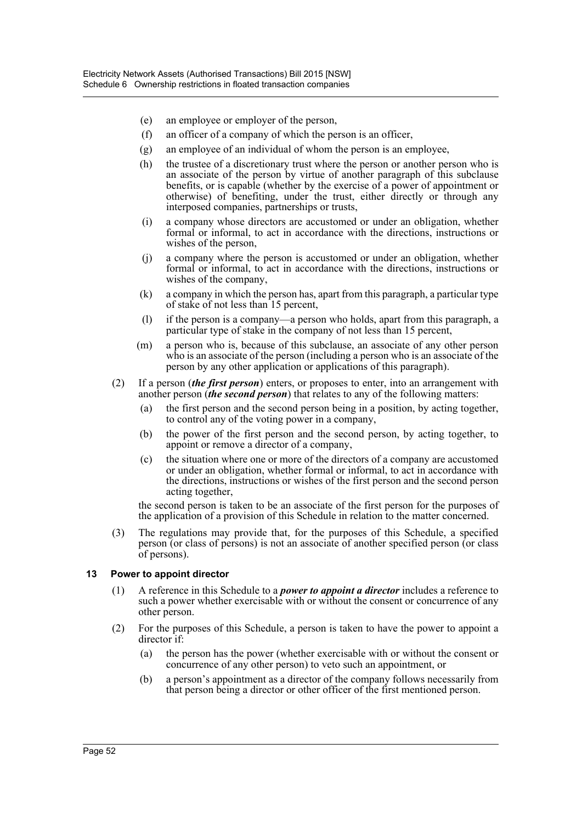- (e) an employee or employer of the person,
- (f) an officer of a company of which the person is an officer,
- (g) an employee of an individual of whom the person is an employee,
- (h) the trustee of a discretionary trust where the person or another person who is an associate of the person by virtue of another paragraph of this subclause benefits, or is capable (whether by the exercise of a power of appointment or otherwise) of benefiting, under the trust, either directly or through any interposed companies, partnerships or trusts,
- (i) a company whose directors are accustomed or under an obligation, whether formal or informal, to act in accordance with the directions, instructions or wishes of the person,
- (j) a company where the person is accustomed or under an obligation, whether formal or informal, to act in accordance with the directions, instructions or wishes of the company,
- (k) a company in which the person has, apart from this paragraph, a particular type of stake of not less than 15 percent,
- (l) if the person is a company—a person who holds, apart from this paragraph, a particular type of stake in the company of not less than 15 percent,
- (m) a person who is, because of this subclause, an associate of any other person who is an associate of the person (including a person who is an associate of the person by any other application or applications of this paragraph).
- (2) If a person (*the first person*) enters, or proposes to enter, into an arrangement with another person (*the second person*) that relates to any of the following matters:
	- (a) the first person and the second person being in a position, by acting together, to control any of the voting power in a company,
	- (b) the power of the first person and the second person, by acting together, to appoint or remove a director of a company,
	- (c) the situation where one or more of the directors of a company are accustomed or under an obligation, whether formal or informal, to act in accordance with the directions, instructions or wishes of the first person and the second person acting together,

the second person is taken to be an associate of the first person for the purposes of the application of a provision of this Schedule in relation to the matter concerned.

(3) The regulations may provide that, for the purposes of this Schedule, a specified person (or class of persons) is not an associate of another specified person (or class of persons).

## **13 Power to appoint director**

- (1) A reference in this Schedule to a *power to appoint a director* includes a reference to such a power whether exercisable with or without the consent or concurrence of any other person.
- (2) For the purposes of this Schedule, a person is taken to have the power to appoint a director if:
	- (a) the person has the power (whether exercisable with or without the consent or concurrence of any other person) to veto such an appointment, or
	- (b) a person's appointment as a director of the company follows necessarily from that person being a director or other officer of the first mentioned person.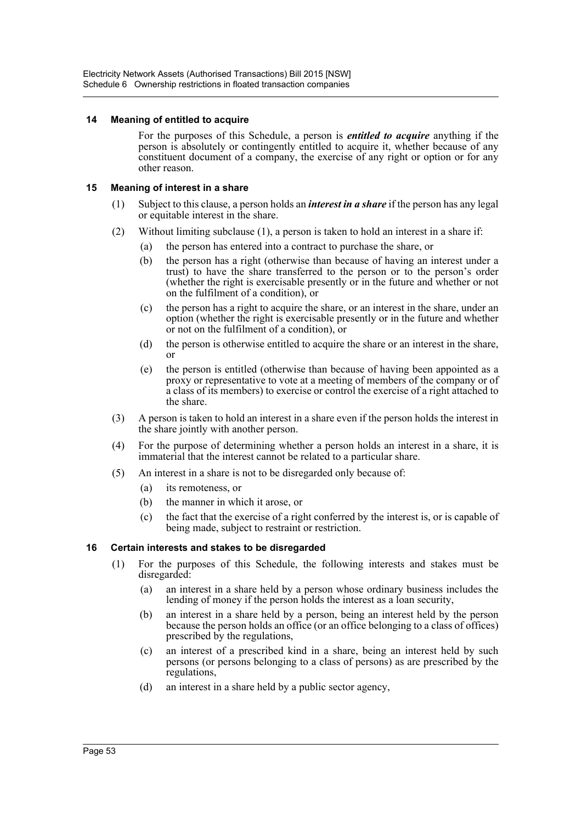## **14 Meaning of entitled to acquire**

For the purposes of this Schedule, a person is *entitled to acquire* anything if the person is absolutely or contingently entitled to acquire it, whether because of any constituent document of a company, the exercise of any right or option or for any other reason.

# **15 Meaning of interest in a share**

- (1) Subject to this clause, a person holds an *interest in a share* if the person has any legal or equitable interest in the share.
- (2) Without limiting subclause (1), a person is taken to hold an interest in a share if:
	- (a) the person has entered into a contract to purchase the share, or
	- (b) the person has a right (otherwise than because of having an interest under a trust) to have the share transferred to the person or to the person's order (whether the right is exercisable presently or in the future and whether or not on the fulfilment of a condition), or
	- (c) the person has a right to acquire the share, or an interest in the share, under an option (whether the right is exercisable presently or in the future and whether or not on the fulfilment of a condition), or
	- (d) the person is otherwise entitled to acquire the share or an interest in the share, or
	- (e) the person is entitled (otherwise than because of having been appointed as a proxy or representative to vote at a meeting of members of the company or of a class of its members) to exercise or control the exercise of a right attached to the share.
- (3) A person is taken to hold an interest in a share even if the person holds the interest in the share jointly with another person.
- (4) For the purpose of determining whether a person holds an interest in a share, it is immaterial that the interest cannot be related to a particular share.
- (5) An interest in a share is not to be disregarded only because of:
	- (a) its remoteness, or
	- (b) the manner in which it arose, or
	- (c) the fact that the exercise of a right conferred by the interest is, or is capable of being made, subject to restraint or restriction.

# **16 Certain interests and stakes to be disregarded**

- (1) For the purposes of this Schedule, the following interests and stakes must be disregarded:
	- (a) an interest in a share held by a person whose ordinary business includes the lending of money if the person holds the interest as a loan security,
	- (b) an interest in a share held by a person, being an interest held by the person because the person holds an office (or an office belonging to a class of offices) prescribed by the regulations,
	- (c) an interest of a prescribed kind in a share, being an interest held by such persons (or persons belonging to a class of persons) as are prescribed by the regulations,
	- (d) an interest in a share held by a public sector agency,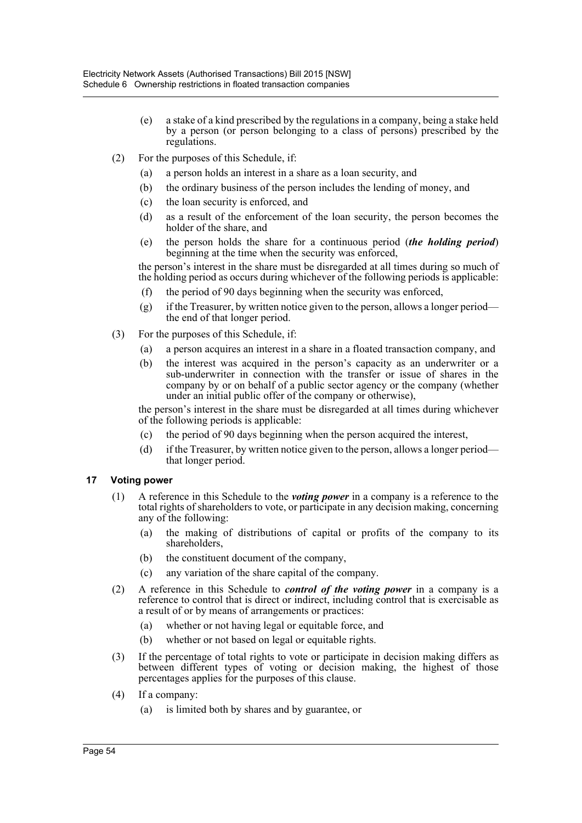- (e) a stake of a kind prescribed by the regulations in a company, being a stake held by a person (or person belonging to a class of persons) prescribed by the regulations.
- (2) For the purposes of this Schedule, if:
	- (a) a person holds an interest in a share as a loan security, and
	- (b) the ordinary business of the person includes the lending of money, and
	- (c) the loan security is enforced, and
	- (d) as a result of the enforcement of the loan security, the person becomes the holder of the share, and
	- (e) the person holds the share for a continuous period (*the holding period*) beginning at the time when the security was enforced,

the person's interest in the share must be disregarded at all times during so much of the holding period as occurs during whichever of the following periods is applicable:

- (f) the period of 90 days beginning when the security was enforced,
- $(g)$  if the Treasurer, by written notice given to the person, allows a longer period the end of that longer period.
- (3) For the purposes of this Schedule, if:
	- (a) a person acquires an interest in a share in a floated transaction company, and
	- (b) the interest was acquired in the person's capacity as an underwriter or a sub-underwriter in connection with the transfer or issue of shares in the company by or on behalf of a public sector agency or the company (whether under an initial public offer of the company or otherwise),

the person's interest in the share must be disregarded at all times during whichever of the following periods is applicable:

- (c) the period of 90 days beginning when the person acquired the interest,
- (d) if the Treasurer, by written notice given to the person, allows a longer period that longer period.

# **17 Voting power**

- (1) A reference in this Schedule to the *voting power* in a company is a reference to the total rights of shareholders to vote, or participate in any decision making, concerning any of the following:
	- (a) the making of distributions of capital or profits of the company to its shareholders,
	- (b) the constituent document of the company,
	- (c) any variation of the share capital of the company.
- (2) A reference in this Schedule to *control of the voting power* in a company is a reference to control that is direct or indirect, including control that is exercisable as a result of or by means of arrangements or practices:
	- (a) whether or not having legal or equitable force, and
	- (b) whether or not based on legal or equitable rights.
- (3) If the percentage of total rights to vote or participate in decision making differs as between different types of voting or decision making, the highest of those percentages applies for the purposes of this clause.
- (4) If a company:
	- (a) is limited both by shares and by guarantee, or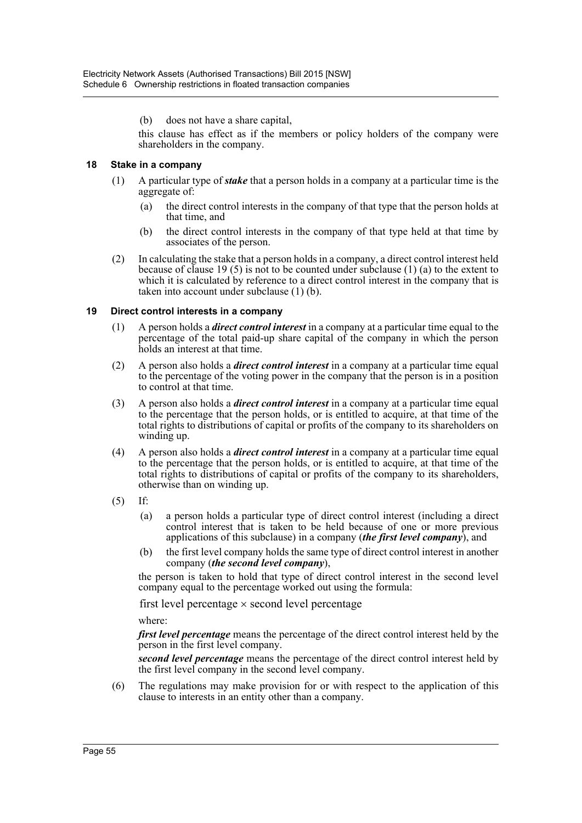(b) does not have a share capital,

this clause has effect as if the members or policy holders of the company were shareholders in the company.

## **18 Stake in a company**

- (1) A particular type of *stake* that a person holds in a company at a particular time is the aggregate of:
	- (a) the direct control interests in the company of that type that the person holds at that time, and
	- (b) the direct control interests in the company of that type held at that time by associates of the person.
- (2) In calculating the stake that a person holds in a company, a direct control interest held because of clause 19 (5) is not to be counted under subclause (1) (a) to the extent to which it is calculated by reference to a direct control interest in the company that is taken into account under subclause (1) (b).

#### **19 Direct control interests in a company**

- (1) A person holds a *direct control interest* in a company at a particular time equal to the percentage of the total paid-up share capital of the company in which the person holds an interest at that time.
- (2) A person also holds a *direct control interest* in a company at a particular time equal to the percentage of the voting power in the company that the person is in a position to control at that time.
- (3) A person also holds a *direct control interest* in a company at a particular time equal to the percentage that the person holds, or is entitled to acquire, at that time of the total rights to distributions of capital or profits of the company to its shareholders on winding up.
- (4) A person also holds a *direct control interest* in a company at a particular time equal to the percentage that the person holds, or is entitled to acquire, at that time of the total rights to distributions of capital or profits of the company to its shareholders, otherwise than on winding up.
- (5) If:
	- (a) a person holds a particular type of direct control interest (including a direct control interest that is taken to be held because of one or more previous applications of this subclause) in a company (*the first level company*), and
	- (b) the first level company holds the same type of direct control interest in another company (*the second level company*),

the person is taken to hold that type of direct control interest in the second level company equal to the percentage worked out using the formula:

first level percentage  $\times$  second level percentage

where:

*first level percentage* means the percentage of the direct control interest held by the person in the first level company.

*second level percentage* means the percentage of the direct control interest held by the first level company in the second level company.

(6) The regulations may make provision for or with respect to the application of this clause to interests in an entity other than a company.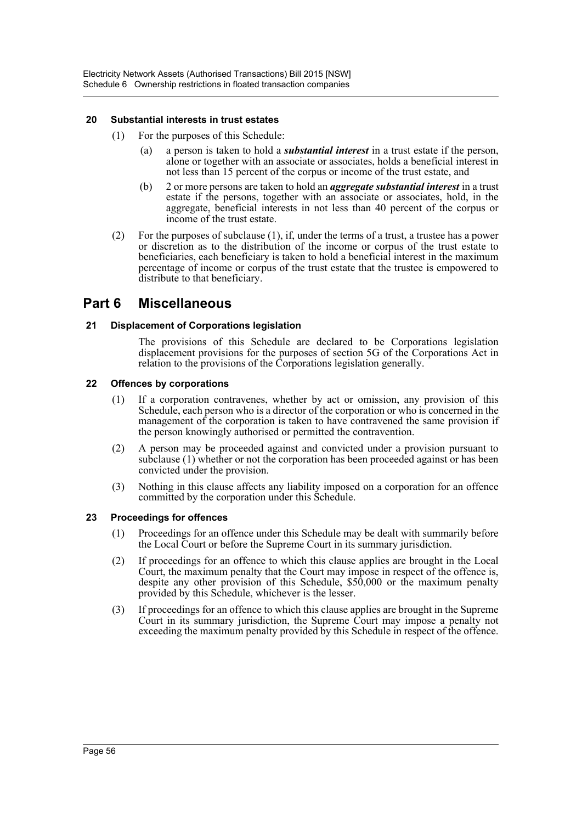## **20 Substantial interests in trust estates**

- (1) For the purposes of this Schedule:
	- (a) a person is taken to hold a *substantial interest* in a trust estate if the person, alone or together with an associate or associates, holds a beneficial interest in not less than 15 percent of the corpus or income of the trust estate, and
	- (b) 2 or more persons are taken to hold an *aggregate substantial interest* in a trust estate if the persons, together with an associate or associates, hold, in the aggregate, beneficial interests in not less than 40 percent of the corpus or income of the trust estate.
- (2) For the purposes of subclause (1), if, under the terms of a trust, a trustee has a power or discretion as to the distribution of the income or corpus of the trust estate to beneficiaries, each beneficiary is taken to hold a beneficial interest in the maximum percentage of income or corpus of the trust estate that the trustee is empowered to distribute to that beneficiary.

# **Part 6 Miscellaneous**

# **21 Displacement of Corporations legislation**

The provisions of this Schedule are declared to be Corporations legislation displacement provisions for the purposes of section 5G of the Corporations Act in relation to the provisions of the Corporations legislation generally.

## **22 Offences by corporations**

- (1) If a corporation contravenes, whether by act or omission, any provision of this Schedule, each person who is a director of the corporation or who is concerned in the management of the corporation is taken to have contravened the same provision if the person knowingly authorised or permitted the contravention.
- (2) A person may be proceeded against and convicted under a provision pursuant to subclause  $(1)$  whether or not the corporation has been proceeded against or has been convicted under the provision.
- (3) Nothing in this clause affects any liability imposed on a corporation for an offence committed by the corporation under this Schedule.

## **23 Proceedings for offences**

- (1) Proceedings for an offence under this Schedule may be dealt with summarily before the Local Court or before the Supreme Court in its summary jurisdiction.
- (2) If proceedings for an offence to which this clause applies are brought in the Local Court, the maximum penalty that the Court may impose in respect of the offence is, despite any other provision of this Schedule, \$50,000 or the maximum penalty provided by this Schedule, whichever is the lesser.
- (3) If proceedings for an offence to which this clause applies are brought in the Supreme Court in its summary jurisdiction, the Supreme Court may impose a penalty not exceeding the maximum penalty provided by this Schedule in respect of the offence.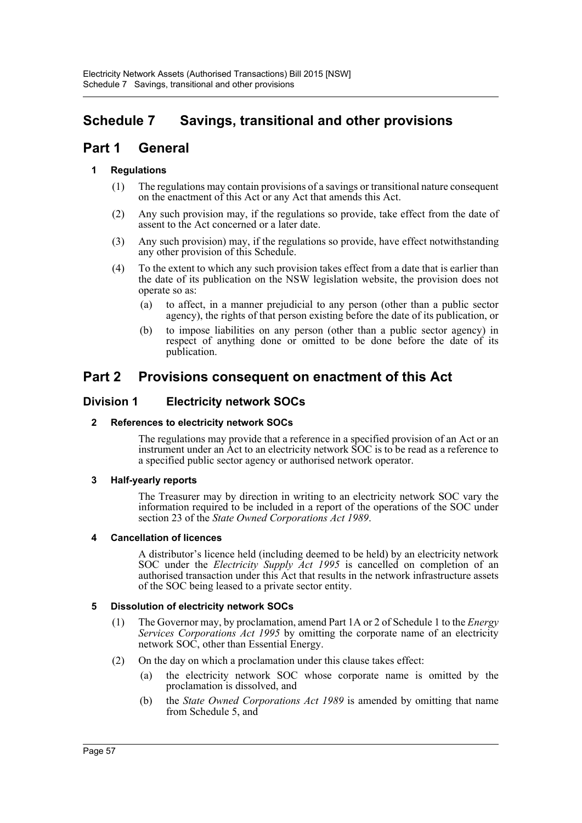# **Schedule 7 Savings, transitional and other provisions**

# **Part 1 General**

# **1 Regulations**

- (1) The regulations may contain provisions of a savings or transitional nature consequent on the enactment of this Act or any Act that amends this Act.
- (2) Any such provision may, if the regulations so provide, take effect from the date of assent to the Act concerned or a later date.
- (3) Any such provision) may, if the regulations so provide, have effect notwithstanding any other provision of this Schedule.
- (4) To the extent to which any such provision takes effect from a date that is earlier than the date of its publication on the NSW legislation website, the provision does not operate so as:
	- (a) to affect, in a manner prejudicial to any person (other than a public sector agency), the rights of that person existing before the date of its publication, or
	- (b) to impose liabilities on any person (other than a public sector agency) in respect of anything done or omitted to be done before the date of its publication.

# **Part 2 Provisions consequent on enactment of this Act**

# **Division 1 Electricity network SOCs**

# **2 References to electricity network SOCs**

The regulations may provide that a reference in a specified provision of an Act or an instrument under an Act to an electricity network SOC is to be read as a reference to a specified public sector agency or authorised network operator.

# **3 Half-yearly reports**

The Treasurer may by direction in writing to an electricity network SOC vary the information required to be included in a report of the operations of the SOC under section 23 of the *State Owned Corporations Act 1989*.

# **4 Cancellation of licences**

A distributor's licence held (including deemed to be held) by an electricity network SOC under the *Electricity Supply Act 1995* is cancelled on completion of an authorised transaction under this Act that results in the network infrastructure assets of the SOC being leased to a private sector entity.

# **5 Dissolution of electricity network SOCs**

- (1) The Governor may, by proclamation, amend Part 1A or 2 of Schedule 1 to the *Energy Services Corporations Act 1995* by omitting the corporate name of an electricity network SOC, other than Essential Energy.
- (2) On the day on which a proclamation under this clause takes effect:
	- (a) the electricity network SOC whose corporate name is omitted by the proclamation is dissolved, and
	- (b) the *State Owned Corporations Act 1989* is amended by omitting that name from Schedule 5, and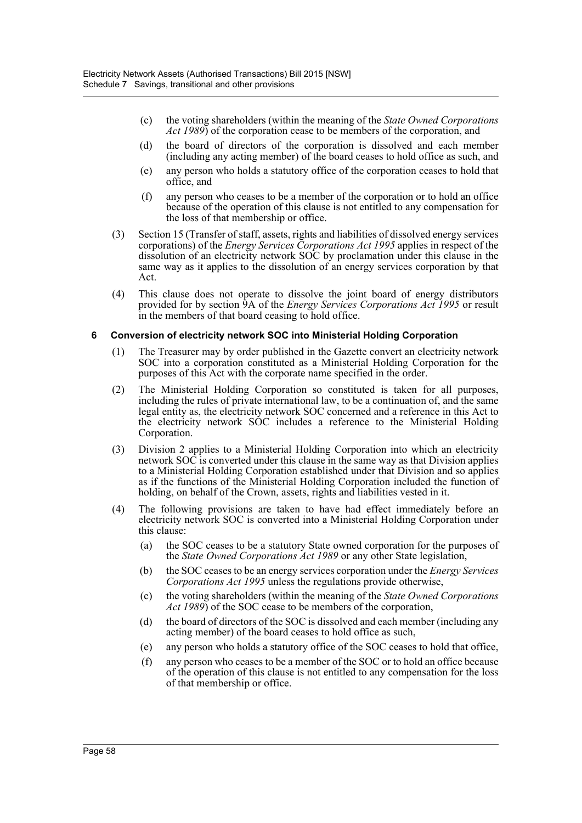- (c) the voting shareholders (within the meaning of the *State Owned Corporations Act 1989*) of the corporation cease to be members of the corporation, and
- (d) the board of directors of the corporation is dissolved and each member (including any acting member) of the board ceases to hold office as such, and
- (e) any person who holds a statutory office of the corporation ceases to hold that office, and
- (f) any person who ceases to be a member of the corporation or to hold an office because of the operation of this clause is not entitled to any compensation for the loss of that membership or office.
- (3) Section 15 (Transfer of staff, assets, rights and liabilities of dissolved energy services corporations) of the *Energy Services Corporations Act 1995* applies in respect of the dissolution of an electricity network SOC by proclamation under this clause in the same way as it applies to the dissolution of an energy services corporation by that Act.
- (4) This clause does not operate to dissolve the joint board of energy distributors provided for by section 9A of the *Energy Services Corporations Act 1995* or result in the members of that board ceasing to hold office.

#### **6 Conversion of electricity network SOC into Ministerial Holding Corporation**

- (1) The Treasurer may by order published in the Gazette convert an electricity network SOC into a corporation constituted as a Ministerial Holding Corporation for the purposes of this Act with the corporate name specified in the order.
- (2) The Ministerial Holding Corporation so constituted is taken for all purposes, including the rules of private international law, to be a continuation of, and the same legal entity as, the electricity network SOC concerned and a reference in this Act to the electricity network SOC includes a reference to the Ministerial Holding Corporation.
- (3) Division 2 applies to a Ministerial Holding Corporation into which an electricity network SOC is converted under this clause in the same way as that Division applies to a Ministerial Holding Corporation established under that Division and so applies as if the functions of the Ministerial Holding Corporation included the function of holding, on behalf of the Crown, assets, rights and liabilities vested in it.
- (4) The following provisions are taken to have had effect immediately before an electricity network SOC is converted into a Ministerial Holding Corporation under this clause:
	- (a) the SOC ceases to be a statutory State owned corporation for the purposes of the *State Owned Corporations Act 1989* or any other State legislation,
	- (b) the SOC ceases to be an energy services corporation under the *Energy Services Corporations Act 1995* unless the regulations provide otherwise,
	- (c) the voting shareholders (within the meaning of the *State Owned Corporations Act 1989*) of the SOC cease to be members of the corporation,
	- (d) the board of directors of the SOC is dissolved and each member (including any acting member) of the board ceases to hold office as such,
	- (e) any person who holds a statutory office of the SOC ceases to hold that office,
	- (f) any person who ceases to be a member of the SOC or to hold an office because of the operation of this clause is not entitled to any compensation for the loss of that membership or office.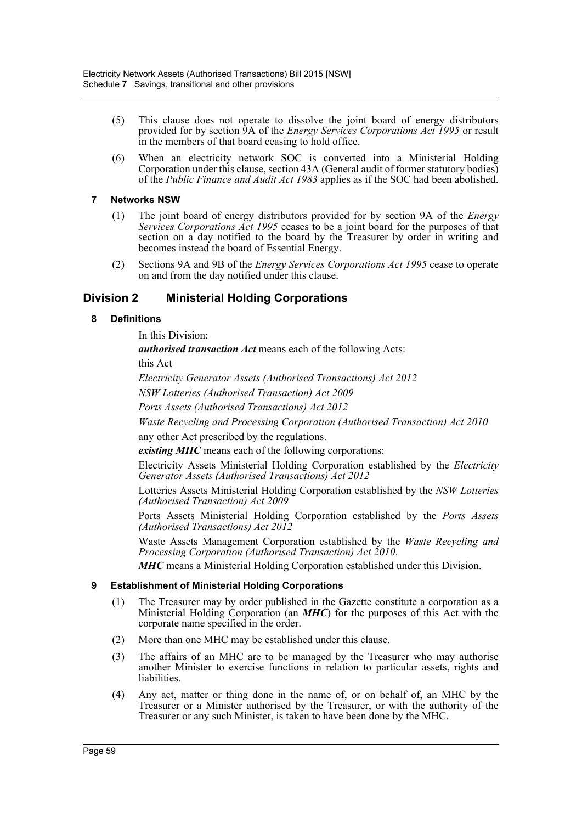- (5) This clause does not operate to dissolve the joint board of energy distributors provided for by section 9A of the *Energy Services Corporations Act 1995* or result in the members of that board ceasing to hold office.
- (6) When an electricity network SOC is converted into a Ministerial Holding Corporation under this clause, section 43A (General audit of former statutory bodies) of the *Public Finance and Audit Act 1983* applies as if the SOC had been abolished.

# **7 Networks NSW**

- (1) The joint board of energy distributors provided for by section 9A of the *Energy Services Corporations Act 1995* ceases to be a joint board for the purposes of that section on a day notified to the board by the Treasurer by order in writing and becomes instead the board of Essential Energy.
- (2) Sections 9A and 9B of the *Energy Services Corporations Act 1995* cease to operate on and from the day notified under this clause.

# **Division 2 Ministerial Holding Corporations**

# **8 Definitions**

In this Division:

*authorised transaction Act* means each of the following Acts:

this Act

*Electricity Generator Assets (Authorised Transactions) Act 2012*

*NSW Lotteries (Authorised Transaction) Act 2009*

*Ports Assets (Authorised Transactions) Act 2012*

*Waste Recycling and Processing Corporation (Authorised Transaction) Act 2010*

any other Act prescribed by the regulations.

*existing MHC* means each of the following corporations:

Electricity Assets Ministerial Holding Corporation established by the *Electricity Generator Assets (Authorised Transactions) Act 2012*

Lotteries Assets Ministerial Holding Corporation established by the *NSW Lotteries (Authorised Transaction) Act 2009*

Ports Assets Ministerial Holding Corporation established by the *Ports Assets (Authorised Transactions) Act 2012*

Waste Assets Management Corporation established by the *Waste Recycling and Processing Corporation (Authorised Transaction) Act 2010*.

*MHC* means a Ministerial Holding Corporation established under this Division.

## **9 Establishment of Ministerial Holding Corporations**

- (1) The Treasurer may by order published in the Gazette constitute a corporation as a Ministerial Holding Corporation (an *MHC*) for the purposes of this Act with the corporate name specified in the order.
- (2) More than one MHC may be established under this clause.
- (3) The affairs of an MHC are to be managed by the Treasurer who may authorise another Minister to exercise functions in relation to particular assets, rights and liabilities.
- (4) Any act, matter or thing done in the name of, or on behalf of, an MHC by the Treasurer or a Minister authorised by the Treasurer, or with the authority of the Treasurer or any such Minister, is taken to have been done by the MHC.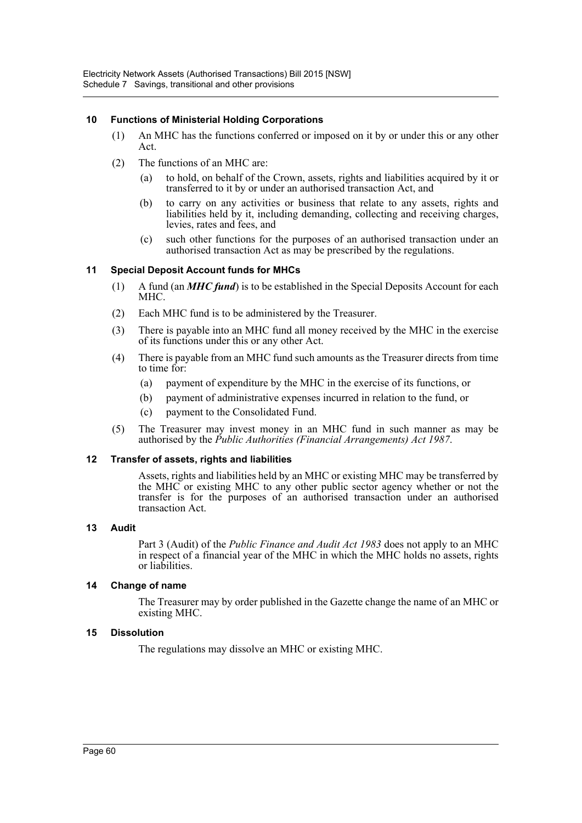# **10 Functions of Ministerial Holding Corporations**

- (1) An MHC has the functions conferred or imposed on it by or under this or any other Act.
- (2) The functions of an MHC are:
	- (a) to hold, on behalf of the Crown, assets, rights and liabilities acquired by it or transferred to it by or under an authorised transaction Act, and
	- (b) to carry on any activities or business that relate to any assets, rights and liabilities held by it, including demanding, collecting and receiving charges, levies, rates and fees, and
	- (c) such other functions for the purposes of an authorised transaction under an authorised transaction Act as may be prescribed by the regulations.

# **11 Special Deposit Account funds for MHCs**

- (1) A fund (an *MHC fund*) is to be established in the Special Deposits Account for each MHC.
- (2) Each MHC fund is to be administered by the Treasurer.
- (3) There is payable into an MHC fund all money received by the MHC in the exercise of its functions under this or any other Act.
- (4) There is payable from an MHC fund such amounts as the Treasurer directs from time to time for:
	- (a) payment of expenditure by the MHC in the exercise of its functions, or
	- (b) payment of administrative expenses incurred in relation to the fund, or
	- (c) payment to the Consolidated Fund.
- (5) The Treasurer may invest money in an MHC fund in such manner as may be authorised by the *Public Authorities (Financial Arrangements) Act 1987*.

## **12 Transfer of assets, rights and liabilities**

Assets, rights and liabilities held by an MHC or existing MHC may be transferred by the MHC or existing MHC to any other public sector agency whether or not the transfer is for the purposes of an authorised transaction under an authorised transaction Act.

## **13 Audit**

Part 3 (Audit) of the *Public Finance and Audit Act 1983* does not apply to an MHC in respect of a financial year of the MHC in which the MHC holds no assets, rights or liabilities.

## **14 Change of name**

The Treasurer may by order published in the Gazette change the name of an MHC or existing MHC.

## **15 Dissolution**

The regulations may dissolve an MHC or existing MHC.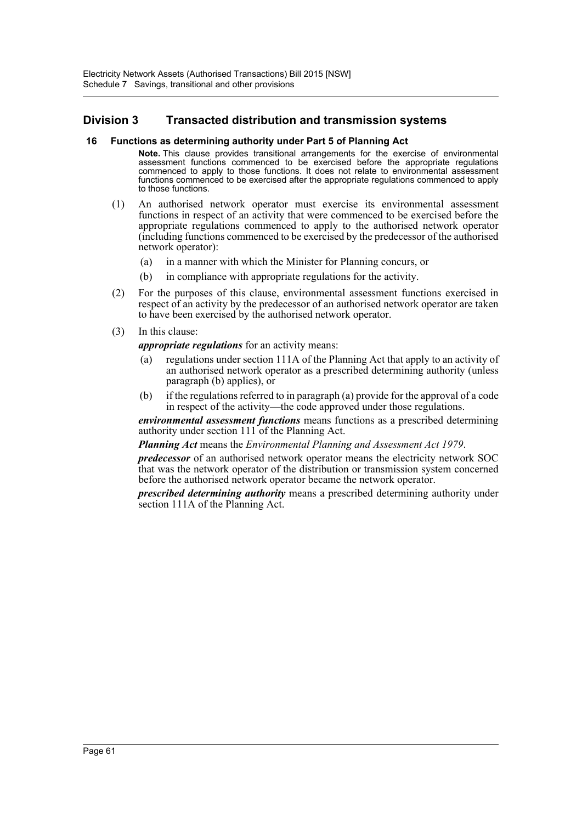# **Division 3 Transacted distribution and transmission systems**

## **16 Functions as determining authority under Part 5 of Planning Act**

**Note.** This clause provides transitional arrangements for the exercise of environmental assessment functions commenced to be exercised before the appropriate regulations commenced to apply to those functions. It does not relate to environmental assessment functions commenced to be exercised after the appropriate regulations commenced to apply to those functions.

- (1) An authorised network operator must exercise its environmental assessment functions in respect of an activity that were commenced to be exercised before the appropriate regulations commenced to apply to the authorised network operator (including functions commenced to be exercised by the predecessor of the authorised network operator):
	- (a) in a manner with which the Minister for Planning concurs, or
	- (b) in compliance with appropriate regulations for the activity.
- (2) For the purposes of this clause, environmental assessment functions exercised in respect of an activity by the predecessor of an authorised network operator are taken to have been exercised by the authorised network operator.
- (3) In this clause:

*appropriate regulations* for an activity means:

- (a) regulations under section 111A of the Planning Act that apply to an activity of an authorised network operator as a prescribed determining authority (unless paragraph (b) applies), or
- (b) if the regulations referred to in paragraph (a) provide for the approval of a code in respect of the activity—the code approved under those regulations.

*environmental assessment functions* means functions as a prescribed determining authority under section 111 of the Planning Act.

*Planning Act* means the *Environmental Planning and Assessment Act 1979*.

*predecessor* of an authorised network operator means the electricity network SOC that was the network operator of the distribution or transmission system concerned before the authorised network operator became the network operator.

*prescribed determining authority* means a prescribed determining authority under section 111A of the Planning Act.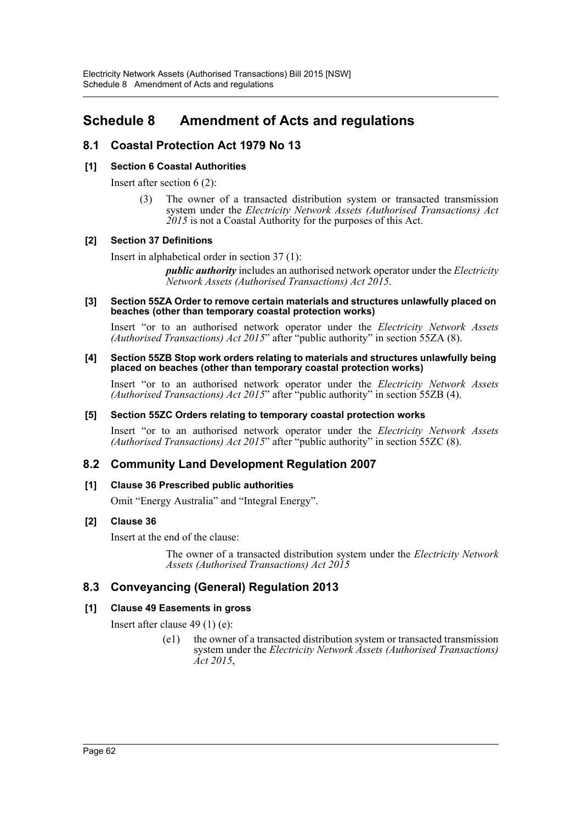# **Schedule 8 Amendment of Acts and regulations**

# **8.1 Coastal Protection Act 1979 No 13**

# **[1] Section 6 Coastal Authorities**

Insert after section 6 (2):

(3) The owner of a transacted distribution system or transacted transmission system under the *Electricity Network Assets (Authorised Transactions) Act 2015* is not a Coastal Authority for the purposes of this Act.

# **[2] Section 37 Definitions**

Insert in alphabetical order in section 37 (1):

*public authority* includes an authorised network operator under the *Electricity Network Assets (Authorised Transactions) Act 2015*.

#### **[3] Section 55ZA Order to remove certain materials and structures unlawfully placed on beaches (other than temporary coastal protection works)**

Insert "or to an authorised network operator under the *Electricity Network Assets (Authorised Transactions) Act 2015*" after "public authority" in section 55ZA (8).

#### **[4] Section 55ZB Stop work orders relating to materials and structures unlawfully being placed on beaches (other than temporary coastal protection works)**

Insert "or to an authorised network operator under the *Electricity Network Assets (Authorised Transactions) Act 2015*" after "public authority" in section 55ZB (4).

# **[5] Section 55ZC Orders relating to temporary coastal protection works**

Insert "or to an authorised network operator under the *Electricity Network Assets (Authorised Transactions) Act 2015*" after "public authority" in section 55ZC (8).

# **8.2 Community Land Development Regulation 2007**

# **[1] Clause 36 Prescribed public authorities**

Omit "Energy Australia" and "Integral Energy".

# **[2] Clause 36**

Insert at the end of the clause:

The owner of a transacted distribution system under the *Electricity Network Assets (Authorised Transactions) Act 2015*

# **8.3 Conveyancing (General) Regulation 2013**

# **[1] Clause 49 Easements in gross**

Insert after clause 49 (1) (e):

(e1) the owner of a transacted distribution system or transacted transmission system under the *Electricity Network Assets (Authorised Transactions) Act 2015*,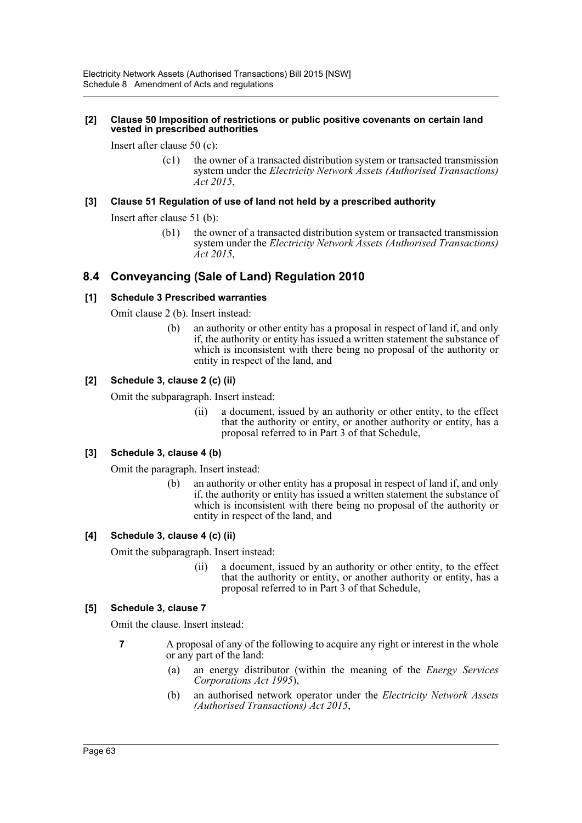#### **[2] Clause 50 Imposition of restrictions or public positive covenants on certain land vested in prescribed authorities**

Insert after clause 50 (c):

(c1) the owner of a transacted distribution system or transacted transmission system under the *Electricity Network Assets (Authorised Transactions) Act 2015*,

# **[3] Clause 51 Regulation of use of land not held by a prescribed authority**

Insert after clause 51 (b):

(b1) the owner of a transacted distribution system or transacted transmission system under the *Electricity Network Assets (Authorised Transactions) Act 2015*,

# **8.4 Conveyancing (Sale of Land) Regulation 2010**

# **[1] Schedule 3 Prescribed warranties**

Omit clause 2 (b). Insert instead:

(b) an authority or other entity has a proposal in respect of land if, and only if, the authority or entity has issued a written statement the substance of which is inconsistent with there being no proposal of the authority or entity in respect of the land, and

# **[2] Schedule 3, clause 2 (c) (ii)**

Omit the subparagraph. Insert instead:

(ii) a document, issued by an authority or other entity, to the effect that the authority or entity, or another authority or entity, has a proposal referred to in Part 3 of that Schedule,

# **[3] Schedule 3, clause 4 (b)**

Omit the paragraph. Insert instead:

(b) an authority or other entity has a proposal in respect of land if, and only if, the authority or entity has issued a written statement the substance of which is inconsistent with there being no proposal of the authority or entity in respect of the land, and

## **[4] Schedule 3, clause 4 (c) (ii)**

Omit the subparagraph. Insert instead:

(ii) a document, issued by an authority or other entity, to the effect that the authority or entity, or another authority or entity, has a proposal referred to in Part 3 of that Schedule,

## **[5] Schedule 3, clause 7**

Omit the clause. Insert instead:

- **7** A proposal of any of the following to acquire any right or interest in the whole or any part of the land:
	- (a) an energy distributor (within the meaning of the *Energy Services Corporations Act 1995*),
	- (b) an authorised network operator under the *Electricity Network Assets (Authorised Transactions) Act 2015*,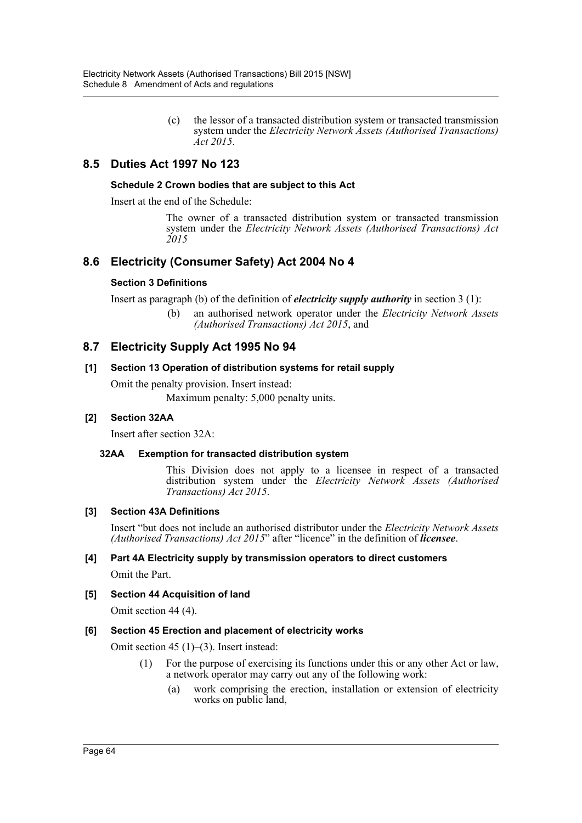(c) the lessor of a transacted distribution system or transacted transmission system under the *Electricity Network Assets (Authorised Transactions) Act 2015*.

# **8.5 Duties Act 1997 No 123**

# **Schedule 2 Crown bodies that are subject to this Act**

Insert at the end of the Schedule:

The owner of a transacted distribution system or transacted transmission system under the *Electricity Network Assets (Authorised Transactions) Act 2015*

# **8.6 Electricity (Consumer Safety) Act 2004 No 4**

# **Section 3 Definitions**

Insert as paragraph (b) of the definition of *electricity supply authority* in section 3 (1):

(b) an authorised network operator under the *Electricity Network Assets (Authorised Transactions) Act 2015*, and

# **8.7 Electricity Supply Act 1995 No 94**

# **[1] Section 13 Operation of distribution systems for retail supply**

Omit the penalty provision. Insert instead: Maximum penalty: 5,000 penalty units.

# **[2] Section 32AA**

Insert after section 32A:

# **32AA Exemption for transacted distribution system**

This Division does not apply to a licensee in respect of a transacted distribution system under the *Electricity Network Assets (Authorised Transactions) Act 2015*.

## **[3] Section 43A Definitions**

Insert "but does not include an authorised distributor under the *Electricity Network Assets (Authorised Transactions) Act 2015*" after "licence" in the definition of *licensee*.

# **[4] Part 4A Electricity supply by transmission operators to direct customers**

Omit the Part.

# **[5] Section 44 Acquisition of land**

Omit section 44 (4).

# **[6] Section 45 Erection and placement of electricity works**

Omit section 45 (1)–(3). Insert instead:

- (1) For the purpose of exercising its functions under this or any other Act or law, a network operator may carry out any of the following work:
	- (a) work comprising the erection, installation or extension of electricity works on public land,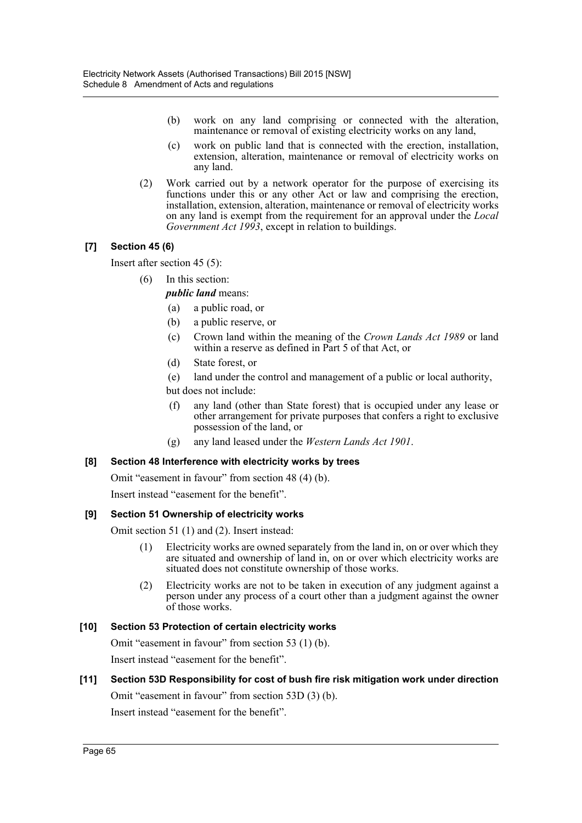- (b) work on any land comprising or connected with the alteration, maintenance or removal of existing electricity works on any land,
- (c) work on public land that is connected with the erection, installation, extension, alteration, maintenance or removal of electricity works on any land.
- (2) Work carried out by a network operator for the purpose of exercising its functions under this or any other Act or law and comprising the erection, installation, extension, alteration, maintenance or removal of electricity works on any land is exempt from the requirement for an approval under the *Local Government Act 1993*, except in relation to buildings.

# **[7] Section 45 (6)**

Insert after section 45 (5):

(6) In this section:

*public land* means:

- (a) a public road, or
- (b) a public reserve, or
- (c) Crown land within the meaning of the *Crown Lands Act 1989* or land within a reserve as defined in Part 5 of that Act, or
- (d) State forest, or
- (e) land under the control and management of a public or local authority,
- but does not include:
- (f) any land (other than State forest) that is occupied under any lease or other arrangement for private purposes that confers a right to exclusive possession of the land, or
- (g) any land leased under the *Western Lands Act 1901*.

# **[8] Section 48 Interference with electricity works by trees**

Omit "easement in favour" from section 48 (4) (b).

Insert instead "easement for the benefit".

# **[9] Section 51 Ownership of electricity works**

Omit section 51 (1) and (2). Insert instead:

- (1) Electricity works are owned separately from the land in, on or over which they are situated and ownership of land in, on or over which electricity works are situated does not constitute ownership of those works.
- (2) Electricity works are not to be taken in execution of any judgment against a person under any process of a court other than a judgment against the owner of those works.

# **[10] Section 53 Protection of certain electricity works**

Omit "easement in favour" from section 53 (1) (b).

Insert instead "easement for the benefit".

# **[11] Section 53D Responsibility for cost of bush fire risk mitigation work under direction**

Omit "easement in favour" from section 53D (3) (b).

Insert instead "easement for the benefit".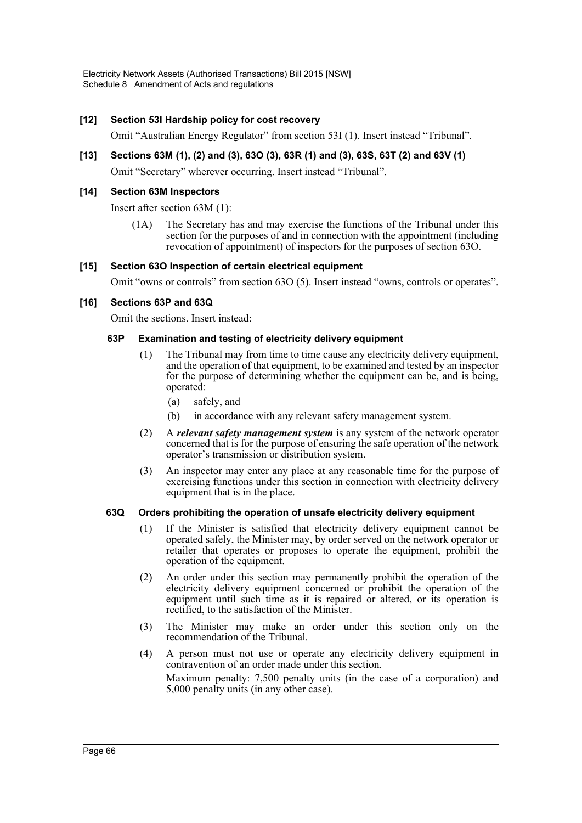# **[12] Section 53I Hardship policy for cost recovery**

Omit "Australian Energy Regulator" from section 53I (1). Insert instead "Tribunal".

# **[13] Sections 63M (1), (2) and (3), 63O (3), 63R (1) and (3), 63S, 63T (2) and 63V (1)**

Omit "Secretary" wherever occurring. Insert instead "Tribunal".

# **[14] Section 63M Inspectors**

Insert after section 63M (1):

(1A) The Secretary has and may exercise the functions of the Tribunal under this section for the purposes of and in connection with the appointment (including revocation of appointment) of inspectors for the purposes of section 63O.

## **[15] Section 63O Inspection of certain electrical equipment**

Omit "owns or controls" from section 63O (5). Insert instead "owns, controls or operates".

# **[16] Sections 63P and 63Q**

Omit the sections. Insert instead:

## **63P Examination and testing of electricity delivery equipment**

- (1) The Tribunal may from time to time cause any electricity delivery equipment, and the operation of that equipment, to be examined and tested by an inspector for the purpose of determining whether the equipment can be, and is being, operated:
	- (a) safely, and
	- (b) in accordance with any relevant safety management system.
- (2) A *relevant safety management system* is any system of the network operator concerned that is for the purpose of ensuring the safe operation of the network operator's transmission or distribution system.
- (3) An inspector may enter any place at any reasonable time for the purpose of exercising functions under this section in connection with electricity delivery equipment that is in the place.

## **63Q Orders prohibiting the operation of unsafe electricity delivery equipment**

- (1) If the Minister is satisfied that electricity delivery equipment cannot be operated safely, the Minister may, by order served on the network operator or retailer that operates or proposes to operate the equipment, prohibit the operation of the equipment.
- (2) An order under this section may permanently prohibit the operation of the electricity delivery equipment concerned or prohibit the operation of the equipment until such time as it is repaired or altered, or its operation is rectified, to the satisfaction of the Minister.
- (3) The Minister may make an order under this section only on the recommendation of the Tribunal.
- (4) A person must not use or operate any electricity delivery equipment in contravention of an order made under this section. Maximum penalty: 7,500 penalty units (in the case of a corporation) and 5,000 penalty units (in any other case).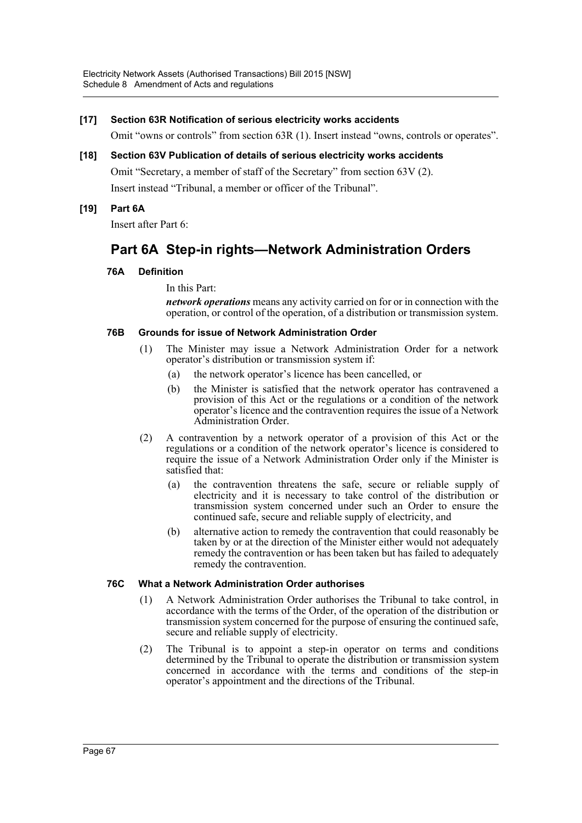# **[17] Section 63R Notification of serious electricity works accidents**

Omit "owns or controls" from section 63R (1). Insert instead "owns, controls or operates".

**[18] Section 63V Publication of details of serious electricity works accidents** Omit "Secretary, a member of staff of the Secretary" from section 63V (2). Insert instead "Tribunal, a member or officer of the Tribunal".

# **[19] Part 6A**

Insert after Part 6:

# **Part 6A Step-in rights—Network Administration Orders**

# **76A Definition**

In this Part:

*network operations* means any activity carried on for or in connection with the operation, or control of the operation, of a distribution or transmission system.

## **76B Grounds for issue of Network Administration Order**

- (1) The Minister may issue a Network Administration Order for a network operator's distribution or transmission system if:
	- (a) the network operator's licence has been cancelled, or
	- (b) the Minister is satisfied that the network operator has contravened a provision of this Act or the regulations or a condition of the network operator's licence and the contravention requires the issue of a Network Administration Order.
- (2) A contravention by a network operator of a provision of this Act or the regulations or a condition of the network operator's licence is considered to require the issue of a Network Administration Order only if the Minister is satisfied that:
	- (a) the contravention threatens the safe, secure or reliable supply of electricity and it is necessary to take control of the distribution or transmission system concerned under such an Order to ensure the continued safe, secure and reliable supply of electricity, and
	- (b) alternative action to remedy the contravention that could reasonably be taken by or at the direction of the Minister either would not adequately remedy the contravention or has been taken but has failed to adequately remedy the contravention.

## **76C What a Network Administration Order authorises**

- (1) A Network Administration Order authorises the Tribunal to take control, in accordance with the terms of the Order, of the operation of the distribution or transmission system concerned for the purpose of ensuring the continued safe, secure and reliable supply of electricity.
- (2) The Tribunal is to appoint a step-in operator on terms and conditions determined by the Tribunal to operate the distribution or transmission system concerned in accordance with the terms and conditions of the step-in operator's appointment and the directions of the Tribunal.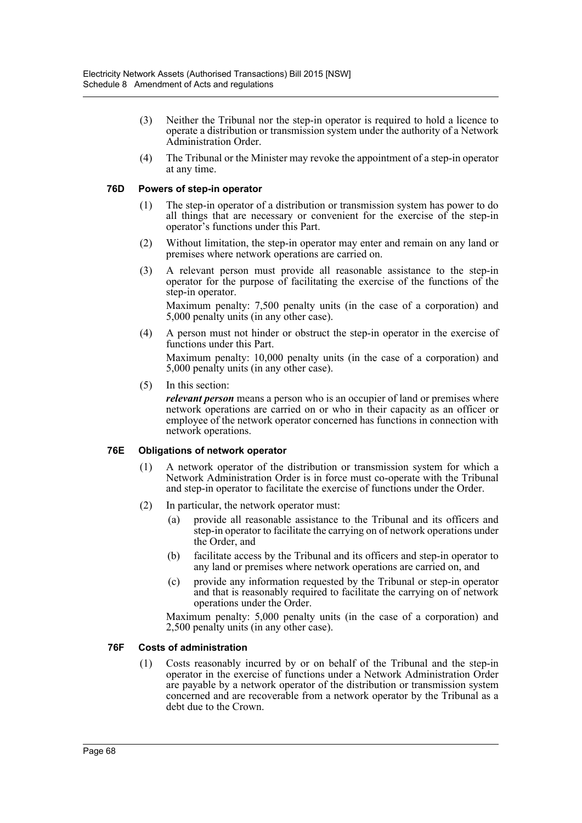- (3) Neither the Tribunal nor the step-in operator is required to hold a licence to operate a distribution or transmission system under the authority of a Network Administration Order.
- (4) The Tribunal or the Minister may revoke the appointment of a step-in operator at any time.

## **76D Powers of step-in operator**

- (1) The step-in operator of a distribution or transmission system has power to do all things that are necessary or convenient for the exercise of the step-in operator's functions under this Part.
- (2) Without limitation, the step-in operator may enter and remain on any land or premises where network operations are carried on.
- (3) A relevant person must provide all reasonable assistance to the step-in operator for the purpose of facilitating the exercise of the functions of the step-in operator. Maximum penalty: 7,500 penalty units (in the case of a corporation) and

5,000 penalty units (in any other case).

(4) A person must not hinder or obstruct the step-in operator in the exercise of functions under this Part.

Maximum penalty: 10,000 penalty units (in the case of a corporation) and 5,000 penalty units (in any other case).

(5) In this section:

*relevant person* means a person who is an occupier of land or premises where network operations are carried on or who in their capacity as an officer or employee of the network operator concerned has functions in connection with network operations.

## **76E Obligations of network operator**

- (1) A network operator of the distribution or transmission system for which a Network Administration Order is in force must co-operate with the Tribunal and step-in operator to facilitate the exercise of functions under the Order.
- (2) In particular, the network operator must:
	- (a) provide all reasonable assistance to the Tribunal and its officers and step-in operator to facilitate the carrying on of network operations under the Order, and
	- (b) facilitate access by the Tribunal and its officers and step-in operator to any land or premises where network operations are carried on, and
	- (c) provide any information requested by the Tribunal or step-in operator and that is reasonably required to facilitate the carrying on of network operations under the Order.

Maximum penalty: 5,000 penalty units (in the case of a corporation) and 2,500 penalty units (in any other case).

#### **76F Costs of administration**

(1) Costs reasonably incurred by or on behalf of the Tribunal and the step-in operator in the exercise of functions under a Network Administration Order are payable by a network operator of the distribution or transmission system concerned and are recoverable from a network operator by the Tribunal as a debt due to the Crown.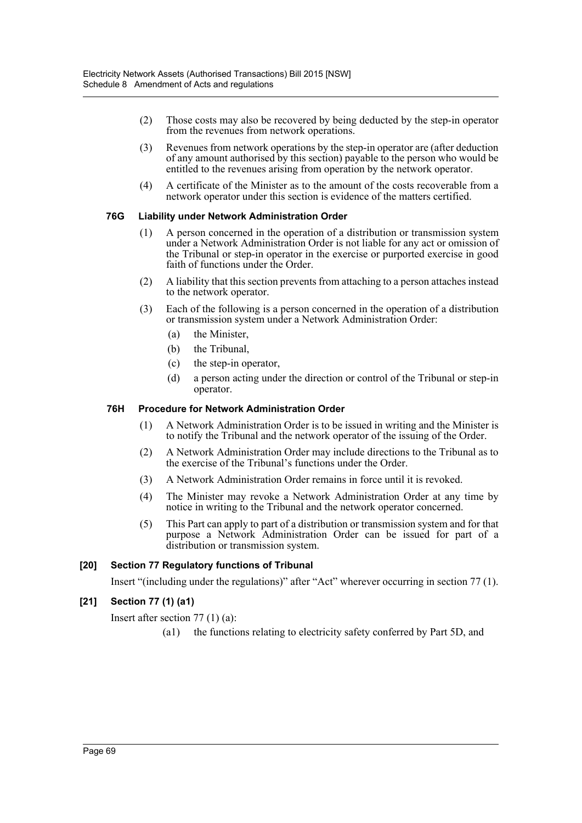- (2) Those costs may also be recovered by being deducted by the step-in operator from the revenues from network operations.
- (3) Revenues from network operations by the step-in operator are (after deduction of any amount authorised by this section) payable to the person who would be entitled to the revenues arising from operation by the network operator.
- (4) A certificate of the Minister as to the amount of the costs recoverable from a network operator under this section is evidence of the matters certified.

# **76G Liability under Network Administration Order**

- (1) A person concerned in the operation of a distribution or transmission system under a Network Administration Order is not liable for any act or omission of the Tribunal or step-in operator in the exercise or purported exercise in good faith of functions under the Order.
- (2) A liability that this section prevents from attaching to a person attaches instead to the network operator.
- (3) Each of the following is a person concerned in the operation of a distribution or transmission system under a Network Administration Order:
	- (a) the Minister,
	- (b) the Tribunal,
	- (c) the step-in operator,
	- (d) a person acting under the direction or control of the Tribunal or step-in operator.

# **76H Procedure for Network Administration Order**

- (1) A Network Administration Order is to be issued in writing and the Minister is to notify the Tribunal and the network operator of the issuing of the Order.
- (2) A Network Administration Order may include directions to the Tribunal as to the exercise of the Tribunal's functions under the Order.
- (3) A Network Administration Order remains in force until it is revoked.
- (4) The Minister may revoke a Network Administration Order at any time by notice in writing to the Tribunal and the network operator concerned.
- (5) This Part can apply to part of a distribution or transmission system and for that purpose a Network Administration Order can be issued for part of a distribution or transmission system.

## **[20] Section 77 Regulatory functions of Tribunal**

Insert "(including under the regulations)" after "Act" wherever occurring in section 77 (1).

## **[21] Section 77 (1) (a1)**

Insert after section 77 (1) (a):

(a1) the functions relating to electricity safety conferred by Part 5D, and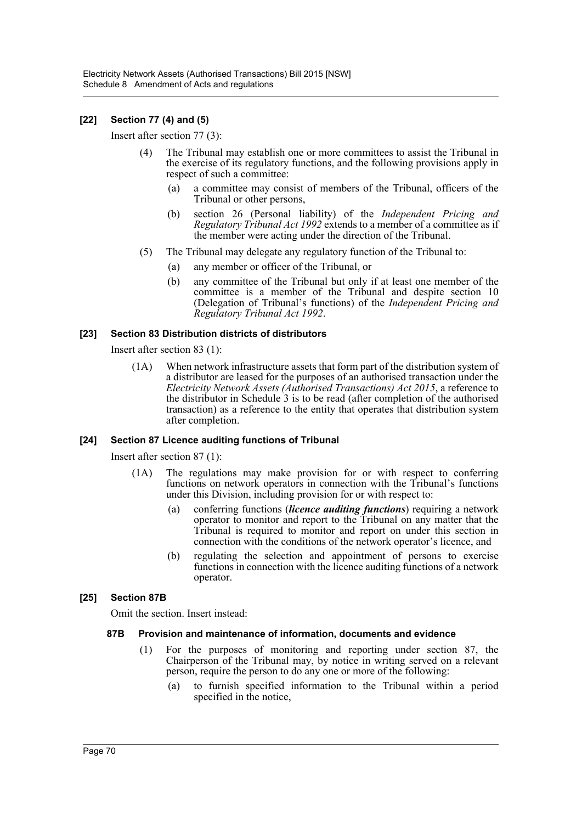## **[22] Section 77 (4) and (5)**

Insert after section 77 (3):

- (4) The Tribunal may establish one or more committees to assist the Tribunal in the exercise of its regulatory functions, and the following provisions apply in respect of such a committee:
	- (a) a committee may consist of members of the Tribunal, officers of the Tribunal or other persons,
	- (b) section 26 (Personal liability) of the *Independent Pricing and Regulatory Tribunal Act 1992* extends to a member of a committee as if the member were acting under the direction of the Tribunal.
- (5) The Tribunal may delegate any regulatory function of the Tribunal to:
	- (a) any member or officer of the Tribunal, or
	- (b) any committee of the Tribunal but only if at least one member of the committee is a member of the Tribunal and despite section 10 (Delegation of Tribunal's functions) of the *Independent Pricing and Regulatory Tribunal Act 1992*.

### **[23] Section 83 Distribution districts of distributors**

Insert after section 83 (1):

(1A) When network infrastructure assets that form part of the distribution system of a distributor are leased for the purposes of an authorised transaction under the *Electricity Network Assets (Authorised Transactions) Act 2015*, a reference to the distributor in Schedule 3 is to be read (after completion of the authorised transaction) as a reference to the entity that operates that distribution system after completion.

### **[24] Section 87 Licence auditing functions of Tribunal**

Insert after section 87 (1):

- (1A) The regulations may make provision for or with respect to conferring functions on network operators in connection with the Tribunal's functions under this Division, including provision for or with respect to:
	- (a) conferring functions (*licence auditing functions*) requiring a network operator to monitor and report to the Tribunal on any matter that the Tribunal is required to monitor and report on under this section in connection with the conditions of the network operator's licence, and
	- (b) regulating the selection and appointment of persons to exercise functions in connection with the licence auditing functions of a network operator.

### **[25] Section 87B**

Omit the section. Insert instead:

### **87B Provision and maintenance of information, documents and evidence**

- (1) For the purposes of monitoring and reporting under section 87, the Chairperson of the Tribunal may, by notice in writing served on a relevant person, require the person to do any one or more of the following:
	- (a) to furnish specified information to the Tribunal within a period specified in the notice,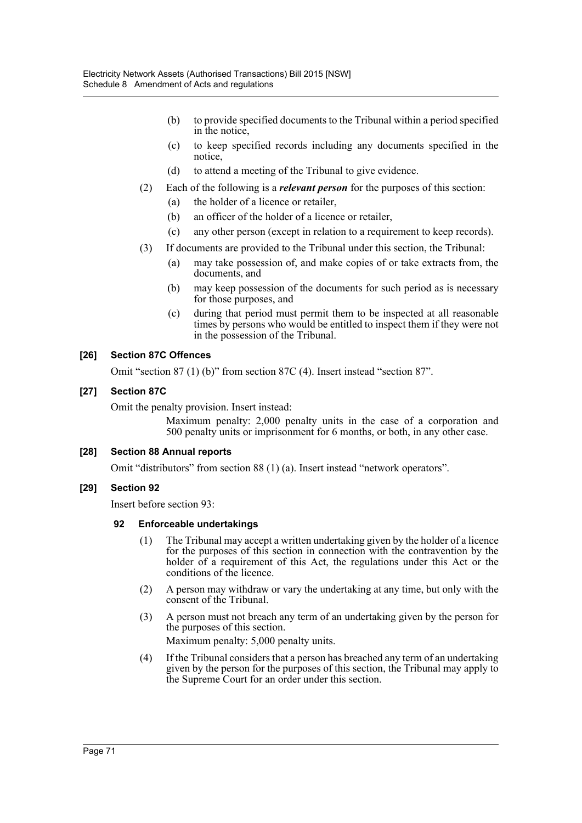- (b) to provide specified documents to the Tribunal within a period specified in the notice,
- (c) to keep specified records including any documents specified in the notice,
- (d) to attend a meeting of the Tribunal to give evidence.
- (2) Each of the following is a *relevant person* for the purposes of this section:
	- (a) the holder of a licence or retailer,
	- (b) an officer of the holder of a licence or retailer,
	- (c) any other person (except in relation to a requirement to keep records).
- (3) If documents are provided to the Tribunal under this section, the Tribunal:
	- (a) may take possession of, and make copies of or take extracts from, the documents, and
	- (b) may keep possession of the documents for such period as is necessary for those purposes, and
	- (c) during that period must permit them to be inspected at all reasonable times by persons who would be entitled to inspect them if they were not in the possession of the Tribunal.

# **[26] Section 87C Offences**

Omit "section 87 (1) (b)" from section 87C (4). Insert instead "section 87".

# **[27] Section 87C**

Omit the penalty provision. Insert instead:

Maximum penalty: 2,000 penalty units in the case of a corporation and 500 penalty units or imprisonment for 6 months, or both, in any other case.

# **[28] Section 88 Annual reports**

Omit "distributors" from section 88 (1) (a). Insert instead "network operators".

# **[29] Section 92**

Insert before section 93:

### **92 Enforceable undertakings**

- (1) The Tribunal may accept a written undertaking given by the holder of a licence for the purposes of this section in connection with the contravention by the holder of a requirement of this Act, the regulations under this Act or the conditions of the licence.
- (2) A person may withdraw or vary the undertaking at any time, but only with the consent of the Tribunal.
- (3) A person must not breach any term of an undertaking given by the person for the purposes of this section.

Maximum penalty: 5,000 penalty units.

(4) If the Tribunal considers that a person has breached any term of an undertaking given by the person for the purposes of this section, the Tribunal may apply to the Supreme Court for an order under this section.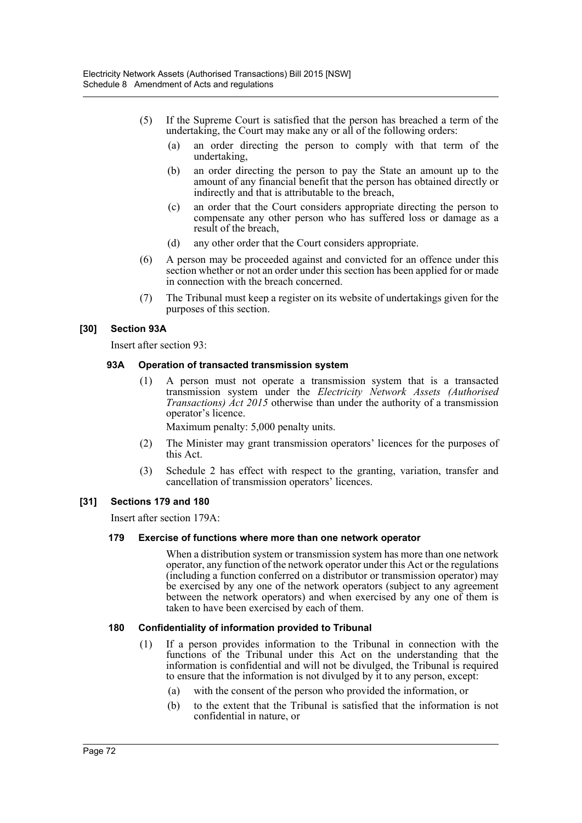- (5) If the Supreme Court is satisfied that the person has breached a term of the undertaking, the Court may make any or all of the following orders:
	- (a) an order directing the person to comply with that term of the undertaking,
	- (b) an order directing the person to pay the State an amount up to the amount of any financial benefit that the person has obtained directly or indirectly and that is attributable to the breach,
	- (c) an order that the Court considers appropriate directing the person to compensate any other person who has suffered loss or damage as a result of the breach,
	- (d) any other order that the Court considers appropriate.
- (6) A person may be proceeded against and convicted for an offence under this section whether or not an order under this section has been applied for or made in connection with the breach concerned.
- (7) The Tribunal must keep a register on its website of undertakings given for the purposes of this section.

# **[30] Section 93A**

Insert after section 93:

## **93A Operation of transacted transmission system**

(1) A person must not operate a transmission system that is a transacted transmission system under the *Electricity Network Assets (Authorised Transactions) Act 2015* otherwise than under the authority of a transmission operator's licence.

Maximum penalty: 5,000 penalty units.

- (2) The Minister may grant transmission operators' licences for the purposes of this Act.
- (3) Schedule 2 has effect with respect to the granting, variation, transfer and cancellation of transmission operators' licences.

### **[31] Sections 179 and 180**

Insert after section 179A:

### **179 Exercise of functions where more than one network operator**

When a distribution system or transmission system has more than one network operator, any function of the network operator under this Act or the regulations (including a function conferred on a distributor or transmission operator) may be exercised by any one of the network operators (subject to any agreement between the network operators) and when exercised by any one of them is taken to have been exercised by each of them.

### **180 Confidentiality of information provided to Tribunal**

- (1) If a person provides information to the Tribunal in connection with the functions of the Tribunal under this Act on the understanding that the information is confidential and will not be divulged, the Tribunal is required to ensure that the information is not divulged by it to any person, except:
	- (a) with the consent of the person who provided the information, or
	- (b) to the extent that the Tribunal is satisfied that the information is not confidential in nature, or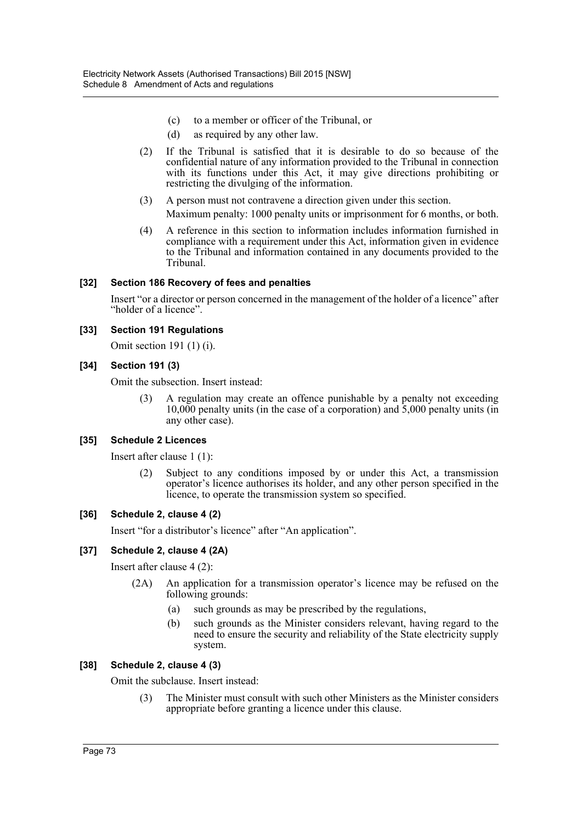- (c) to a member or officer of the Tribunal, or
- (d) as required by any other law.
- (2) If the Tribunal is satisfied that it is desirable to do so because of the confidential nature of any information provided to the Tribunal in connection with its functions under this Act, it may give directions prohibiting or restricting the divulging of the information.
- (3) A person must not contravene a direction given under this section. Maximum penalty: 1000 penalty units or imprisonment for 6 months, or both.
- (4) A reference in this section to information includes information furnished in compliance with a requirement under this Act, information given in evidence to the Tribunal and information contained in any documents provided to the Tribunal.

### **[32] Section 186 Recovery of fees and penalties**

Insert "or a director or person concerned in the management of the holder of a licence" after "holder of a licence".

### **[33] Section 191 Regulations**

Omit section 191 (1) (i).

## **[34] Section 191 (3)**

Omit the subsection. Insert instead:

(3) A regulation may create an offence punishable by a penalty not exceeding 10,000 penalty units (in the case of a corporation) and 5,000 penalty units (in any other case).

### **[35] Schedule 2 Licences**

Insert after clause 1 (1):

(2) Subject to any conditions imposed by or under this Act, a transmission operator's licence authorises its holder, and any other person specified in the licence, to operate the transmission system so specified.

### **[36] Schedule 2, clause 4 (2)**

Insert "for a distributor's licence" after "An application".

### **[37] Schedule 2, clause 4 (2A)**

Insert after clause 4 (2):

- (2A) An application for a transmission operator's licence may be refused on the following grounds:
	- (a) such grounds as may be prescribed by the regulations,
	- (b) such grounds as the Minister considers relevant, having regard to the need to ensure the security and reliability of the State electricity supply system.

### **[38] Schedule 2, clause 4 (3)**

Omit the subclause. Insert instead:

(3) The Minister must consult with such other Ministers as the Minister considers appropriate before granting a licence under this clause.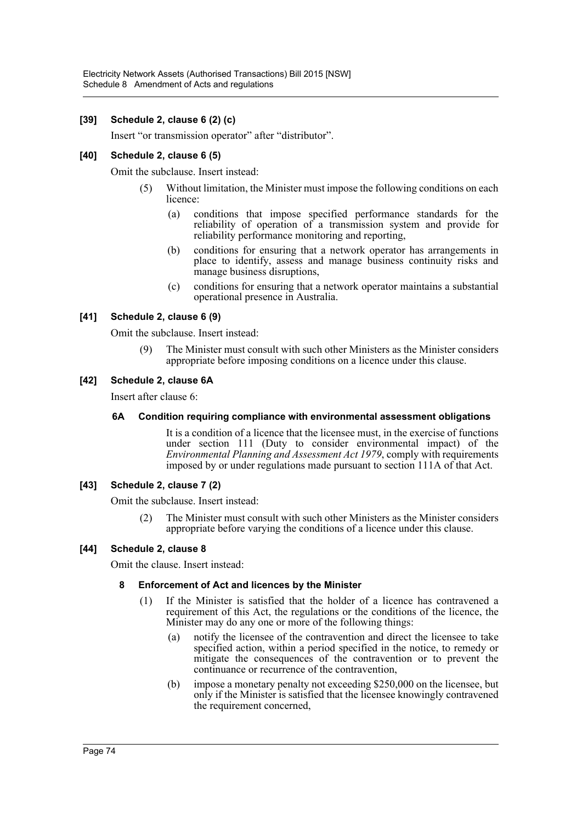## **[39] Schedule 2, clause 6 (2) (c)**

Insert "or transmission operator" after "distributor".

## **[40] Schedule 2, clause 6 (5)**

Omit the subclause. Insert instead:

- (5) Without limitation, the Minister must impose the following conditions on each licence:
	- (a) conditions that impose specified performance standards for the reliability of operation of a transmission system and provide for reliability performance monitoring and reporting,
	- (b) conditions for ensuring that a network operator has arrangements in place to identify, assess and manage business continuity risks and manage business disruptions,
	- (c) conditions for ensuring that a network operator maintains a substantial operational presence in Australia.

## **[41] Schedule 2, clause 6 (9)**

Omit the subclause. Insert instead:

(9) The Minister must consult with such other Ministers as the Minister considers appropriate before imposing conditions on a licence under this clause.

## **[42] Schedule 2, clause 6A**

Insert after clause 6:

### **6A Condition requiring compliance with environmental assessment obligations**

It is a condition of a licence that the licensee must, in the exercise of functions under section 111 (Duty to consider environmental impact) of the *Environmental Planning and Assessment Act 1979*, comply with requirements imposed by or under regulations made pursuant to section 111A of that Act.

### **[43] Schedule 2, clause 7 (2)**

Omit the subclause. Insert instead:

(2) The Minister must consult with such other Ministers as the Minister considers appropriate before varying the conditions of a licence under this clause.

### **[44] Schedule 2, clause 8**

Omit the clause. Insert instead:

### **8 Enforcement of Act and licences by the Minister**

- (1) If the Minister is satisfied that the holder of a licence has contravened a requirement of this Act, the regulations or the conditions of the licence, the Minister may do any one or more of the following things:
	- (a) notify the licensee of the contravention and direct the licensee to take specified action, within a period specified in the notice, to remedy or mitigate the consequences of the contravention or to prevent the continuance or recurrence of the contravention,
	- (b) impose a monetary penalty not exceeding \$250,000 on the licensee, but only if the Minister is satisfied that the licensee knowingly contravened the requirement concerned,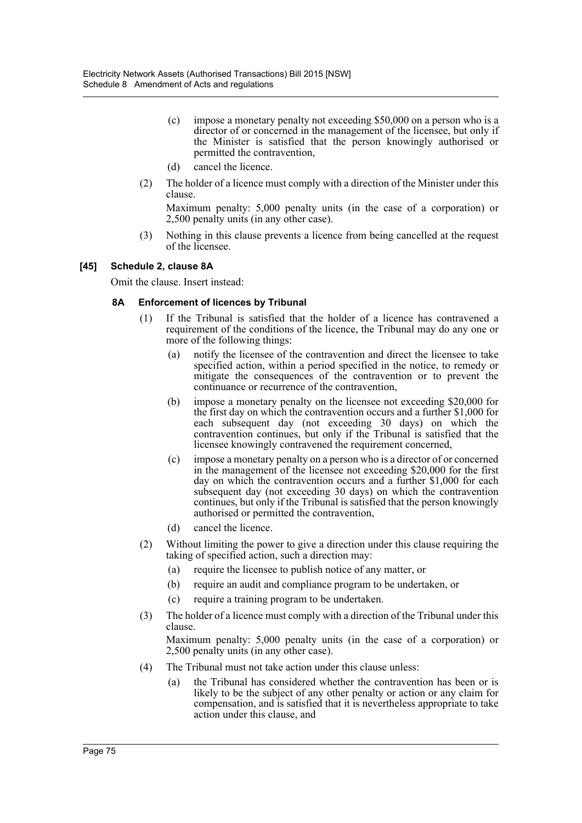- (c) impose a monetary penalty not exceeding \$50,000 on a person who is a director of or concerned in the management of the licensee, but only if the Minister is satisfied that the person knowingly authorised or permitted the contravention,
- (d) cancel the licence.
- (2) The holder of a licence must comply with a direction of the Minister under this clause.

Maximum penalty: 5,000 penalty units (in the case of a corporation) or 2,500 penalty units (in any other case).

(3) Nothing in this clause prevents a licence from being cancelled at the request of the licensee.

## **[45] Schedule 2, clause 8A**

Omit the clause. Insert instead:

## **8A Enforcement of licences by Tribunal**

- (1) If the Tribunal is satisfied that the holder of a licence has contravened a requirement of the conditions of the licence, the Tribunal may do any one or more of the following things:
	- (a) notify the licensee of the contravention and direct the licensee to take specified action, within a period specified in the notice, to remedy or mitigate the consequences of the contravention or to prevent the continuance or recurrence of the contravention,
	- (b) impose a monetary penalty on the licensee not exceeding \$20,000 for the first day on which the contravention occurs and a further \$1,000 for each subsequent day (not exceeding 30 days) on which the contravention continues, but only if the Tribunal is satisfied that the licensee knowingly contravened the requirement concerned,
	- (c) impose a monetary penalty on a person who is a director of or concerned in the management of the licensee not exceeding \$20,000 for the first day on which the contravention occurs and a further \$1,000 for each subsequent day (not exceeding 30 days) on which the contravention continues, but only if the Tribunal is satisfied that the person knowingly authorised or permitted the contravention,
	- (d) cancel the licence.
- (2) Without limiting the power to give a direction under this clause requiring the taking of specified action, such a direction may:
	- (a) require the licensee to publish notice of any matter, or
	- (b) require an audit and compliance program to be undertaken, or
	- (c) require a training program to be undertaken.
- (3) The holder of a licence must comply with a direction of the Tribunal under this clause.

Maximum penalty: 5,000 penalty units (in the case of a corporation) or 2,500 penalty units (in any other case).

- (4) The Tribunal must not take action under this clause unless:
	- (a) the Tribunal has considered whether the contravention has been or is likely to be the subject of any other penalty or action or any claim for compensation, and is satisfied that it is nevertheless appropriate to take action under this clause, and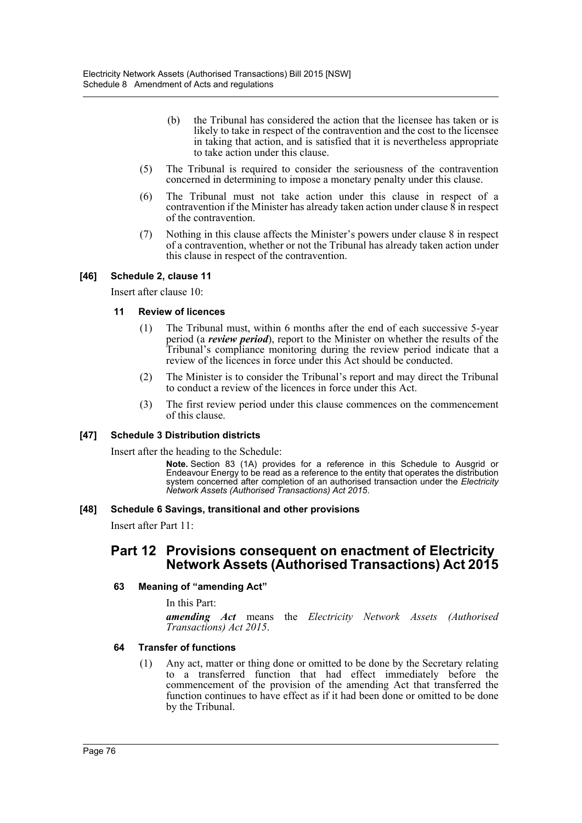- (b) the Tribunal has considered the action that the licensee has taken or is likely to take in respect of the contravention and the cost to the licensee in taking that action, and is satisfied that it is nevertheless appropriate to take action under this clause.
- (5) The Tribunal is required to consider the seriousness of the contravention concerned in determining to impose a monetary penalty under this clause.
- (6) The Tribunal must not take action under this clause in respect of a contravention if the Minister has already taken action under clause  $\hat{8}$  in respect of the contravention.
- (7) Nothing in this clause affects the Minister's powers under clause 8 in respect of a contravention, whether or not the Tribunal has already taken action under this clause in respect of the contravention.

## **[46] Schedule 2, clause 11**

Insert after clause 10:

### **11 Review of licences**

- (1) The Tribunal must, within 6 months after the end of each successive 5-year period (a *review period*), report to the Minister on whether the results of the Tribunal's compliance monitoring during the review period indicate that a review of the licences in force under this Act should be conducted.
- (2) The Minister is to consider the Tribunal's report and may direct the Tribunal to conduct a review of the licences in force under this Act.
- (3) The first review period under this clause commences on the commencement of this clause.

### **[47] Schedule 3 Distribution districts**

Insert after the heading to the Schedule:

**Note.** Section 83 (1A) provides for a reference in this Schedule to Ausgrid or Endeavour Energy to be read as a reference to the entity that operates the distribution system concerned after completion of an authorised transaction under the *Electricity Network Assets (Authorised Transactions) Act 2015*.

### **[48] Schedule 6 Savings, transitional and other provisions**

Insert after Part 11:

# **Part 12 Provisions consequent on enactment of Electricity Network Assets (Authorised Transactions) Act 2015**

### **63 Meaning of "amending Act"**

In this Part:

*amending Act* means the *Electricity Network Assets (Authorised Transactions) Act 2015*.

### **64 Transfer of functions**

(1) Any act, matter or thing done or omitted to be done by the Secretary relating to a transferred function that had effect immediately before the commencement of the provision of the amending Act that transferred the function continues to have effect as if it had been done or omitted to be done by the Tribunal.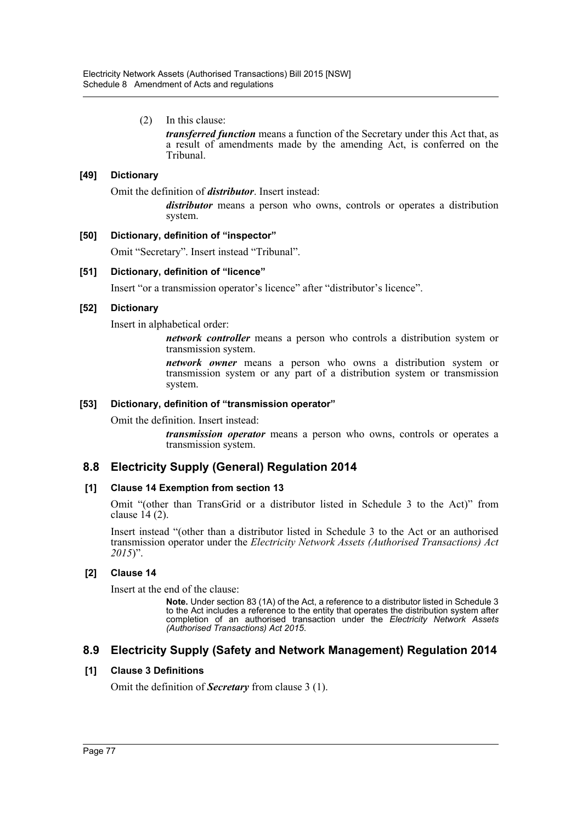(2) In this clause:

*transferred function* means a function of the Secretary under this Act that, as a result of amendments made by the amending Act, is conferred on the Tribunal.

## **[49] Dictionary**

Omit the definition of *distributor*. Insert instead:

*distributor* means a person who owns, controls or operates a distribution system.

## **[50] Dictionary, definition of "inspector"**

Omit "Secretary". Insert instead "Tribunal".

## **[51] Dictionary, definition of "licence"**

Insert "or a transmission operator's licence" after "distributor's licence".

## **[52] Dictionary**

Insert in alphabetical order:

*network controller* means a person who controls a distribution system or transmission system.

*network owner* means a person who owns a distribution system or transmission system or any part of a distribution system or transmission system.

### **[53] Dictionary, definition of "transmission operator"**

Omit the definition. Insert instead:

*transmission operator* means a person who owns, controls or operates a transmission system.

# **8.8 Electricity Supply (General) Regulation 2014**

### **[1] Clause 14 Exemption from section 13**

Omit "(other than TransGrid or a distributor listed in Schedule 3 to the Act)" from clause 14 (2).

Insert instead "(other than a distributor listed in Schedule 3 to the Act or an authorised transmission operator under the *Electricity Network Assets (Authorised Transactions) Act 2015*)".

# **[2] Clause 14**

Insert at the end of the clause:

**Note.** Under section 83 (1A) of the Act, a reference to a distributor listed in Schedule 3 to the Act includes a reference to the entity that operates the distribution system after completion of an authorised transaction under the *Electricity Network Assets (Authorised Transactions) Act 2015*.

# **8.9 Electricity Supply (Safety and Network Management) Regulation 2014**

# **[1] Clause 3 Definitions**

Omit the definition of *Secretary* from clause 3 (1).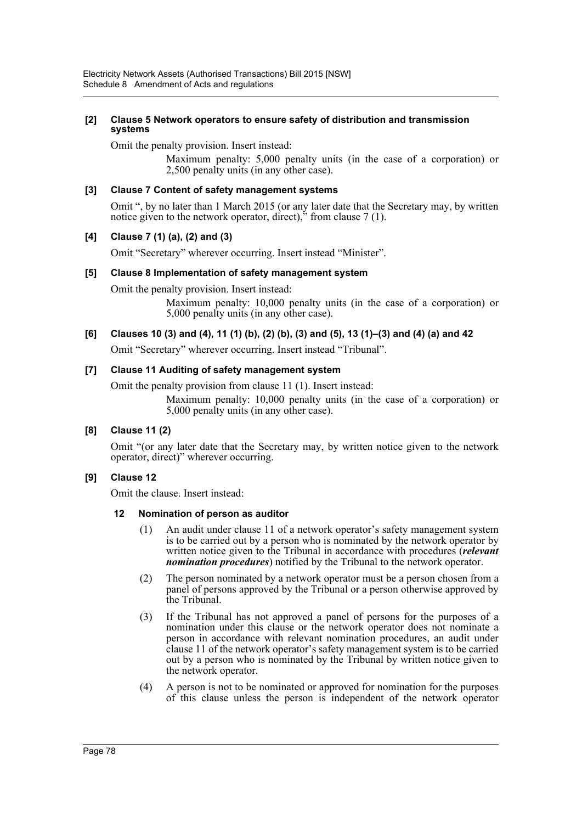#### **[2] Clause 5 Network operators to ensure safety of distribution and transmission systems**

Omit the penalty provision. Insert instead:

Maximum penalty: 5,000 penalty units (in the case of a corporation) or 2,500 penalty units (in any other case).

### **[3] Clause 7 Content of safety management systems**

Omit ", by no later than 1 March 2015 (or any later date that the Secretary may, by written notice given to the network operator, direct)," from clause 7 (1).

### **[4] Clause 7 (1) (a), (2) and (3)**

Omit "Secretary" wherever occurring. Insert instead "Minister".

#### **[5] Clause 8 Implementation of safety management system**

Omit the penalty provision. Insert instead:

Maximum penalty: 10,000 penalty units (in the case of a corporation) or 5,000 penalty units (in any other case).

#### **[6] Clauses 10 (3) and (4), 11 (1) (b), (2) (b), (3) and (5), 13 (1)–(3) and (4) (a) and 42**

Omit "Secretary" wherever occurring. Insert instead "Tribunal".

#### **[7] Clause 11 Auditing of safety management system**

Omit the penalty provision from clause 11 (1). Insert instead:

Maximum penalty: 10,000 penalty units (in the case of a corporation) or 5,000 penalty units (in any other case).

### **[8] Clause 11 (2)**

Omit "(or any later date that the Secretary may, by written notice given to the network operator, direct)" wherever occurring.

### **[9] Clause 12**

Omit the clause. Insert instead:

### **12 Nomination of person as auditor**

- (1) An audit under clause 11 of a network operator's safety management system is to be carried out by a person who is nominated by the network operator by written notice given to the Tribunal in accordance with procedures (*relevant nomination procedures*) notified by the Tribunal to the network operator.
- (2) The person nominated by a network operator must be a person chosen from a panel of persons approved by the Tribunal or a person otherwise approved by the Tribunal.
- (3) If the Tribunal has not approved a panel of persons for the purposes of a nomination under this clause or the network operator does not nominate a person in accordance with relevant nomination procedures, an audit under clause 11 of the network operator's safety management system is to be carried out by a person who is nominated by the Tribunal by written notice given to the network operator.
- (4) A person is not to be nominated or approved for nomination for the purposes of this clause unless the person is independent of the network operator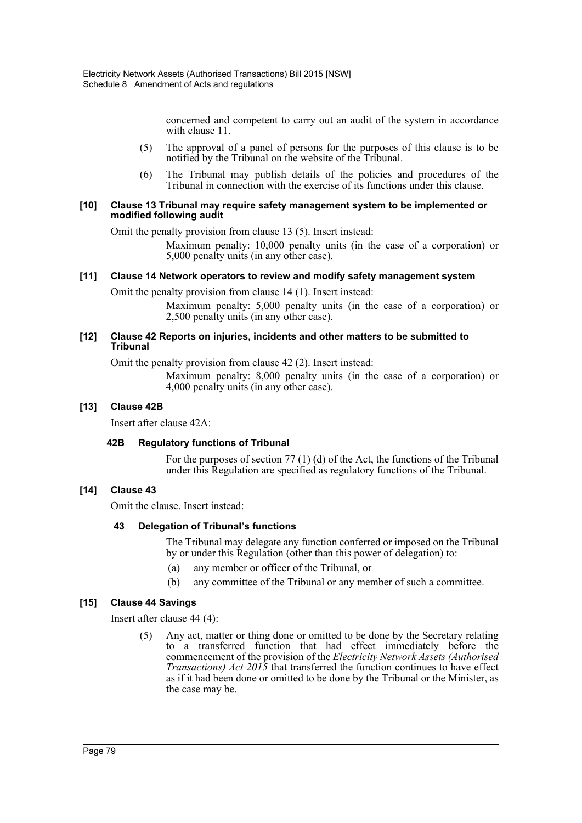concerned and competent to carry out an audit of the system in accordance with clause 11.

- (5) The approval of a panel of persons for the purposes of this clause is to be notified by the Tribunal on the website of the Tribunal.
- (6) The Tribunal may publish details of the policies and procedures of the Tribunal in connection with the exercise of its functions under this clause.

#### **[10] Clause 13 Tribunal may require safety management system to be implemented or modified following audit**

Omit the penalty provision from clause 13 (5). Insert instead:

Maximum penalty: 10,000 penalty units (in the case of a corporation) or 5,000 penalty units (in any other case).

## **[11] Clause 14 Network operators to review and modify safety management system**

Omit the penalty provision from clause 14 (1). Insert instead:

Maximum penalty: 5,000 penalty units (in the case of a corporation) or 2,500 penalty units (in any other case).

#### **[12] Clause 42 Reports on injuries, incidents and other matters to be submitted to Tribunal**

Omit the penalty provision from clause 42 (2). Insert instead:

Maximum penalty: 8,000 penalty units (in the case of a corporation) or 4,000 penalty units (in any other case).

### **[13] Clause 42B**

Insert after clause 42A:

### **42B Regulatory functions of Tribunal**

For the purposes of section 77 (1) (d) of the Act, the functions of the Tribunal under this Regulation are specified as regulatory functions of the Tribunal.

# **[14] Clause 43**

Omit the clause. Insert instead:

### **43 Delegation of Tribunal's functions**

The Tribunal may delegate any function conferred or imposed on the Tribunal by or under this Regulation (other than this power of delegation) to:

- (a) any member or officer of the Tribunal, or
- (b) any committee of the Tribunal or any member of such a committee.

# **[15] Clause 44 Savings**

Insert after clause 44 (4):

(5) Any act, matter or thing done or omitted to be done by the Secretary relating to a transferred function that had effect immediately before the commencement of the provision of the *Electricity Network Assets (Authorised Transactions) Act 2015* that transferred the function continues to have effect as if it had been done or omitted to be done by the Tribunal or the Minister, as the case may be.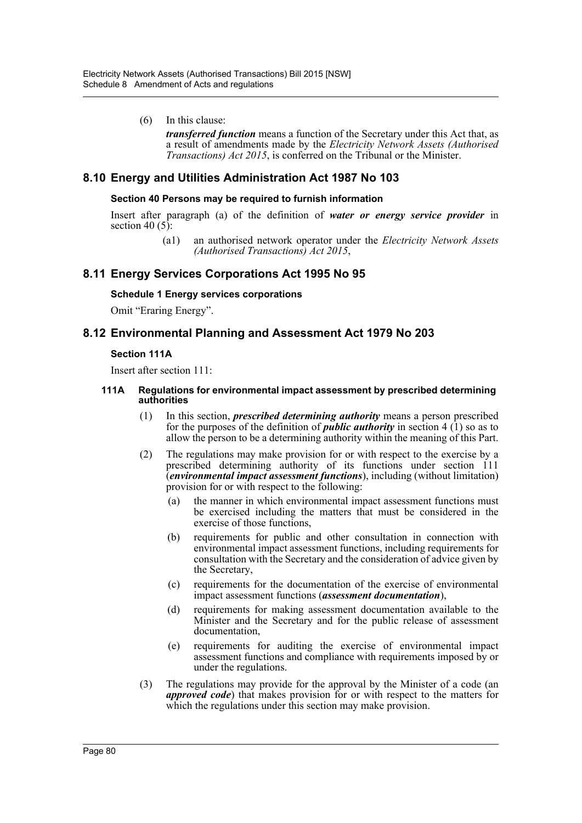### (6) In this clause:

*transferred function* means a function of the Secretary under this Act that, as a result of amendments made by the *Electricity Network Assets (Authorised Transactions) Act 2015*, is conferred on the Tribunal or the Minister.

# **8.10 Energy and Utilities Administration Act 1987 No 103**

### **Section 40 Persons may be required to furnish information**

Insert after paragraph (a) of the definition of *water or energy service provider* in section 40 $(5)$ :

> (a1) an authorised network operator under the *Electricity Network Assets (Authorised Transactions) Act 2015*,

# **8.11 Energy Services Corporations Act 1995 No 95**

### **Schedule 1 Energy services corporations**

Omit "Eraring Energy".

# **8.12 Environmental Planning and Assessment Act 1979 No 203**

#### **Section 111A**

Insert after section 111:

#### **111A Regulations for environmental impact assessment by prescribed determining authorities**

- (1) In this section, *prescribed determining authority* means a person prescribed for the purposes of the definition of *public authority* in section  $4(1)$  so as to allow the person to be a determining authority within the meaning of this Part.
- (2) The regulations may make provision for or with respect to the exercise by a prescribed determining authority of its functions under section 111 (*environmental impact assessment functions*), including (without limitation) provision for or with respect to the following:
	- (a) the manner in which environmental impact assessment functions must be exercised including the matters that must be considered in the exercise of those functions,
	- (b) requirements for public and other consultation in connection with environmental impact assessment functions, including requirements for consultation with the Secretary and the consideration of advice given by the Secretary,
	- (c) requirements for the documentation of the exercise of environmental impact assessment functions (*assessment documentation*),
	- (d) requirements for making assessment documentation available to the Minister and the Secretary and for the public release of assessment documentation,
	- (e) requirements for auditing the exercise of environmental impact assessment functions and compliance with requirements imposed by or under the regulations.
- (3) The regulations may provide for the approval by the Minister of a code (an *approved code*) that makes provision for or with respect to the matters for which the regulations under this section may make provision.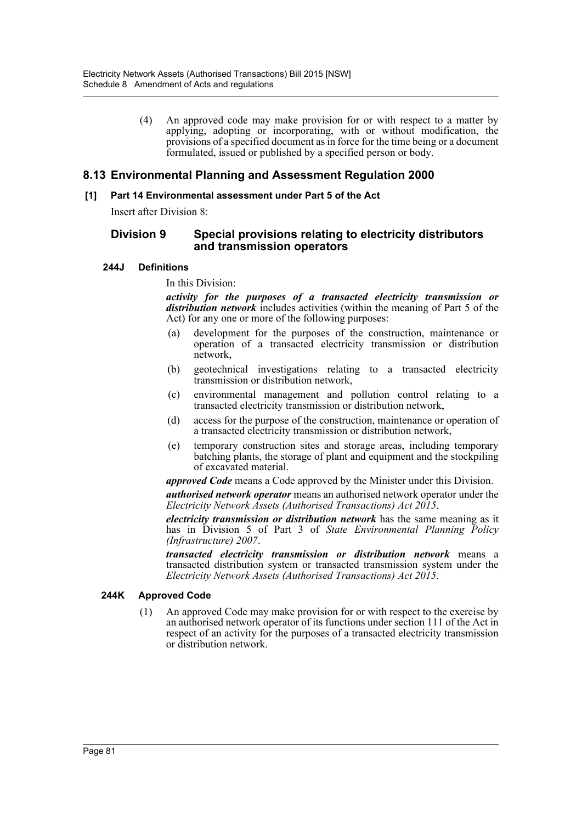(4) An approved code may make provision for or with respect to a matter by applying, adopting or incorporating, with or without modification, the provisions of a specified document as in force for the time being or a document formulated, issued or published by a specified person or body.

# **8.13 Environmental Planning and Assessment Regulation 2000**

## **[1] Part 14 Environmental assessment under Part 5 of the Act**

Insert after Division 8:

# **Division 9 Special provisions relating to electricity distributors and transmission operators**

## **244J Definitions**

In this Division:

*activity for the purposes of a transacted electricity transmission or distribution network* includes activities (within the meaning of Part 5 of the Act) for any one or more of the following purposes:

- (a) development for the purposes of the construction, maintenance or operation of a transacted electricity transmission or distribution network,
- (b) geotechnical investigations relating to a transacted electricity transmission or distribution network,
- (c) environmental management and pollution control relating to a transacted electricity transmission or distribution network,
- (d) access for the purpose of the construction, maintenance or operation of a transacted electricity transmission or distribution network,
- (e) temporary construction sites and storage areas, including temporary batching plants, the storage of plant and equipment and the stockpiling of excavated material.

*approved Code* means a Code approved by the Minister under this Division.

*authorised network operator* means an authorised network operator under the *Electricity Network Assets (Authorised Transactions) Act 2015*.

*electricity transmission or distribution network* has the same meaning as it has in Division 5 of Part 3 of *State Environmental Planning Policy (Infrastructure) 2007*.

*transacted electricity transmission or distribution network* means a transacted distribution system or transacted transmission system under the *Electricity Network Assets (Authorised Transactions) Act 2015*.

### **244K Approved Code**

(1) An approved Code may make provision for or with respect to the exercise by an authorised network operator of its functions under section 111 of the Act in respect of an activity for the purposes of a transacted electricity transmission or distribution network.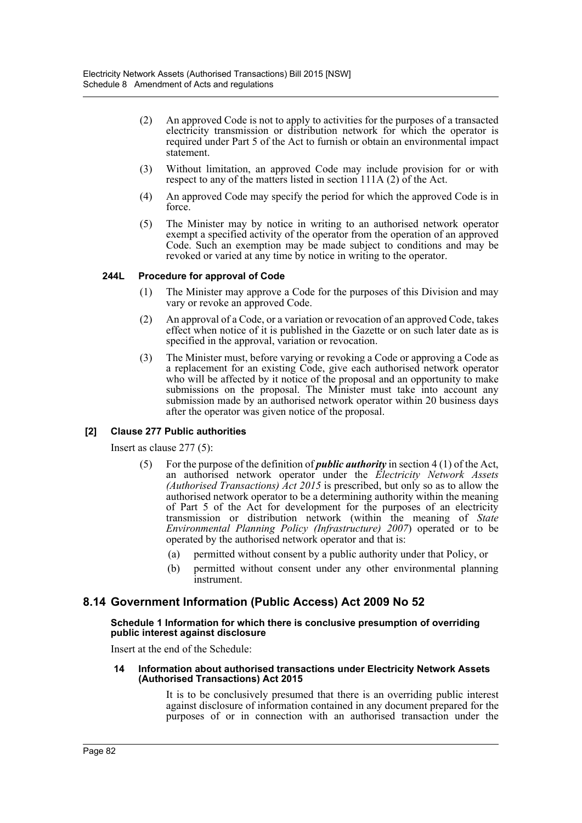- (2) An approved Code is not to apply to activities for the purposes of a transacted electricity transmission or distribution network for which the operator is required under Part 5 of the Act to furnish or obtain an environmental impact statement.
- (3) Without limitation, an approved Code may include provision for or with respect to any of the matters listed in section  $111A(2)$  of the Act.
- (4) An approved Code may specify the period for which the approved Code is in force.
- (5) The Minister may by notice in writing to an authorised network operator exempt a specified activity of the operator from the operation of an approved Code. Such an exemption may be made subject to conditions and may be revoked or varied at any time by notice in writing to the operator.

### **244L Procedure for approval of Code**

- (1) The Minister may approve a Code for the purposes of this Division and may vary or revoke an approved Code.
- (2) An approval of a Code, or a variation or revocation of an approved Code, takes effect when notice of it is published in the Gazette or on such later date as is specified in the approval, variation or revocation.
- (3) The Minister must, before varying or revoking a Code or approving a Code as a replacement for an existing Code, give each authorised network operator who will be affected by it notice of the proposal and an opportunity to make submissions on the proposal. The Minister must take into account any submission made by an authorised network operator within 20 business days after the operator was given notice of the proposal.

# **[2] Clause 277 Public authorities**

Insert as clause 277 (5):

- (5) For the purpose of the definition of *public authority* in section 4 (1) of the Act, an authorised network operator under the *Electricity Network Assets (Authorised Transactions) Act 2015* is prescribed, but only so as to allow the authorised network operator to be a determining authority within the meaning of Part 5 of the Act for development for the purposes of an electricity transmission or distribution network (within the meaning of *State Environmental Planning Policy (Infrastructure) 2007*) operated or to be operated by the authorised network operator and that is:
	- (a) permitted without consent by a public authority under that Policy, or
	- (b) permitted without consent under any other environmental planning instrument.

# **8.14 Government Information (Public Access) Act 2009 No 52**

#### **Schedule 1 Information for which there is conclusive presumption of overriding public interest against disclosure**

Insert at the end of the Schedule:

#### **14 Information about authorised transactions under Electricity Network Assets (Authorised Transactions) Act 2015**

It is to be conclusively presumed that there is an overriding public interest against disclosure of information contained in any document prepared for the purposes of or in connection with an authorised transaction under the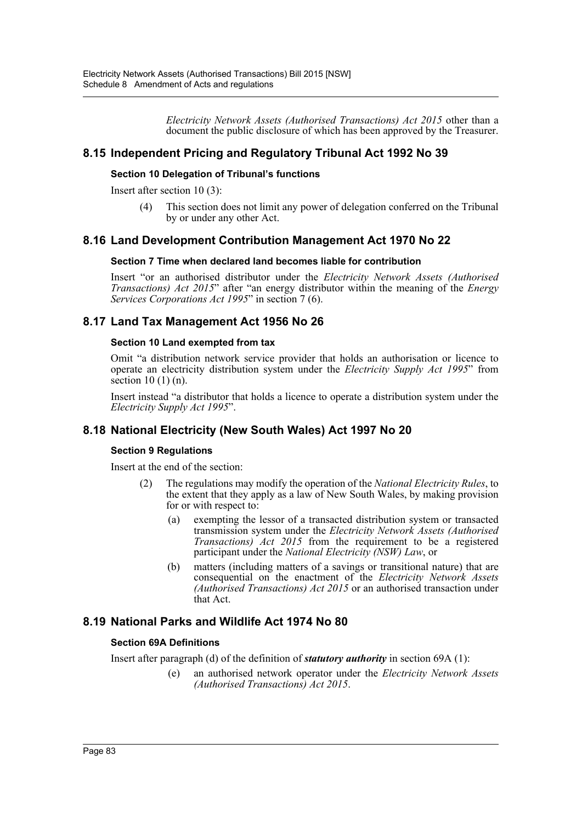*Electricity Network Assets (Authorised Transactions) Act 2015* other than a document the public disclosure of which has been approved by the Treasurer.

# **8.15 Independent Pricing and Regulatory Tribunal Act 1992 No 39**

### **Section 10 Delegation of Tribunal's functions**

Insert after section 10 (3):

(4) This section does not limit any power of delegation conferred on the Tribunal by or under any other Act.

# **8.16 Land Development Contribution Management Act 1970 No 22**

#### **Section 7 Time when declared land becomes liable for contribution**

Insert "or an authorised distributor under the *Electricity Network Assets (Authorised Transactions) Act 2015*" after "an energy distributor within the meaning of the *Energy Services Corporations Act 1995*" in section 7 (6).

# **8.17 Land Tax Management Act 1956 No 26**

#### **Section 10 Land exempted from tax**

Omit "a distribution network service provider that holds an authorisation or licence to operate an electricity distribution system under the *Electricity Supply Act 1995*" from section  $10(1)(n)$ .

Insert instead "a distributor that holds a licence to operate a distribution system under the *Electricity Supply Act 1995*".

# **8.18 National Electricity (New South Wales) Act 1997 No 20**

### **Section 9 Regulations**

Insert at the end of the section:

- (2) The regulations may modify the operation of the *National Electricity Rules*, to the extent that they apply as a law of New South Wales, by making provision for or with respect to:
	- (a) exempting the lessor of a transacted distribution system or transacted transmission system under the *Electricity Network Assets (Authorised Transactions) Act 2015* from the requirement to be a registered participant under the *National Electricity (NSW) Law*, or
	- (b) matters (including matters of a savings or transitional nature) that are consequential on the enactment of the *Electricity Network Assets (Authorised Transactions) Act 2015* or an authorised transaction under that Act.

# **8.19 National Parks and Wildlife Act 1974 No 80**

### **Section 69A Definitions**

Insert after paragraph (d) of the definition of *statutory authority* in section 69A (1):

(e) an authorised network operator under the *Electricity Network Assets (Authorised Transactions) Act 2015*.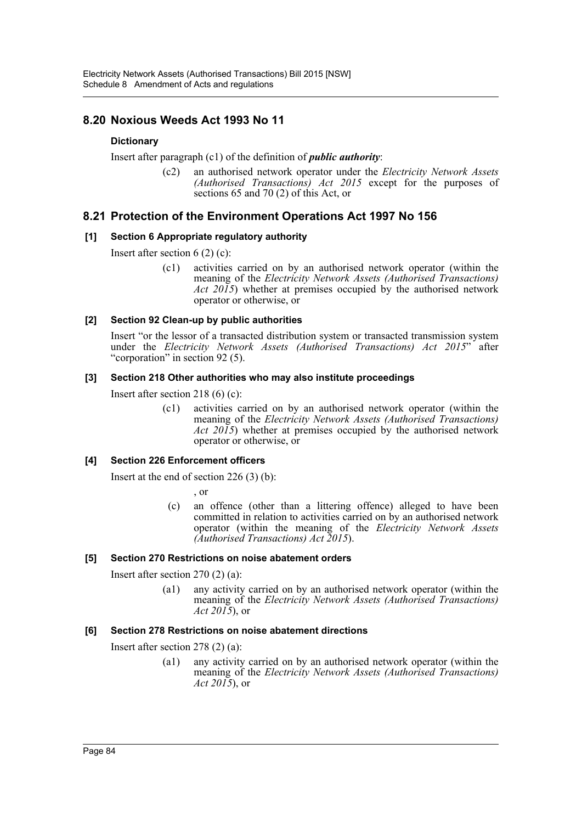# **8.20 Noxious Weeds Act 1993 No 11**

# **Dictionary**

Insert after paragraph (c1) of the definition of *public authority*:

(c2) an authorised network operator under the *Electricity Network Assets (Authorised Transactions) Act 2015* except for the purposes of sections 65 and 70 (2) of this Act, or

# **8.21 Protection of the Environment Operations Act 1997 No 156**

## **[1] Section 6 Appropriate regulatory authority**

Insert after section 6 (2) (c):

(c1) activities carried on by an authorised network operator (within the meaning of the *Electricity Network Assets (Authorised Transactions) Act 2015*) whether at premises occupied by the authorised network operator or otherwise, or

## **[2] Section 92 Clean-up by public authorities**

Insert "or the lessor of a transacted distribution system or transacted transmission system under the *Electricity Network Assets (Authorised Transactions) Act 2015*" after "corporation" in section 92 (5).

### **[3] Section 218 Other authorities who may also institute proceedings**

Insert after section 218 (6) (c):

(c1) activities carried on by an authorised network operator (within the meaning of the *Electricity Network Assets (Authorised Transactions) Act 2015*) whether at premises occupied by the authorised network operator or otherwise, or

# **[4] Section 226 Enforcement officers**

Insert at the end of section 226 (3) (b):

, or

(c) an offence (other than a littering offence) alleged to have been committed in relation to activities carried on by an authorised network operator (within the meaning of the *Electricity Network Assets (Authorised Transactions) Act 2015*).

### **[5] Section 270 Restrictions on noise abatement orders**

Insert after section 270 (2) (a):

(a1) any activity carried on by an authorised network operator (within the meaning of the *Electricity Network Assets (Authorised Transactions) Act 2015*), or

### **[6] Section 278 Restrictions on noise abatement directions**

Insert after section 278 (2) (a):

(a1) any activity carried on by an authorised network operator (within the meaning of the *Electricity Network Assets (Authorised Transactions) Act 2015*), or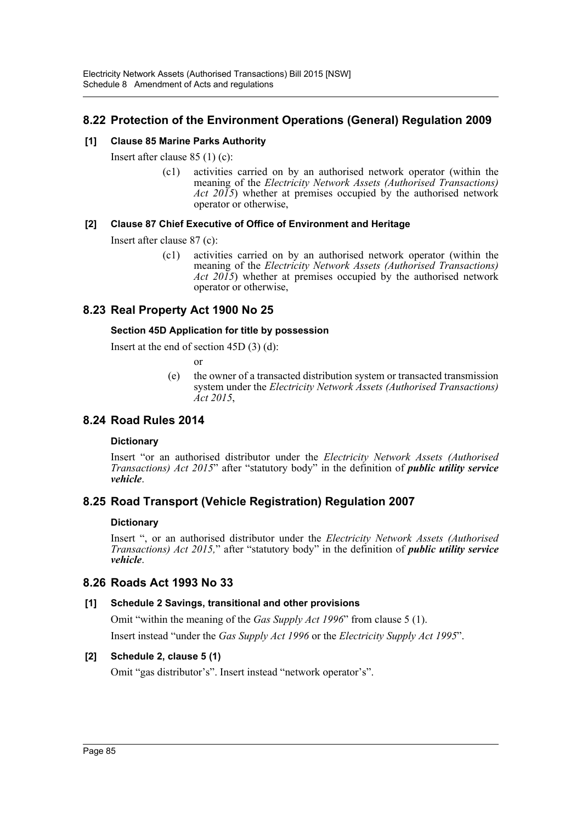# **8.22 Protection of the Environment Operations (General) Regulation 2009**

# **[1] Clause 85 Marine Parks Authority**

Insert after clause 85 (1) (c):

(c1) activities carried on by an authorised network operator (within the meaning of the *Electricity Network Assets (Authorised Transactions) Act 2015*) whether at premises occupied by the authorised network operator or otherwise,

# **[2] Clause 87 Chief Executive of Office of Environment and Heritage**

Insert after clause 87 (c):

(c1) activities carried on by an authorised network operator (within the meaning of the *Electricity Network Assets (Authorised Transactions) Act 2015*) whether at premises occupied by the authorised network operator or otherwise,

# **8.23 Real Property Act 1900 No 25**

## **Section 45D Application for title by possession**

Insert at the end of section 45D (3) (d):

or

(e) the owner of a transacted distribution system or transacted transmission system under the *Electricity Network Assets (Authorised Transactions) Act 2015*,

# **8.24 Road Rules 2014**

### **Dictionary**

Insert "or an authorised distributor under the *Electricity Network Assets (Authorised Transactions) Act 2015*" after "statutory body" in the definition of *public utility service vehicle*.

# **8.25 Road Transport (Vehicle Registration) Regulation 2007**

### **Dictionary**

Insert ", or an authorised distributor under the *Electricity Network Assets (Authorised Transactions) Act 2015,*" after "statutory body" in the definition of *public utility service vehicle*.

# **8.26 Roads Act 1993 No 33**

# **[1] Schedule 2 Savings, transitional and other provisions**

Omit "within the meaning of the *Gas Supply Act 1996*" from clause 5 (1).

Insert instead "under the *Gas Supply Act 1996* or the *Electricity Supply Act 1995*".

# **[2] Schedule 2, clause 5 (1)**

Omit "gas distributor's". Insert instead "network operator's".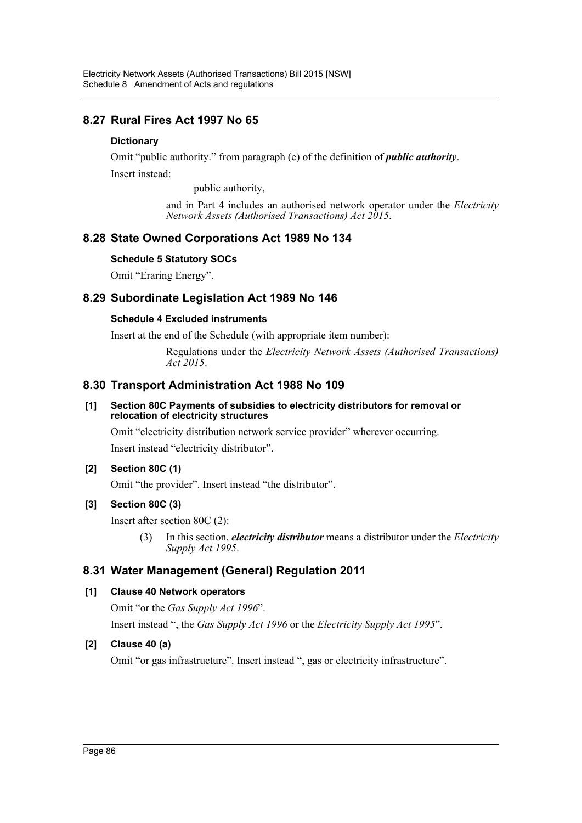# **8.27 Rural Fires Act 1997 No 65**

# **Dictionary**

Omit "public authority." from paragraph (e) of the definition of *public authority*. Insert instead:

public authority,

and in Part 4 includes an authorised network operator under the *Electricity Network Assets (Authorised Transactions) Act 2015*.

# **8.28 State Owned Corporations Act 1989 No 134**

# **Schedule 5 Statutory SOCs**

Omit "Eraring Energy".

# **8.29 Subordinate Legislation Act 1989 No 146**

# **Schedule 4 Excluded instruments**

Insert at the end of the Schedule (with appropriate item number):

Regulations under the *Electricity Network Assets (Authorised Transactions) Act 2015*.

# **8.30 Transport Administration Act 1988 No 109**

## **[1] Section 80C Payments of subsidies to electricity distributors for removal or relocation of electricity structures**

Omit "electricity distribution network service provider" wherever occurring. Insert instead "electricity distributor".

# **[2] Section 80C (1)**

Omit "the provider". Insert instead "the distributor".

# **[3] Section 80C (3)**

Insert after section 80C (2):

(3) In this section, *electricity distributor* means a distributor under the *Electricity Supply Act 1995*.

# **8.31 Water Management (General) Regulation 2011**

# **[1] Clause 40 Network operators**

Omit "or the *Gas Supply Act 1996*".

Insert instead ", the *Gas Supply Act 1996* or the *Electricity Supply Act 1995*".

# **[2] Clause 40 (a)**

Omit "or gas infrastructure". Insert instead ", gas or electricity infrastructure".